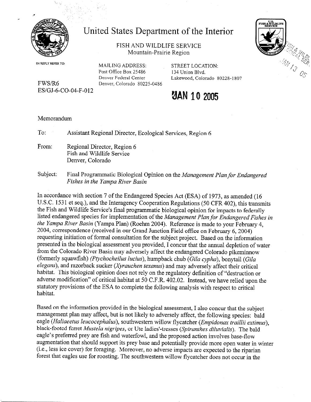

# United States Department of the Interior

FISH AND WILDLIFE SERVICE Mountain-Prairie Region

IN REPLY REFER TO:

FWS/R6 ES/GJ-6-CO-04-F-012 **MAILING ADDRESS:** Post Office Box 25486 Denver Federal Center Denver, Colorado 80225-0486 **STREET LOCATION:** 134 Union Blvd. Lakewood, Colorado 80228-1807

# **ZJAN 10 2005**

### Memorandum

To: Assistant Regional Director, Ecological Services, Region 6

- From: Regional Director, Region 6 Fish and Wildlife Service Denver, Colorado
- Subject: Final Programmatic Biological Opinion on the Management Plan for Endangered Fishes in the Yampa River Basin

In accordance with section 7 of the Endangered Species Act (ESA) of 1973, as amended (16 U.S.C. 1531 et seq.), and the Interagency Cooperation Regulations (50 CFR 402), this transmits the Fish and Wildlife Service's final programmatic biological opinion for impacts to federally listed endangered species for implementation of the Management Plan for Endangered Fishes in the Yampa River Basin (Yampa Plan) (Roehm 2004). Reference is made to your February 4, 2004, correspondence (received in our Grand Junction Field office on February 6, 2004) requesting initiation of formal consultation for the subject project. Based on the information presented in the biological assessment you provided. I concur that the annual depletion of water from the Colorado River Basin may adversely affect the endangered Colorado pikeminnow (formerly squawfish) (Ptychocheilus lucius), humpback chub (Gila cypha), bonytail (Gila elegans), and razorback sucker (Xyrauchen texanus) and may adversely affect their critical habitat. This biological opinion does not rely on the regulatory definition of "destruction or adverse modification" of critical habitat at 50 C.F.R. 402.02. Instead, we have relied upon the statutory provisions of the ESA to complete the following analysis with respect to critical habitat.

Based on the information provided in the biological assessment, I also concur that the subject management plan may affect, but is not likely to adversely affect, the following species: bald eagle (Haliaeetus leucocephalus), southwestern willow flycatcher (Empidonax traillii extimus), black-footed ferret Mustela nigripes, or Ute ladies'-tresses (Spiranthes diluvialis). The bald eagle's preferred prey are fish and waterfowl, and the proposed action involves base-flow augmentation that should support its prey base and potentially provide more open water in winter (i.e., less ice cover) for foraging. Moreover, no adverse impacts are expected to the riparian forest that eagles use for roosting. The southwestern willow flycatcher does not occur in the

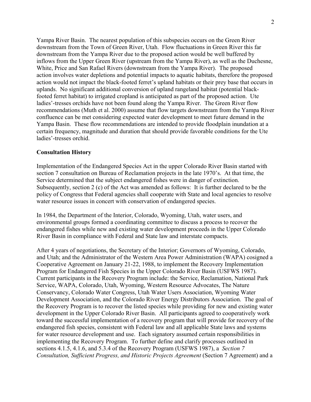Yampa River Basin. The nearest population of this subspecies occurs on the Green River downstream from the Town of Green River, Utah. Flow fluctuations in Green River this far downstream from the Yampa River due to the proposed action would be well buffered by inflows from the Upper Green River (upstream from the Yampa River), as well as the Duchesne, White, Price and San Rafael Rivers (downstream from the Yampa River). The proposed action involves water depletions and potential impacts to aquatic habitats, therefore the proposed action would not impact the black-footed ferret's upland habitats or their prey base that occurs in uplands. No significant additional conversion of upland rangeland habitat (potential blackfooted ferret habitat) to irrigated cropland is anticipated as part of the proposed action. Ute ladies'-tresses orchids have not been found along the Yampa River. The Green River flow recommendations (Muth et al. 2000) assume that flow targets downstream from the Yampa River confluence can be met considering expected water development to meet future demand in the Yampa Basin. These flow recommendations are intended to provide floodplain inundation at a certain frequency, magnitude and duration that should provide favorable conditions for the Ute ladies'-tresses orchid.

#### **Consultation History**

Implementation of the Endangered Species Act in the upper Colorado River Basin started with section 7 consultation on Bureau of Reclamation projects in the late 1970's. At that time, the Service determined that the subject endangered fishes were in danger of extinction. Subsequently, section 2 (c) of the Act was amended as follows: It is further declared to be the policy of Congress that Federal agencies shall cooperate with State and local agencies to resolve water resource issues in concert with conservation of endangered species.

In 1984, the Department of the Interior, Colorado, Wyoming, Utah, water users, and environmental groups formed a coordinating committee to discuss a process to recover the endangered fishes while new and existing water development proceeds in the Upper Colorado River Basin in compliance with Federal and State law and interstate compacts.

After 4 years of negotiations, the Secretary of the Interior; Governors of Wyoming, Colorado, and Utah; and the Administrator of the Western Area Power Administration (WAPA) cosigned a Cooperative Agreement on January 21-22, 1988, to implement the Recovery Implementation Program for Endangered Fish Species in the Upper Colorado River Basin (USFWS 1987). Current participants in the Recovery Program include: the Service, Reclamation, National Park Service, WAPA, Colorado, Utah, Wyoming, Western Resource Advocates, The Nature Conservancy, Colorado Water Congress, Utah Water Users Association, Wyoming Water Development Association, and the Colorado River Energy Distributors Association. The goal of the Recovery Program is to recover the listed species while providing for new and existing water development in the Upper Colorado River Basin. All participants agreed to cooperatively work toward the successful implementation of a recovery program that will provide for recovery of the endangered fish species, consistent with Federal law and all applicable State laws and systems for water resource development and use. Each signatory assumed certain responsibilities in implementing the Recovery Program. To further define and clarify processes outlined in sections 4.1.5, 4.1.6, and 5.3.4 of the Recovery Program (USFWS 1987), a *Section 7 Consultation, Sufficient Progress, and Historic Projects Agreement* (Section 7 Agreement) and a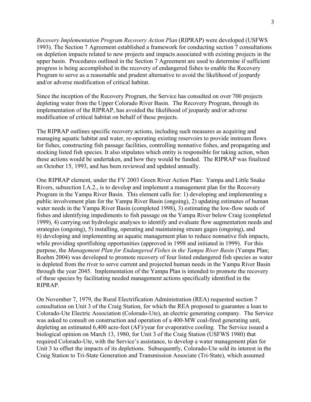*Recovery Implementation Program Recovery Action Plan* (RIPRAP) were developed (USFWS 1993). The Section 7 Agreement established a framework for conducting section 7 consultations on depletion impacts related to new projects and impacts associated with existing projects in the upper basin. Procedures outlined in the Section 7 Agreement are used to determine if sufficient progress is being accomplished in the recovery of endangered fishes to enable the Recovery Program to serve as a reasonable and prudent alternative to avoid the likelihood of jeopardy and/or adverse modification of critical habitat.

Since the inception of the Recovery Program, the Service has consulted on over 700 projects depleting water from the Upper Colorado River Basin. The Recovery Program, through its implementation of the RIPRAP, has avoided the likelihood of jeopardy and/or adverse modification of critical habitat on behalf of these projects.

The RIPRAP outlines specific recovery actions, including such measures as acquiring and managing aquatic habitat and water, re-operating existing reservoirs to provide instream flows for fishes, constructing fish passage facilities, controlling nonnative fishes, and propagating and stocking listed fish species. It also stipulates which entity is responsible for taking action, when these actions would be undertaken, and how they would be funded. The RIPRAP was finalized on October 15, 1993, and has been reviewed and updated annually.

One RIPRAP element, under the FY 2003 Green River Action Plan: Yampa and Little Snake Rivers, subsection I.A.2., is to develop and implement a management plan for the Recovery Program in the Yampa River Basin. This element calls for: 1) developing and implementing a public involvement plan for the Yampa River Basin (ongoing), 2) updating estimates of human water needs in the Yampa River Basin (completed 1998), 3) estimating the low-flow needs of fishes and identifying impediments to fish passage on the Yampa River below Craig (completed 1999), 4) carrying out hydrologic analyses to identify and evaluate flow augmentation needs and strategies (ongoing), 5) installing, operating and maintaining stream gages (ongoing), and 6) developing and implementing an aquatic management plan to reduce nonnative fish impacts, while providing sportfishing opportunities (approved in 1998 and initiated in 1999). For this purpose, the *Management Plan for Endangered Fishes in the Yampa River Basin* (Yampa Plan; Roehm 2004) was developed to promote recovery of four listed endangered fish species as water is depleted from the river to serve current and projected human needs in the Yampa River Basin through the year 2045. Implementation of the Yampa Plan is intended to promote the recovery of these species by facilitating needed management actions specifically identified in the RIPRAP.

On November 7, 1979, the Rural Electrification Administration (REA) requested section 7 consultation on Unit 3 of the Craig Station, for which the REA proposed to guarantee a loan to Colorado-Ute Electric Association (Colorado-Ute), an electric generating company. The Service was asked to consult on construction and operation of a 400-MW coal-fired generating unit, depleting an estimated 6,400 acre-feet (AF)/year for evaporative cooling. The Service issued a biological opinion on March 13, 1980, for Unit 3 of the Craig Station (USFWS 1980) that required Colorado-Ute, with the Service's assistance, to develop a water management plan for Unit 3 to offset the impacts of its depletions. Subsequently, Colorado-Ute sold its interest in the Craig Station to Tri-State Generation and Transmission Associate (Tri-State), which assumed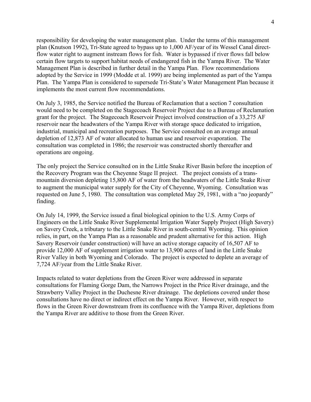responsibility for developing the water management plan. Under the terms of this management plan (Knutson 1992), Tri-State agreed to bypass up to 1,000 AF/year of its Wessel Canal directflow water right to augment instream flows for fish. Water is bypassed if river flows fall below certain flow targets to support habitat needs of endangered fish in the Yampa River. The Water Management Plan is described in further detail in the Yampa Plan. Flow recommendations adopted by the Service in 1999 (Modde et al. 1999) are being implemented as part of the Yampa Plan. The Yampa Plan is considered to supersede Tri-State's Water Management Plan because it implements the most current flow recommendations.

On July 3, 1985, the Service notified the Bureau of Reclamation that a section 7 consultation would need to be completed on the Stagecoach Reservoir Project due to a Bureau of Reclamation grant for the project. The Stagecoach Reservoir Project involved construction of a 33,275 AF reservoir near the headwaters of the Yampa River with storage space dedicated to irrigation, industrial, municipal and recreation purposes. The Service consulted on an average annual depletion of 12,873 AF of water allocated to human use and reservoir evaporation. The consultation was completed in 1986; the reservoir was constructed shortly thereafter and operations are ongoing.

The only project the Service consulted on in the Little Snake River Basin before the inception of the Recovery Program was the Cheyenne Stage II project. The project consists of a transmountain diversion depleting 15,800 AF of water from the headwaters of the Little Snake River to augment the municipal water supply for the City of Cheyenne, Wyoming. Consultation was requested on June 5, 1980. The consultation was completed May 29, 1981, with a "no jeopardy" finding.

On July 14, 1999, the Service issued a final biological opinion to the U.S. Army Corps of Engineers on the Little Snake River Supplemental Irrigation Water Supply Project (High Savery) on Savery Creek, a tributary to the Little Snake River in south-central Wyoming. This opinion relies, in part, on the Yampa Plan as a reasonable and prudent alternative for this action. High Savery Reservoir (under construction) will have an active storage capacity of 16,507 AF to provide 12,000 AF of supplement irrigation water to 13,900 acres of land in the Little Snake River Valley in both Wyoming and Colorado. The project is expected to deplete an average of 7,724 AF/year from the Little Snake River.

Impacts related to water depletions from the Green River were addressed in separate consultations for Flaming Gorge Dam, the Narrows Project in the Price River drainage, and the Strawberry Valley Project in the Duchesne River drainage. The depletions covered under those consultations have no direct or indirect effect on the Yampa River. However, with respect to flows in the Green River downstream from its confluence with the Yampa River, depletions from the Yampa River are additive to those from the Green River.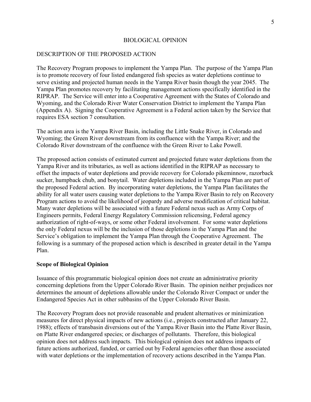#### BIOLOGICAL OPINION

#### DESCRIPTION OF THE PROPOSED ACTION

The Recovery Program proposes to implement the Yampa Plan. The purpose of the Yampa Plan is to promote recovery of four listed endangered fish species as water depletions continue to serve existing and projected human needs in the Yampa River basin though the year 2045. The Yampa Plan promotes recovery by facilitating management actions specifically identified in the RIPRAP. The Service will enter into a Cooperative Agreement with the States of Colorado and Wyoming, and the Colorado River Water Conservation District to implement the Yampa Plan (Appendix A). Signing the Cooperative Agreement is a Federal action taken by the Service that requires ESA section 7 consultation.

The action area is the Yampa River Basin, including the Little Snake River, in Colorado and Wyoming; the Green River downstream from its confluence with the Yampa River; and the Colorado River downstream of the confluence with the Green River to Lake Powell.

The proposed action consists of estimated current and projected future water depletions from the Yampa River and its tributaries, as well as actions identified in the RIPRAP as necessary to offset the impacts of water depletions and provide recovery for Colorado pikeminnow, razorback sucker, humpback chub, and bonytail. Water depletions included in the Yampa Plan are part of the proposed Federal action. By incorporating water depletions, the Yampa Plan facilitates the ability for all water users causing water depletions to the Yampa River Basin to rely on Recovery Program actions to avoid the likelihood of jeopardy and adverse modification of critical habitat. Many water depletions will be associated with a future Federal nexus such as Army Corps of Engineers permits, Federal Energy Regulatory Commission relicensing, Federal agency authorization of right-of-ways, or some other Federal involvement. For some water depletions the only Federal nexus will be the inclusion of those depletions in the Yampa Plan and the Service's obligation to implement the Yampa Plan through the Cooperative Agreement. The following is a summary of the proposed action which is described in greater detail in the Yampa Plan.

#### **Scope of Biological Opinion**

Issuance of this programmatic biological opinion does not create an administrative priority concerning depletions from the Upper Colorado River Basin. The opinion neither prejudices nor determines the amount of depletions allowable under the Colorado River Compact or under the Endangered Species Act in other subbasins of the Upper Colorado River Basin.

The Recovery Program does not provide reasonable and prudent alternatives or minimization measures for direct physical impacts of new actions (i.e., projects constructed after January 22, 1988); effects of transbasin diversions out of the Yampa River Basin into the Platte River Basin, on Platte River endangered species; or discharges of pollutants. Therefore, this biological opinion does not address such impacts. This biological opinion does not address impacts of future actions authorized, funded, or carried out by Federal agencies other than those associated with water depletions or the implementation of recovery actions described in the Yampa Plan.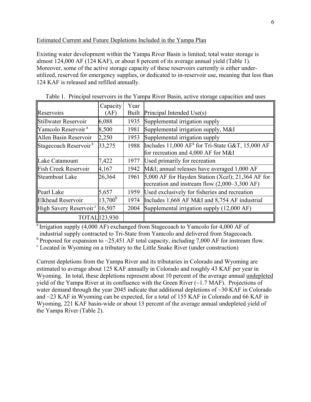## Estimated Current and Future Depletions Included in the Yampa Plan

Existing water development within the Yampa River Basin is limited; total water storage is almost 124,000 AF (124 KAF), or about 8 percent of its average annual yield (Table 1). Moreover, some of the active storage capacity of these reservoirs currently is either underutilized, reserved for emergency supplies, or dedicated to in-reservoir use, meaning that less than 124 KAF is released and refilled annually.

|                                           | Capacity         | Year         |                                                         |
|-------------------------------------------|------------------|--------------|---------------------------------------------------------|
| <b>Reservoirs</b>                         | (AF)             | <b>Built</b> | Principal Intended Use(s)                               |
| Stillwater Reservoir                      | 6,088            | 1935         | Supplemental irrigation supply                          |
| Yamcolo Reservoir <sup>a</sup>            | 8,500            | 1981         | Supplemental irrigation supply, M&I                     |
| Allen Basin Reservoir                     | 2,250            | 1953         | Supplemental irrigation supply                          |
| Stagecoach Reservoir <sup>a</sup>         | 33,275           | 1988         | Includes 11,000 $AF^a$ for Tri-State G&T, 15,000 AF     |
|                                           |                  |              | for recreation and 4,000 AF for M&I                     |
| Lake Catamount                            | 7,422            | 1977         | Used primarily for recreation                           |
| <b>Fish Creek Reservoir</b>               | 4,167            | 1942         | M&I annual releases have averaged 1,000 AF              |
| Steamboat Lake                            | 26,364           | 1961         | $5,000$ AF for Hayden Station (Xcel); 21,364 AF for     |
|                                           |                  |              | recreation and instream flow $(2,000-3,300 \text{ AF})$ |
| Pearl Lake                                | 5,657            | 1959         | Used exclusively for fisheries and recreation           |
| <b>Elkhead Reservoir</b>                  | $13,700^{\rm b}$ | 1974         | Includes 1,668 AF M&I and 8,754 AF industrial           |
| High Savery Reservoir <sup>c</sup> 16,507 |                  | 2004         | Supplemental irrigation supply (12,000 AF)              |
|                                           | TOTAL 123,930    |              |                                                         |

Table 1. Principal reservoirs in the Yampa River Basin, active storage capacities and uses

<sup>a</sup> Irrigation supply (4,000 AF) exchanged from Stagecoach to Yamcolo for 4,000 AF of industrial supply contracted to Tri-State from Yamcolo and delivered from Stagecoach.

<sup>b</sup> Proposed for expansion to  $\sim$ 25,451 AF total capacity, including 7,000 AF for instream flow.

Located in Wyoming on a tributary to the Little Snake River (under construction)

Current depletions from the Yampa River and its tributaries in Colorado and Wyoming are estimated to average about 125 KAF annually in Colorado and roughly 43 KAF per year in Wyoming. In total, these depletions represent about 10 percent of the average annual undepleted yield of the Yampa River at its confluence with the Green River  $(\sim 1.7 \text{ MAF})$ . Projections of water demand through the year 2045 indicate that additional depletions of ~30 KAF in Colorado and ~23 KAF in Wyoming can be expected, for a total of 155 KAF in Colorado and 66 KAF in Wyoming, 221 KAF basin-wide or about 13 percent of the average annual undepleted yield of the Yampa River (Table 2).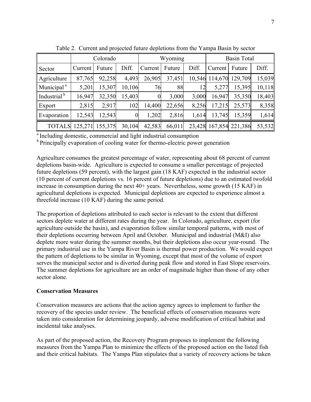|                         | Colorado |         |                  | Wyoming |        |       | <b>Basin Total</b> |                        |        |  |
|-------------------------|----------|---------|------------------|---------|--------|-------|--------------------|------------------------|--------|--|
| Sector                  | Current  | Future  | Diff.            | Current | Future | Diff. | Current            | Future                 | Diff.  |  |
| Agriculture             | 87,765   | 92,258  | 4,493            | 26,905  | 37,451 |       |                    | 10,546 114,670 129,709 | 15,039 |  |
| Municipal <sup>a</sup>  | 5,201    | 15,307  | 10,106           | 76      | 88     | 12    | 5,277              | 15,395                 | 10,118 |  |
| Industrial <sup>b</sup> | 16,947   | 32,350  | 15,403           |         | 3,000  | 3,000 | 16,947             | 35,350                 | 18,403 |  |
| Export                  | 2,815    | 2,917   | 102              | 14,400  | 22,656 | 8,256 | 17,215             | 25,573                 | 8,358  |  |
| Evaporation             | 12,543   | 12,543  | $\boldsymbol{0}$ | 1,202   | 2,816  | 1,614 | 13,745             | 15,359                 | 1,614  |  |
| <b>TOTALS</b> 125,271   |          | 155,375 | 30,104           | 42,583  | 66,011 |       |                    | 23,428 167,854 221,386 | 53,532 |  |

Table 2. Current and projected future depletions from the Yampa Basin by sector

<sup>a</sup> Including domestic, commercial and light industrial consumption

<sup>b</sup> Principally evaporation of cooling water for thermo-electric power generation

Agriculture consumes the greatest percentage of water, representing about 68 percent of current depletions basin-wide. Agriculture is expected to consume a smaller percentage of projected future depletions (59 percent), with the largest gain (18 KAF) expected in the industrial sector (10 percent of current depletions vs. 16 percent of future depletions) due to an estimated twofold increase in consumption during the next 40+ years. Nevertheless, some growth (15 KAF) in agricultural depletions is expected. Municipal depletions are expected to experience almost a threefold increase (10 KAF) during the same period.

The proportion of depletions attributed to each sector is relevant to the extent that different sectors deplete water at different rates during the year. In Colorado, agriculture, export (for agriculture outside the basin), and evaporation follow similar temporal patterns, with most of their depletions occurring between April and October. Municipal and industrial (M&I) also deplete more water during the summer months, but their depletions also occur year-round. The primary industrial use in the Yampa River Basin is thermal power production. We would expect the pattern of depletions to be similar in Wyoming, except that most of the volume of export serves the municipal sector and is diverted during peak flow and stored in East Slope reservoirs. The summer depletions for agriculture are an order of magnitude higher than those of any other sector alone.

# **Conservation Measures**

Conservation measures are actions that the action agency agrees to implement to further the recovery of the species under review. The beneficial effects of conservation measures were taken into consideration for determining jeopardy, adverse modification of critical habitat and incidental take analyses.

As part of the proposed action, the Recovery Program proposes to implement the following measures from the Yampa Plan to minimize the effects of the proposed action on the listed fish and their critical habitats. The Yampa Plan stipulates that a variety of recovery actions be taken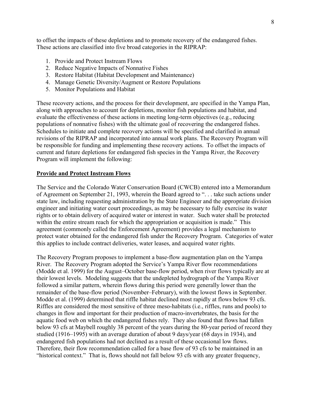to offset the impacts of these depletions and to promote recovery of the endangered fishes. These actions are classified into five broad categories in the RIPRAP:

- 1. Provide and Protect Instream Flows
- 2. Reduce Negative Impacts of Nonnative Fishes
- 3. Restore Habitat (Habitat Development and Maintenance)
- 4. Manage Genetic Diversity/Augment or Restore Populations
- 5. Monitor Populations and Habitat

These recovery actions, and the process for their development, are specified in the Yampa Plan, along with approaches to account for depletions, monitor fish populations and habitat, and evaluate the effectiveness of these actions in meeting long-term objectives (e.g., reducing populations of nonnative fishes) with the ultimate goal of recovering the endangered fishes. Schedules to initiate and complete recovery actions will be specified and clarified in annual revisions of the RIPRAP and incorporated into annual work plans. The Recovery Program will be responsible for funding and implementing these recovery actions. To offset the impacts of current and future depletions for endangered fish species in the Yampa River, the Recovery Program will implement the following:

#### **Provide and Protect Instream Flows**

The Service and the Colorado Water Conservation Board (CWCB) entered into a Memorandum of Agreement on September 21, 1993, wherein the Board agreed to ". . . take such actions under state law, including requesting administration by the State Engineer and the appropriate division engineer and initiating water court proceedings, as may be necessary to fully exercise its water rights or to obtain delivery of acquired water or interest in water. Such water shall be protected within the entire stream reach for which the appropriation or acquisition is made." This agreement (commonly called the Enforcement Agreement) provides a legal mechanism to protect water obtained for the endangered fish under the Recovery Program. Categories of water this applies to include contract deliveries, water leases, and acquired water rights.

The Recovery Program proposes to implement a base-flow augmentation plan on the Yampa River. The Recovery Program adopted the Service's Yampa River flow recommendations (Modde et al. 1999) for the August–October base-flow period, when river flows typically are at their lowest levels. Modeling suggests that the undepleted hydrograph of the Yampa River followed a similar pattern, wherein flows during this period were generally lower than the remainder of the base-flow period (November–February), with the lowest flows in September. Modde et al. (1999) determined that riffle habitat declined most rapidly at flows below 93 cfs. Riffles are considered the most sensitive of three meso-habitats (i.e., riffles, runs and pools) to changes in flow and important for their production of macro-invertebrates, the basis for the aquatic food web on which the endangered fishes rely. They also found that flows had fallen below 93 cfs at Maybell roughly 38 percent of the years during the 80-year period of record they studied (1916–1995) with an average duration of about 9 days/year (68 days in 1934), and endangered fish populations had not declined as a result of these occasional low flows. Therefore, their flow recommendation called for a base flow of 93 cfs to be maintained in an "historical context." That is, flows should not fall below 93 cfs with any greater frequency,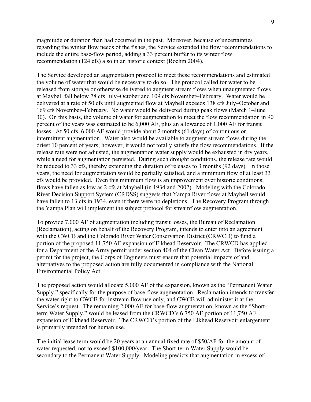magnitude or duration than had occurred in the past. Moreover, because of uncertainties regarding the winter flow needs of the fishes, the Service extended the flow recommendations to include the entire base-flow period, adding a 33 percent buffer to its winter flow recommendation (124 cfs) also in an historic context (Roehm 2004).

The Service developed an augmentation protocol to meet these recommendations and estimated the volume of water that would be necessary to do so. The protocol called for water to be released from storage or otherwise delivered to augment stream flows when unaugmented flows at Maybell fall below 78 cfs July–October and 109 cfs November–February. Water would be delivered at a rate of 50 cfs until augmented flow at Maybell exceeds 138 cfs July–October and 169 cfs November–February. No water would be delivered during peak flows (March 1–June 30). On this basis, the volume of water for augmentation to meet the flow recommendation in 90 percent of the years was estimated to be 6,000 AF, plus an allowance of 1,000 AF for transit losses. At 50 cfs, 6,000 AF would provide about 2 months (61 days) of continuous or intermittent augmentation. Water also would be available to augment stream flows during the driest 10 percent of years; however, it would not totally satisfy the flow recommendations. If the release rate were not adjusted, the augmentation water supply would be exhausted in dry years, while a need for augmentation persisted. During such drought conditions, the release rate would be reduced to 33 cfs, thereby extending the duration of releases to 3 months (92 days). In those years, the need for augmentation would be partially satisfied, and a minimum flow of at least 33 cfs would be provided. Even this minimum flow is an improvement over historic conditions; flows have fallen as low as 2 cfs at Maybell (in 1934 and 2002). Modeling with the Colorado River Decision Support System (CRDSS) suggests that Yampa River flows at Maybell would have fallen to 13 cfs in 1934, even if there were no depletions. The Recovery Program through the Yampa Plan will implement the subject protocol for streamflow augmentation.

To provide 7,000 AF of augmentation including transit losses, the Bureau of Reclamation (Reclamation), acting on behalf of the Recovery Program, intends to enter into an agreement with the CWCB and the Colorado River Water Conservation District (CRWCD) to fund a portion of the proposed 11,750 AF expansion of Elkhead Reservoir. The CRWCD has applied for a Department of the Army permit under section 404 of the Clean Water Act. Before issuing a permit for the project, the Corps of Engineers must ensure that potential impacts of and alternatives to the proposed action are fully documented in compliance with the National Environmental Policy Act.

The proposed action would allocate 5,000 AF of the expansion, known as the "Permanent Water Supply," specifically for the purpose of base-flow augmentation. Reclamation intends to transfer the water right to CWCB for instream flow use only, and CWCB will administer it at the Service's request. The remaining 2,000 AF for base-flow augmentation, known as the "Shortterm Water Supply," would be leased from the CRWCD's 6,750 AF portion of 11,750 AF expansion of Elkhead Reservoir. The CRWCD's portion of the Elkhead Reservoir enlargement is primarily intended for human use.

The initial lease term would be 20 years at an annual fixed rate of \$50/AF for the amount of water requested, not to exceed \$100,000/year. The Short-term Water Supply would be secondary to the Permanent Water Supply. Modeling predicts that augmentation in excess of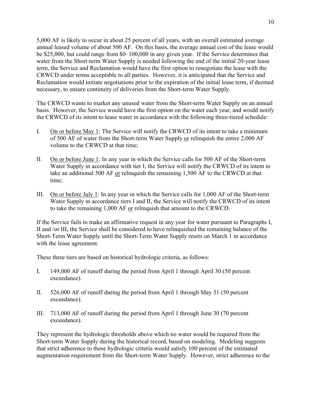5,000 AF is likely to occur in about 25 percent of all years, with an overall estimated average annual leased volume of about 500 AF. On this basis, the average annual cost of the lease would be \$25,000, but could range from \$0–100,000 in any given year. If the Service determines that water from the Short-term Water Supply is needed following the end of the initial 20-year lease term, the Service and Reclamation would have the first option to renegotiate the lease with the CRWCD under terms acceptable to all parties. However, it is anticipated that the Service and Reclamation would initiate negotiations prior to the expiration of the initial lease term, if deemed necessary, to ensure continuity of deliveries from the Short-term Water Supply.

The CRWCD wants to market any unused water from the Short-term Water Supply on an annual basis. However, the Service would have the first option on the water each year, and would notify the CRWCD of its intent to lease water in accordance with the following three-tiered schedule:

- I. On or before May 1: The Service will notify the CRWCD of its intent to take a minimum of 500 AF of water from the Short-term Water Supply or relinquish the entire 2,000 AF volume to the CRWCD at that time;
- II. On or before June 1: In any year in which the Service calls for 500 AF of the Short-term Water Supply in accordance with tier I, the Service will notify the CRWCD of its intent to take an additional 500 AF or relinquish the remaining 1,500 AF to the CRWCD at that time;
- III. On or before July 1: In any year in which the Service calls for 1,000 AF of the Short-term Water Supply in accordance tiers I and II, the Service will notify the CRWCD of its intent to take the remaining 1,000 AF or relinquish that amount to the CRWCD.

If the Service fails to make an affirmative request in any year for water pursuant to Paragraphs I, II and /or III, the Service shall be considered to have relinquished the remaining balance of the Short-Term Water Supply until the Short-Term Water Supply resets on March 1 in accordance with the lease agreement.

These three tiers are based on historical hydrologic criteria, as follows:

- I. 149,000 AF of runoff during the period from April 1 through April 30 (50 percent exceedance).
- II. 526,000 AF of runoff during the period from April 1 through May 31 (50 percent exceedance).
- III. 713,000 AF of runoff during the period from April 1 through June 30 (70 percent exceedance).

They represent the hydrologic thresholds above which no water would be required from the Short-term Water Supply during the historical record, based on modeling. Modeling suggests that strict adherence to these hydrologic criteria would satisfy 100 percent of the estimated augmentation requirement from the Short-term Water Supply. However, strict adherence to the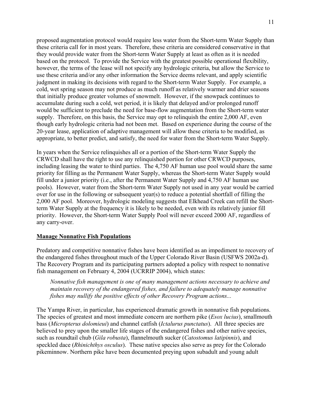proposed augmentation protocol would require less water from the Short-term Water Supply than these criteria call for in most years. Therefore, these criteria are considered conservative in that they would provide water from the Short-term Water Supply at least as often as it is needed based on the protocol. To provide the Service with the greatest possible operational flexibility, however, the terms of the lease will not specify any hydrologic criteria, but allow the Service to use these criteria and/or any other information the Service deems relevant, and apply scientific judgment in making its decisions with regard to the Short-term Water Supply. For example, a cold, wet spring season may not produce as much runoff as relatively warmer and drier seasons that initially produce greater volumes of snowmelt. However, if the snowpack continues to accumulate during such a cold, wet period, it is likely that delayed and/or prolonged runoff would be sufficient to preclude the need for base-flow augmentation from the Short-term water supply. Therefore, on this basis, the Service may opt to relinquish the entire 2,000 AF, even though early hydrologic criteria had not been met. Based on experience during the course of the 20-year lease, application of adaptive management will allow these criteria to be modified, as appropriate, to better predict, and satisfy, the need for water from the Short-term Water Supply.

In years when the Service relinquishes all or a portion of the Short-term Water Supply the CRWCD shall have the right to use any relinquished portion for other CRWCD purposes, including leasing the water to third parties. The 4,750 AF human use pool would share the same priority for filling as the Permanent Water Supply, whereas the Short-term Water Supply would fill under a junior priority (i.e., after the Permanent Water Supply and 4,750 AF human use pools). However, water from the Short-term Water Supply not used in any year would be carried over for use in the following or subsequent year(s) to reduce a potential shortfall of filling the 2,000 AF pool. Moreover, hydrologic modeling suggests that Elkhead Creek can refill the Shortterm Water Supply at the frequency it is likely to be needed, even with its relatively junior fill priority. However, the Short-term Water Supply Pool will never exceed 2000 AF, regardless of any carry-over.

# **Manage Nonnative Fish Populations**

Predatory and competitive nonnative fishes have been identified as an impediment to recovery of the endangered fishes throughout much of the Upper Colorado River Basin (USFWS 2002a-d). The Recovery Program and its participating partners adopted a policy with respect to nonnative fish management on February 4, 2004 (UCRRIP 2004), which states:

*Nonnative fish management is one of many management actions necessary to achieve and maintain recovery of the endangered fishes, and failure to adequately manage nonnative fishes may nullify the positive effects of other Recovery Program actions...*

The Yampa River, in particular, has experienced dramatic growth in nonnative fish populations. The species of greatest and most immediate concern are northern pike (*Esox lucius*), smallmouth bass (*Micropterus dolomieui*) and channel catfish (*Ictalurus punctatus*). All three species are believed to prey upon the smaller life stages of the endangered fishes and other native species, such as roundtail chub (*Gila robusta*), flannelmouth sucker (*Catostomus latipinnis*), and speckled dace (*Rhinichthys osculus*). These native species also serve as prey for the Colorado pikeminnow. Northern pike have been documented preying upon subadult and young adult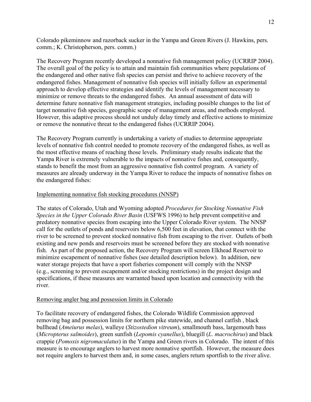Colorado pikeminnow and razorback sucker in the Yampa and Green Rivers (J. Hawkins, pers. comm.; K. Christopherson, pers. comm.)

The Recovery Program recently developed a nonnative fish management policy (UCRRIP 2004). The overall goal of the policy is to attain and maintain fish communities where populations of the endangered and other native fish species can persist and thrive to achieve recovery of the endangered fishes. Management of nonnative fish species will initially follow an experimental approach to develop effective strategies and identify the levels of management necessary to minimize or remove threats to the endangered fishes. An annual assessment of data will determine future nonnative fish management strategies, including possible changes to the list of target nonnative fish species, geographic scope of management areas, and methods employed. However, this adaptive process should not unduly delay timely and effective actions to minimize or remove the nonnative threat to the endangered fishes (UCRRIP 2004).

The Recovery Program currently is undertaking a variety of studies to determine appropriate levels of nonnative fish control needed to promote recovery of the endangered fishes, as well as the most effective means of reaching those levels. Preliminary study results indicate that the Yampa River is extremely vulnerable to the impacts of nonnative fishes and, consequently, stands to benefit the most from an aggressive nonnative fish control program. A variety of measures are already underway in the Yampa River to reduce the impacts of nonnative fishes on the endangered fishes:

# Implementing nonnative fish stocking procedures (NNSP)

The states of Colorado, Utah and Wyoming adopted *Procedures for Stocking Nonnative Fish Species in the Upper Colorado River Basin* (USFWS 1996) to help prevent competitive and predatory nonnative species from escaping into the Upper Colorado River system. The NNSP call for the outlets of ponds and reservoirs below 6,500 feet in elevation, that connect with the river to be screened to prevent stocked nonnative fish from escaping to the river. Outlets of both existing and new ponds and reservoirs must be screened before they are stocked with nonnative fish. As part of the proposed action, the Recovery Program will screen Elkhead Reservoir to minimize escapement of nonnative fishes (see detailed description below). In addition, new water storage projects that have a sport fisheries component will comply with the NNSP (e.g., screening to prevent escapement and/or stocking restrictions) in the project design and specifications, if these measures are warranted based upon location and connectivity with the river.

# Removing angler bag and possession limits in Colorado

To facilitate recovery of endangered fishes, the Colorado Wildlife Commission approved removing bag and possession limits for northern pike statewide, and channel catfish , black bullhead (*Ameiurus melas*), walleye (*Stizostedion vitreum*), smallmouth bass, largemouth bass (*Micropterus salmoides*), green sunfish (*Lepomis cyanellus*), bluegill (*L. macrochirus*) and black crappie (*Pomoxis nigromaculatus*) in the Yampa and Green rivers in Colorado. The intent of this measure is to encourage anglers to harvest more nonnative sportfish. However, the measure does not require anglers to harvest them and, in some cases, anglers return sportfish to the river alive.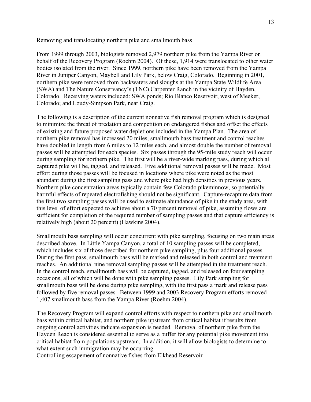## Removing and translocating northern pike and smallmouth bass

From 1999 through 2003, biologists removed 2,979 northern pike from the Yampa River on behalf of the Recovery Program (Roehm 2004). Of these, 1,914 were translocated to other water bodies isolated from the river. Since 1999, northern pike have been removed from the Yampa River in Juniper Canyon, Maybell and Lily Park, below Craig, Colorado. Beginning in 2001, northern pike were removed from backwaters and sloughs at the Yampa State Wildlife Area (SWA) and The Nature Conservancy's (TNC) Carpenter Ranch in the vicinity of Hayden, Colorado. Receiving waters included: SWA ponds; Rio Blanco Reservoir, west of Meeker, Colorado; and Loudy-Simpson Park, near Craig.

The following is a description of the current nonnative fish removal program which is designed to minimize the threat of predation and competition on endangered fishes and offset the effects of existing and future proposed water depletions included in the Yampa Plan. The area of northern pike removal has increased 20 miles, smallmouth bass treatment and control reaches have doubled in length from 6 miles to 12 miles each, and almost double the number of removal passes will be attempted for each species. Six passes through the 95-mile study reach will occur during sampling for northern pike. The first will be a river-wide marking pass, during which all captured pike will be, tagged, and released. Five additional removal passes will be made. Most effort during those passes will be focused in locations where pike were noted as the most abundant during the first sampling pass and where pike had high densities in previous years. Northern pike concentration areas typically contain few Colorado pikeminnow, so potentially harmful effects of repeated electrofishing should not be significant. Capture-recapture data from the first two sampling passes will be used to estimate abundance of pike in the study area, with this level of effort expected to achieve about a 70 percent removal of pike, assuming flows are sufficient for completion of the required number of sampling passes and that capture efficiency is relatively high (about 20 percent) (Hawkins 2004).

Smallmouth bass sampling will occur concurrent with pike sampling, focusing on two main areas described above. In Little Yampa Canyon, a total of 10 sampling passes will be completed, which includes six of those described for northern pike sampling, plus four additional passes. During the first pass, smallmouth bass will be marked and released in both control and treatment reaches. An additional nine removal sampling passes will be attempted in the treatment reach. In the control reach, smallmouth bass will be captured, tagged, and released on four sampling occasions, all of which will be done with pike sampling passes. Lily Park sampling for smallmouth bass will be done during pike sampling, with the first pass a mark and release pass followed by five removal passes. Between 1999 and 2003 Recovery Program efforts removed 1,407 smallmouth bass from the Yampa River (Roehm 2004).

The Recovery Program will expand control efforts with respect to northern pike and smallmouth bass within critical habitat, and northern pike upstream from critical habitat if results from ongoing control activities indicate expansion is needed. Removal of northern pike from the Hayden Reach is considered essential to serve as a buffer for any potential pike movement into critical habitat from populations upstream. In addition, it will allow biologists to determine to what extent such immigration may be occurring.

Controlling escapement of nonnative fishes from Elkhead Reservoir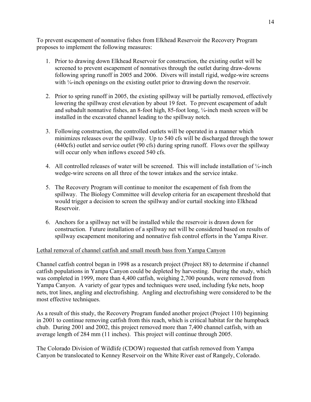To prevent escapement of nonnative fishes from Elkhead Reservoir the Recovery Program proposes to implement the following measures:

- 1. Prior to drawing down Elkhead Reservoir for construction, the existing outlet will be screened to prevent escapement of nonnatives through the outlet during draw-downs following spring runoff in 2005 and 2006. Divers will install rigid, wedge-wire screens with <sup>1</sup>/<sub>4</sub>-inch openings on the existing outlet prior to drawing down the reservoir.
- 2. Prior to spring runoff in 2005, the existing spillway will be partially removed, effectively lowering the spillway crest elevation by about 19 feet. To prevent escapement of adult and subadult nonnative fishes, an 8-foot high, 85-foot long, ¼-inch mesh screen will be installed in the excavated channel leading to the spillway notch.
- 3. Following construction, the controlled outlets will be operated in a manner which minimizes releases over the spillway. Up to 540 cfs will be discharged through the tower (440cfs) outlet and service outlet (90 cfs) during spring runoff. Flows over the spillway will occur only when inflows exceed 540 cfs.
- 4. All controlled releases of water will be screened. This will include installation of  $\frac{1}{4}$ -inch wedge-wire screens on all three of the tower intakes and the service intake.
- 5. The Recovery Program will continue to monitor the escapement of fish from the spillway. The Biology Committee will develop criteria for an escapement threshold that would trigger a decision to screen the spillway and/or curtail stocking into Elkhead Reservoir.
- 6. Anchors for a spillway net will be installed while the reservoir is drawn down for construction. Future installation of a spillway net will be considered based on results of spillway escapement monitoring and nonnative fish control efforts in the Yampa River.

# Lethal removal of channel catfish and small mouth bass from Yampa Canyon

Channel catfish control began in 1998 as a research project (Project 88) to determine if channel catfish populations in Yampa Canyon could be depleted by harvesting. During the study, which was completed in 1999, more than 4,400 catfish, weighing 2,700 pounds, were removed from Yampa Canyon. A variety of gear types and techniques were used, including fyke nets, hoop nets, trot lines, angling and electrofishing. Angling and electrofishing were considered to be the most effective techniques.

As a result of this study, the Recovery Program funded another project (Project 110) beginning in 2001 to continue removing catfish from this reach, which is critical habitat for the humpback chub. During 2001 and 2002, this project removed more than 7,400 channel catfish, with an average length of 284 mm (11 inches). This project will continue through 2005.

The Colorado Division of Wildlife (CDOW) requested that catfish removed from Yampa Canyon be translocated to Kenney Reservoir on the White River east of Rangely, Colorado.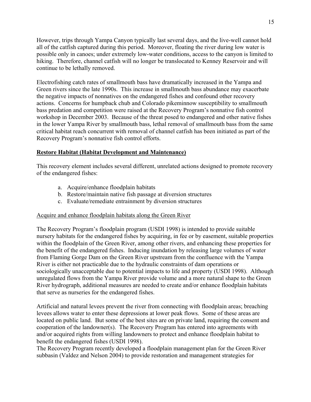However, trips through Yampa Canyon typically last several days, and the live-well cannot hold all of the catfish captured during this period. Moreover, floating the river during low water is possible only in canoes; under extremely low-water conditions, access to the canyon is limited to hiking. Therefore, channel catfish will no longer be translocated to Kenney Reservoir and will continue to be lethally removed.

Electrofishing catch rates of smallmouth bass have dramatically increased in the Yampa and Green rivers since the late 1990s. This increase in smallmouth bass abundance may exacerbate the negative impacts of nonnatives on the endangered fishes and confound other recovery actions. Concerns for humpback chub and Colorado pikeminnow susceptibility to smallmouth bass predation and competition were raised at the Recovery Program's nonnative fish control workshop in December 2003. Because of the threat posed to endangered and other native fishes in the lower Yampa River by smallmouth bass, lethal removal of smallmouth bass from the same critical habitat reach concurrent with removal of channel catfish has been initiated as part of the Recovery Program's nonnative fish control efforts.

# **Restore Habitat (Habitat Development and Maintenance)**

This recovery element includes several different, unrelated actions designed to promote recovery of the endangered fishes:

- a. Acquire/enhance floodplain habitats
- b. Restore/maintain native fish passage at diversion structures
- c. Evaluate/remediate entrainment by diversion structures

# Acquire and enhance floodplain habitats along the Green River

The Recovery Program's floodplain program (USDI 1998) is intended to provide suitable nursery habitats for the endangered fishes by acquiring, in fee or by easement, suitable properties within the floodplain of the Green River, among other rivers, and enhancing these properties for the benefit of the endangered fishes. Inducing inundation by releasing large volumes of water from Flaming Gorge Dam on the Green River upstream from the confluence with the Yampa River is either not practicable due to the hydraulic constraints of dam operations or sociologically unacceptable due to potential impacts to life and property (USDI 1998). Although unregulated flows from the Yampa River provide volume and a more natural shape to the Green River hydrograph, additional measures are needed to create and/or enhance floodplain habitats that serve as nurseries for the endangered fishes.

Artificial and natural levees prevent the river from connecting with floodplain areas; breaching levees allows water to enter these depressions at lower peak flows. Some of these areas are located on public land. But some of the best sites are on private land, requiring the consent and cooperation of the landowner(s). The Recovery Program has entered into agreements with and/or acquired rights from willing landowners to protect and enhance floodplain habitat to benefit the endangered fishes (USDI 1998).

The Recovery Program recently developed a floodplain management plan for the Green River subbasin (Valdez and Nelson 2004) to provide restoration and management strategies for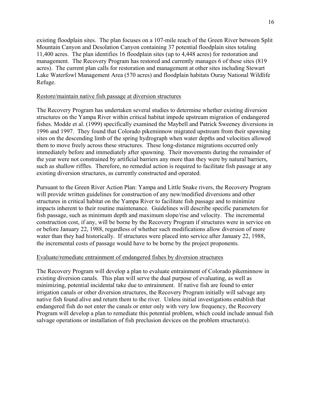existing floodplain sites. The plan focuses on a 107-mile reach of the Green River between Split Mountain Canyon and Desolation Canyon containing 37 potential floodplain sites totaling 11,400 acres. The plan identifies 16 floodplain sites (up to 4,448 acres) for restoration and management. The Recovery Program has restored and currently manages 6 of these sites (819 acres). The current plan calls for restoration and management at other sites including Stewart Lake Waterfowl Management Area (570 acres) and floodplain habitats Ouray National Wildlife Refuge.

## Restore/maintain native fish passage at diversion structures

The Recovery Program has undertaken several studies to determine whether existing diversion structures on the Yampa River within critical habitat impede upstream migration of endangered fishes. Modde et al. (1999) specifically examined the Maybell and Patrick Sweeney diversions in 1996 and 1997. They found that Colorado pikeminnow migrated upstream from their spawning sites on the descending limb of the spring hydrograph when water depths and velocities allowed them to move freely across these structures. These long-distance migrations occurred only immediately before and immediately after spawning. Their movements during the remainder of the year were not constrained by artificial barriers any more than they were by natural barriers, such as shallow riffles. Therefore, no remedial action is required to facilitate fish passage at any existing diversion structures, as currently constructed and operated.

Pursuant to the Green River Action Plan: Yampa and Little Snake rivers, the Recovery Program will provide written guidelines for construction of any new/modified diversions and other structures in critical habitat on the Yampa River to facilitate fish passage and to minimize impacts inherent to their routine maintenance. Guidelines will describe specific parameters for fish passage, such as minimum depth and maximum slope/rise and velocity. The incremental construction cost, if any, will be borne by the Recovery Program if structures were in service on or before January 22, 1988, regardless of whether such modifications allow diversion of more water than they had historically. If structures were placed into service after January 22, 1988, the incremental costs of passage would have to be borne by the project proponents.

# Evaluate/remediate entrainment of endangered fishes by diversion structures

The Recovery Program will develop a plan to evaluate entrainment of Colorado pikeminnow in existing diversion canals. This plan will serve the dual purpose of evaluating, as well as minimizing, potential incidental take due to entrainment. If native fish are found to enter irrigation canals or other diversion structures, the Recovery Program initially will salvage any native fish found alive and return them to the river. Unless initial investigations establish that endangered fish do not enter the canals or enter only with very low frequency, the Recovery Program will develop a plan to remediate this potential problem, which could include annual fish salvage operations or installation of fish preclusion devices on the problem structure(s).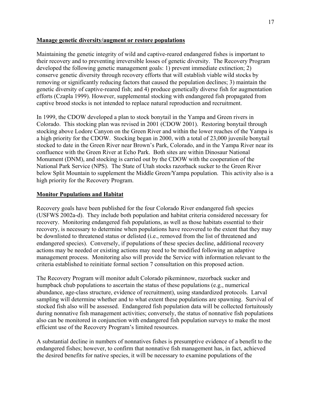# **Manage genetic diversity/augment or restore populations**

Maintaining the genetic integrity of wild and captive-reared endangered fishes is important to their recovery and to preventing irreversible losses of genetic diversity. The Recovery Program developed the following genetic management goals: 1) prevent immediate extinction; 2) conserve genetic diversity through recovery efforts that will establish viable wild stocks by removing or significantly reducing factors that caused the population declines; 3) maintain the genetic diversity of captive-reared fish; and 4) produce genetically diverse fish for augmentation efforts (Czapla 1999). However, supplemental stocking with endangered fish propagated from captive brood stocks is not intended to replace natural reproduction and recruitment.

In 1999, the CDOW developed a plan to stock bonytail in the Yampa and Green rivers in Colorado. This stocking plan was revised in 2001 (CDOW 2001). Restoring bonytail through stocking above Lodore Canyon on the Green River and within the lower reaches of the Yampa is a high priority for the CDOW. Stocking began in 2000, with a total of 23,000 juvenile bonytail stocked to date in the Green River near Brown's Park, Colorado, and in the Yampa River near its confluence with the Green River at Echo Park. Both sites are within Dinosaur National Monument (DNM), and stocking is carried out by the CDOW with the cooperation of the National Park Service (NPS). The State of Utah stocks razorback sucker to the Green River below Split Mountain to supplement the Middle Green/Yampa population. This activity also is a high priority for the Recovery Program.

# **Monitor Populations and Habitat**

Recovery goals have been published for the four Colorado River endangered fish species (USFWS 2002a-d). They include both population and habitat criteria considered necessary for recovery. Monitoring endangered fish populations, as well as those habitats essential to their recovery, is necessary to determine when populations have recovered to the extent that they may be downlisted to threatened status or delisted (i.e., removed from the list of threatened and endangered species). Conversely, if populations of these species decline, additional recovery actions may be needed or existing actions may need to be modified following an adaptive management process. Monitoring also will provide the Service with information relevant to the criteria established to reinitiate formal section 7 consultation on this proposed action.

The Recovery Program will monitor adult Colorado pikeminnow, razorback sucker and humpback chub populations to ascertain the status of these populations (e.g., numerical abundance, age-class structure, evidence of recruitment), using standardized protocols. Larval sampling will determine whether and to what extent these populations are spawning. Survival of stocked fish also will be assessed. Endangered fish population data will be collected fortuitously during nonnative fish management activities; conversely, the status of nonnative fish populations also can be monitored in conjunction with endangered fish population surveys to make the most efficient use of the Recovery Program's limited resources.

A substantial decline in numbers of nonnatives fishes is presumptive evidence of a benefit to the endangered fishes; however, to confirm that nonnative fish management has, in fact, achieved the desired benefits for native species, it will be necessary to examine populations of the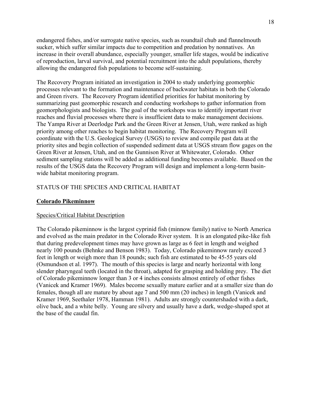endangered fishes, and/or surrogate native species, such as roundtail chub and flannelmouth sucker, which suffer similar impacts due to competition and predation by nonnatives. An increase in their overall abundance, especially younger, smaller life stages, would be indicative of reproduction, larval survival, and potential recruitment into the adult populations, thereby allowing the endangered fish populations to become self-sustaining.

The Recovery Program initiated an investigation in 2004 to study underlying geomorphic processes relevant to the formation and maintenance of backwater habitats in both the Colorado and Green rivers. The Recovery Program identified priorities for habitat monitoring by summarizing past geomorphic research and conducting workshops to gather information from geomorphologists and biologists. The goal of the workshops was to identify important river reaches and fluvial processes where there is insufficient data to make management decisions. The Yampa River at Deerlodge Park and the Green River at Jensen, Utah, were ranked as high priority among other reaches to begin habitat monitoring. The Recovery Program will coordinate with the U.S. Geological Survey (USGS) to review and compile past data at the priority sites and begin collection of suspended sediment data at USGS stream flow gages on the Green River at Jensen, Utah, and on the Gunnison River at Whitewater, Colorado. Other sediment sampling stations will be added as additional funding becomes available. Based on the results of the USGS data the Recovery Program will design and implement a long-term basinwide habitat monitoring program.

# STATUS OF THE SPECIES AND CRITICAL HABITAT

# **Colorado Pikeminnow**

# Species/Critical Habitat Description

The Colorado pikeminnow is the largest cyprinid fish (minnow family) native to North America and evolved as the main predator in the Colorado River system. It is an elongated pike-like fish that during predevelopment times may have grown as large as 6 feet in length and weighed nearly 100 pounds (Behnke and Benson 1983). Today, Colorado pikeminnow rarely exceed 3 feet in length or weigh more than 18 pounds; such fish are estimated to be 45-55 years old (Osmundson et al. 1997). The mouth of this species is large and nearly horizontal with long slender pharyngeal teeth (located in the throat), adapted for grasping and holding prey. The diet of Colorado pikeminnow longer than 3 or 4 inches consists almost entirely of other fishes (Vanicek and Kramer 1969). Males become sexually mature earlier and at a smaller size than do females, though all are mature by about age 7 and 500 mm (20 inches) in length (Vanicek and Kramer 1969, Seethaler 1978, Hamman 1981). Adults are strongly countershaded with a dark, olive back, and a white belly. Young are silvery and usually have a dark, wedge-shaped spot at the base of the caudal fin.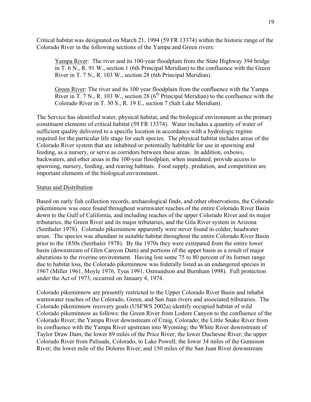Critical habitat was designated on March 21, 1994 (59 FR 13374) within the historic range of the Colorado River in the following sections of the Yampa and Green rivers:

Yampa River: The river and its 100-year floodplain from the State Highway 394 bridge in T. 6 N., R. 91 W., section 1 (6th Principal Meridian) to the confluence with the Green River in T. 7 N., R. 103 W., section 28 (6th Principal Meridian).

Green River: The river and its 100 year floodplain from the confluence with the Yampa River in T. 7 N., R. 103 W., section 28 ( $6<sup>th</sup>$  Principal Meridian) to the confluence with the Colorado River in T. 30 S., R. 19 E., section 7 (Salt Lake Meridian).

The Service has identified water, physical habitat, and the biological environment as the primary constituent elements of critical habitat (59 FR 13374). Water includes a quantity of water of sufficient quality delivered to a specific location in accordance with a hydrologic regime required for the particular life stage for each species. The physical habitat includes areas of the Colorado River system that are inhabited or potentially habitable for use in spawning and feeding, as a nursery, or serve as corridors between these areas. In addition, oxbows, backwaters, and other areas in the 100-year floodplain, when inundated, provide access to spawning, nursery, feeding, and rearing habitats. Food supply, predation, and competition are important elements of the biological environment.

### Status and Distribution

Based on early fish collection records, archaeological finds, and other observations, the Colorado pikeminnow was once found throughout warmwater reaches of the entire Colorado River Basin down to the Gulf of California, and including reaches of the upper Colorado River and its major tributaries, the Green River and its major tributaries, and the Gila River system in Arizona (Seethaler 1978). Colorado pikeminnow apparently were never found in colder, headwater areas. The species was abundant in suitable habitat throughout the entire Colorado River Basin prior to the 1850s (Seethaler 1978). By the 1970s they were extirpated from the entire lower basin (downstream of Glen Canyon Dam) and portions of the upper basin as a result of major alterations to the riverine environment. Having lost some 75 to 80 percent of its former range due to habitat loss, the Colorado pikeminnow was federally listed as an endangered species in 1967 (Miller 1961, Moyle 1976, Tyus 1991, Osmundson and Burnham 1998). Full protection under the Act of 1973, occurred on January 4, 1974.

Colorado pikeminnow are presently restricted to the Upper Colorado River Basin and inhabit warmwater reaches of the Colorado, Green, and San Juan rivers and associated tributaries. The Colorado pikeminnow recovery goals (USFWS 2002a) identify occupied habitat of wild Colorado pikeminnow as follows: the Green River from Lodore Canyon to the confluence of the Colorado River; the Yampa River downstream of Craig, Colorado; the Little Snake River from its confluence with the Yampa River upstream into Wyoming; the White River downstream of Taylor Draw Dam; the lower 89 miles of the Price River; the lower Duchesne River; the upper Colorado River from Palisade, Colorado, to Lake Powell; the lower 34 miles of the Gunnison River; the lower mile of the Dolores River; and 150 miles of the San Juan River downstream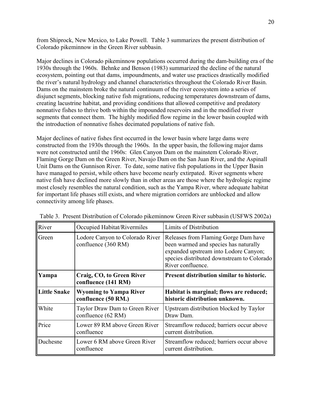from Shiprock, New Mexico, to Lake Powell. Table 3 summarizes the present distribution of Colorado pikeminnow in the Green River subbasin.

Major declines in Colorado pikeminnow populations occurred during the dam-building era of the 1930s through the 1960s. Behnke and Benson (1983) summarized the decline of the natural ecosystem, pointing out that dams, impoundments, and water use practices drastically modified the river's natural hydrology and channel characteristics throughout the Colorado River Basin. Dams on the mainstem broke the natural continuum of the river ecosystem into a series of disjunct segments, blocking native fish migrations, reducing temperatures downstream of dams, creating lacustrine habitat, and providing conditions that allowed competitive and predatory nonnative fishes to thrive both within the impounded reservoirs and in the modified river segments that connect them. The highly modified flow regime in the lower basin coupled with the introduction of nonnative fishes decimated populations of native fish.

Major declines of native fishes first occurred in the lower basin where large dams were constructed from the 1930s through the 1960s. In the upper basin, the following major dams were not constructed until the 1960s: Glen Canyon Dam on the mainstem Colorado River, Flaming Gorge Dam on the Green River, Navajo Dam on the San Juan River, and the Aspinall Unit Dams on the Gunnison River. To date, some native fish populations in the Upper Basin have managed to persist, while others have become nearly extirpated. River segments where native fish have declined more slowly than in other areas are those where the hydrologic regime most closely resembles the natural condition, such as the Yampa River, where adequate habitat for important life phases still exists, and where migration corridors are unblocked and allow connectivity among life phases.

| River               | Occupied Habitat/Rivermiles                            | Limits of Distribution                                                                                                                                                                    |  |  |  |  |
|---------------------|--------------------------------------------------------|-------------------------------------------------------------------------------------------------------------------------------------------------------------------------------------------|--|--|--|--|
| Green               | Lodore Canyon to Colorado River<br>confluence (360 RM) | Releases from Flaming Gorge Dam have<br>been warmed and species has naturally<br>expanded upstream into Lodore Canyon;<br>species distributed downstream to Colorado<br>River confluence. |  |  |  |  |
| Yampa               | Craig, CO, to Green River<br>confluence (141 RM)       | Present distribution similar to historic.                                                                                                                                                 |  |  |  |  |
| <b>Little Snake</b> | <b>Wyoming to Yampa River</b><br>confluence (50 RM.)   | Habitat is marginal; flows are reduced;<br>historic distribution unknown.                                                                                                                 |  |  |  |  |
| White               | Taylor Draw Dam to Green River<br>confluence (62 RM)   | Upstream distribution blocked by Taylor<br>Draw Dam.                                                                                                                                      |  |  |  |  |
| Price               | Lower 89 RM above Green River<br>confluence            | Streamflow reduced; barriers occur above<br>current distribution.                                                                                                                         |  |  |  |  |
| Duchesne            | Lower 6 RM above Green River<br>confluence             | Streamflow reduced; barriers occur above<br>current distribution.                                                                                                                         |  |  |  |  |

|  |  | Table 3. Present Distribution of Colorado pikeminnow Green River subbasin (USFWS 2002a) |  |  |  |  |  |  |  |  |
|--|--|-----------------------------------------------------------------------------------------|--|--|--|--|--|--|--|--|
|--|--|-----------------------------------------------------------------------------------------|--|--|--|--|--|--|--|--|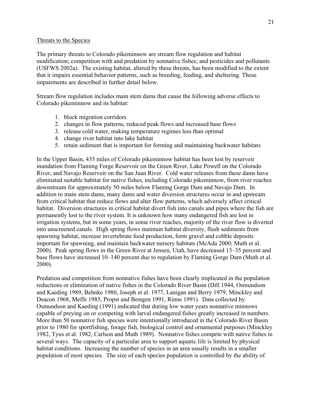## Threats to the Species

The primary threats to Colorado pikeminnow are stream flow regulation and habitat modification; competition with and predation by nonnative fishes; and pesticides and pollutants (USFWS 2002a). The existing habitat, altered by these threats, has been modified to the extent that it impairs essential behavior patterns, such as breeding, feeding, and sheltering. These impairments are described in further detail below.

Stream flow regulation includes main stem dams that cause the following adverse effects to Colorado pikeminnow and its habitat:

- 1. block migration corridors
- 2. changes in flow patterns, reduced peak flows and increased base flows
- 3. release cold water, making temperature regimes less than optimal
- 4. change river habitat into lake habitat
- 5. retain sediment that is important for forming and maintaining backwater habitats

In the Upper Basin, 435 miles of Colorado pikeminnow habitat has been lost by reservoir inundation from Flaming Forge Reservoir on the Green River, Lake Powell on the Colorado River, and Navajo Reservoir on the San Juan River. Cold water releases from these dams have eliminated suitable habitat for native fishes, including Colorado pikeminnow, from river reaches downstream for approximately 50 miles below Flaming Gorge Dam and Navajo Dam. In addition to main stem dams, many dams and water diversion structures occur in and upstream from critical habitat that reduce flows and alter flow patterns, which adversely affect critical habitat. Diversion structures in critical habitat divert fish into canals and pipes where the fish are permanently lost to the river system. It is unknown how many endangered fish are lost in irrigation systems, but in some years, in some river reaches, majority of the river flow is diverted into unscreened canals. High spring flows maintain habitat diversity, flush sediments from spawning habitat, increase invertebrate food production, form gravel and cobble deposits important for spawning, and maintain backwater nursery habitats (McAda 2000; Muth et al. 2000). Peak spring flows in the Green River at Jensen, Utah, have decreased 13–35 percent and base flows have increased 10–140 percent due to regulation by Flaming Gorge Dam (Muth et al. 2000).

Predation and competition from nonnative fishes have been clearly implicated in the population reductions or elimination of native fishes in the Colorado River Basin (Dill 1944, Osmundson and Kaeding 1989, Behnke 1980, Joseph et al. 1977, Lanigan and Berry 1979, Minckley and Deacon 1968, Meffe 1985, Propst and Bestgen 1991, Rinne 1991). Data collected by Osmundson and Kaeding (1991) indicated that during low water years nonnative minnows capable of preying on or competing with larval endangered fishes greatly increased in numbers. More than 50 nonnative fish species were intentionally introduced in the Colorado River Basin prior to 1980 for sportfishing, forage fish, biological control and ornamental purposes (Minckley 1982, Tyus et al. 1982, Carlson and Muth 1989). Nonnative fishes compete with native fishes in several ways. The capacity of a particular area to support aquatic life is limited by physical habitat conditions. Increasing the number of species in an area usually results in a smaller population of most species. The size of each species population is controlled by the ability of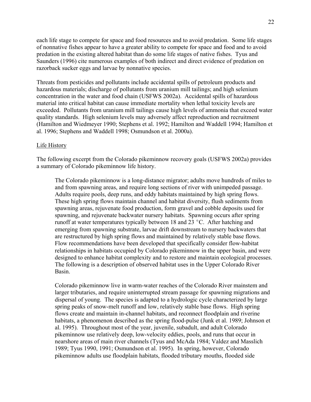each life stage to compete for space and food resources and to avoid predation. Some life stages of nonnative fishes appear to have a greater ability to compete for space and food and to avoid predation in the existing altered habitat than do some life stages of native fishes. Tyus and Saunders (1996) cite numerous examples of both indirect and direct evidence of predation on razorback sucker eggs and larvae by nonnative species.

Threats from pesticides and pollutants include accidental spills of petroleum products and hazardous materials; discharge of pollutants from uranium mill tailings; and high selenium concentration in the water and food chain (USFWS 2002a). Accidental spills of hazardous material into critical habitat can cause immediate mortality when lethal toxicity levels are exceeded. Pollutants from uranium mill tailings cause high levels of ammonia that exceed water quality standards. High selenium levels may adversely affect reproduction and recruitment (Hamilton and Wiedmeyer 1990; Stephens et al. 1992; Hamilton and Waddell 1994; Hamilton et al. 1996; Stephens and Waddell 1998; Osmundson et al. 2000a).

#### Life History

The following excerpt from the Colorado pikeminnow recovery goals (USFWS 2002a) provides a summary of Colorado pikeminnow life history.

The Colorado pikeminnow is a long-distance migrator; adults move hundreds of miles to and from spawning areas, and require long sections of river with unimpeded passage. Adults require pools, deep runs, and eddy habitats maintained by high spring flows. These high spring flows maintain channel and habitat diversity, flush sediments from spawning areas, rejuvenate food production, form gravel and cobble deposits used for spawning, and rejuvenate backwater nursery habitats. Spawning occurs after spring runoff at water temperatures typically between 18 and 23  $^{\circ}$ C. After hatching and emerging from spawning substrate, larvae drift downstream to nursery backwaters that are restructured by high spring flows and maintained by relatively stable base flows. Flow recommendations have been developed that specifically consider flow-habitat relationships in habitats occupied by Colorado pikeminnow in the upper basin, and were designed to enhance habitat complexity and to restore and maintain ecological processes. The following is a description of observed habitat uses in the Upper Colorado River Basin.

Colorado pikeminnow live in warm-water reaches of the Colorado River mainstem and larger tributaries, and require uninterrupted stream passage for spawning migrations and dispersal of young. The species is adapted to a hydrologic cycle characterized by large spring peaks of snow-melt runoff and low, relatively stable base flows. High spring flows create and maintain in-channel habitats, and reconnect floodplain and riverine habitats, a phenomenon described as the spring flood-pulse (Junk et al. 1989; Johnson et al. 1995). Throughout most of the year, juvenile, subadult, and adult Colorado pikeminnow use relatively deep, low-velocity eddies, pools, and runs that occur in nearshore areas of main river channels (Tyus and McAda 1984; Valdez and Masslich 1989; Tyus 1990, 1991; Osmundson et al. 1995). In spring, however, Colorado pikeminnow adults use floodplain habitats, flooded tributary mouths, flooded side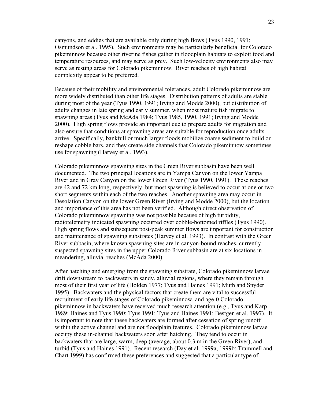canyons, and eddies that are available only during high flows (Tyus 1990, 1991; Osmundson et al. 1995). Such environments may be particularly beneficial for Colorado pikeminnow because other riverine fishes gather in floodplain habitats to exploit food and temperature resources, and may serve as prey. Such low-velocity environments also may serve as resting areas for Colorado pikeminnow. River reaches of high habitat complexity appear to be preferred.

Because of their mobility and environmental tolerances, adult Colorado pikeminnow are more widely distributed than other life stages. Distribution patterns of adults are stable during most of the year (Tyus 1990, 1991; Irving and Modde 2000), but distribution of adults changes in late spring and early summer, when most mature fish migrate to spawning areas (Tyus and McAda 1984; Tyus 1985, 1990, 1991; Irving and Modde 2000). High spring flows provide an important cue to prepare adults for migration and also ensure that conditions at spawning areas are suitable for reproduction once adults arrive. Specifically, bankfull or much larger floods mobilize coarse sediment to build or reshape cobble bars, and they create side channels that Colorado pikeminnow sometimes use for spawning (Harvey et al. 1993).

Colorado pikeminnow spawning sites in the Green River subbasin have been well documented. The two principal locations are in Yampa Canyon on the lower Yampa River and in Gray Canyon on the lower Green River (Tyus 1990, 1991). These reaches are 42 and 72 km long, respectively, but most spawning is believed to occur at one or two short segments within each of the two reaches. Another spawning area may occur in Desolation Canyon on the lower Green River (Irving and Modde 2000), but the location and importance of this area has not been verified. Although direct observation of Colorado pikeminnow spawning was not possible because of high turbidity, radiotelemetry indicated spawning occurred over cobble-bottomed riffles (Tyus 1990). High spring flows and subsequent post-peak summer flows are important for construction and maintenance of spawning substrates (Harvey et al. 1993). In contrast with the Green River subbasin, where known spawning sites are in canyon-bound reaches, currently suspected spawning sites in the upper Colorado River subbasin are at six locations in meandering, alluvial reaches (McAda 2000).

After hatching and emerging from the spawning substrate, Colorado pikeminnow larvae drift downstream to backwaters in sandy, alluvial regions, where they remain through most of their first year of life (Holden 1977; Tyus and Haines 1991; Muth and Snyder 1995). Backwaters and the physical factors that create them are vital to successful recruitment of early life stages of Colorado pikeminnow, and age-0 Colorado pikeminnow in backwaters have received much research attention (e.g., Tyus and Karp 1989; Haines and Tyus 1990; Tyus 1991; Tyus and Haines 1991; Bestgen et al. 1997). It is important to note that these backwaters are formed after cessation of spring runoff within the active channel and are not floodplain features. Colorado pikeminnow larvae occupy these in-channel backwaters soon after hatching. They tend to occur in backwaters that are large, warm, deep (average, about 0.3 m in the Green River), and turbid (Tyus and Haines 1991). Recent research (Day et al. 1999a, 1999b; Trammell and Chart 1999) has confirmed these preferences and suggested that a particular type of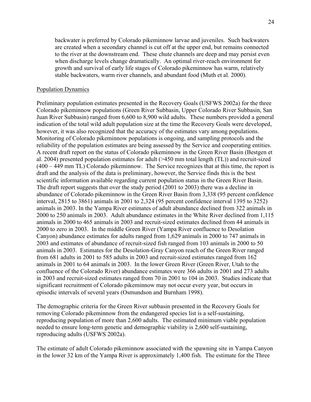backwater is preferred by Colorado pikeminnow larvae and juveniles. Such backwaters are created when a secondary channel is cut off at the upper end, but remains connected to the river at the downstream end. These chute channels are deep and may persist even when discharge levels change dramatically. An optimal river-reach environment for growth and survival of early life stages of Colorado pikeminnow has warm, relatively stable backwaters, warm river channels, and abundant food (Muth et al. 2000).

#### Population Dynamics

Preliminary population estimates presented in the Recovery Goals (USFWS 2002a) for the three Colorado pikeminnow populations (Green River Subbasin, Upper Colorado River Subbasin, San Juan River Subbasin) ranged from 6,600 to 8,900 wild adults. These numbers provided a general indication of the total wild adult population size at the time the Recovery Goals were developed, however, it was also recognized that the accuracy of the estimates vary among populations. Monitoring of Colorado pikeminnow populations is ongoing, and sampling protocols and the reliability of the population estimates are being assessed by the Service and cooperating entities. A recent draft report on the status of Colorado pikeminnow in the Green River Basin (Bestgen et al. 2004) presented population estimates for adult (>450 mm total length (TL)) and recruit-sized (400 – 449 mm TL) Colorado pikeminnow. The Service recognizes that at this time, the report is draft and the analysis of the data is preliminary, however, the Service finds this is the best scientific information available regarding current population status in the Green River Basin. The draft report suggests that over the study period (2001 to 2003) there was a decline in abundance of Colorado pikeminnow in the Green River Basin from 3,338 (95 percent confidence interval, 2815 to 3861) animals in 2001 to 2,324 (95 percent confidence interval 1395 to 3252) animals in 2003. In the Yampa River estimates of adult abundance declined from 322 animals in 2000 to 250 animals in 2003. Adult abundance estimates in the White River declined from 1,115 animals in 2000 to 465 animals in 2003 and recruit-sized estimates declined from 44 animals in 2000 to zero in 2003. In the middle Green River (Yampa River confluence to Desolation Canyon) abundance estimates for adults ranged from 1,629 animals in 2000 to 747 animals in 2003 and estimates of abundance of recruit-sized fish ranged from 103 animals in 2000 to 50 animals in 2003. Estimates for the Desolation-Gray Canyon reach of the Green River ranged from 681 adults in 2001 to 585 adults in 2003 and recruit-sized estimates ranged from 162 animals in 2001 to 64 animals in 2003. In the lower Green River (Green River, Utah to the confluence of the Colorado River) abundance estimates were 366 adults in 2001 and 273 adults in 2003 and recruit-sized estimates ranged from 70 in 2001 to 104 in 2003. Studies indicate that significant recruitment of Colorado pikeminnow may not occur every year, but occurs in episodic intervals of several years (Osmundson and Burnham 1998).

The demographic criteria for the Green River subbasin presented in the Recovery Goals for removing Colorado pikeminnow from the endangered species list is a self-sustaining, reproducing population of more than 2,600 adults. The estimated minimum viable population needed to ensure long-term genetic and demographic viability is 2,600 self-sustaining, reproducing adults (USFWS 2002a).

The estimate of adult Colorado pikeminnow associated with the spawning site in Yampa Canyon in the lower 32 km of the Yampa River is approximately 1,400 fish. The estimate for the Three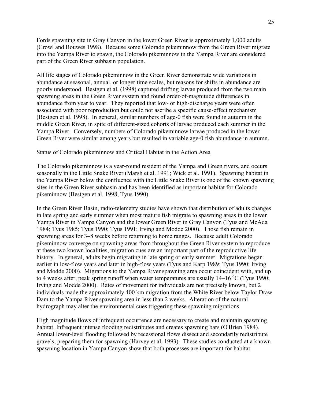Fords spawning site in Gray Canyon in the lower Green River is approximately 1,000 adults (Crowl and Bouwes 1998). Because some Colorado pikeminnow from the Green River migrate into the Yampa River to spawn, the Colorado pikeminnow in the Yampa River are considered part of the Green River subbasin population.

All life stages of Colorado pikeminnow in the Green River demonstrate wide variations in abundance at seasonal, annual, or longer time scales, but reasons for shifts in abundance are poorly understood. Bestgen et al. (1998) captured drifting larvae produced from the two main spawning areas in the Green River system and found order-of-magnitude differences in abundance from year to year. They reported that low- or high-discharge years were often associated with poor reproduction but could not ascribe a specific cause-effect mechanism (Bestgen et al. 1998). In general, similar numbers of age-0 fish were found in autumn in the middle Green River, in spite of different-sized cohorts of larvae produced each summer in the Yampa River. Conversely, numbers of Colorado pikeminnow larvae produced in the lower Green River were similar among years but resulted in variable age-0 fish abundance in autumn.

### Status of Colorado pikeminnow and Critical Habitat in the Action Area

The Colorado pikeminnow is a year-round resident of the Yampa and Green rivers, and occurs seasonally in the Little Snake River (Marsh et al. 1991; Wick et al. 1991). Spawning habitat in the Yampa River below the confluence with the Little Snake River is one of the known spawning sites in the Green River subbasin and has been identified as important habitat for Colorado pikeminnow (Bestgen et al. 1998, Tyus 1990).

In the Green River Basin, radio-telemetry studies have shown that distribution of adults changes in late spring and early summer when most mature fish migrate to spawning areas in the lower Yampa River in Yampa Canyon and the lower Green River in Gray Canyon (Tyus and McAda 1984; Tyus 1985; Tyus 1990; Tyus 1991; Irving and Modde 2000). Those fish remain in spawning areas for 3–8 weeks before returning to home ranges. Because adult Colorado pikeminnow converge on spawning areas from throughout the Green River system to reproduce at these two known localities, migration cues are an important part of the reproductive life history. In general, adults begin migrating in late spring or early summer. Migrations began earlier in low-flow years and later in high-flow years (Tyus and Karp 1989; Tyus 1990; Irving and Modde 2000). Migrations to the Yampa River spawning area occur coincident with, and up to 4 weeks after, peak spring runoff when water temperatures are usually  $14-16$  °C (Tyus 1990; Irving and Modde 2000). Rates of movement for individuals are not precisely known, but 2 individuals made the approximately 400 km migration from the White River below Taylor Draw Dam to the Yampa River spawning area in less than 2 weeks. Alteration of the natural hydrograph may alter the environmental cues triggering these spawning migrations.

High magnitude flows of infrequent occurrence are necessary to create and maintain spawning habitat. Infrequent intense flooding redistributes and creates spawning bars (O'Brien 1984). Annual lower-level flooding followed by recessional flows dissect and secondarily redistribute gravels, preparing them for spawning (Harvey et al. 1993). These studies conducted at a known spawning location in Yampa Canyon show that both processes are important for habitat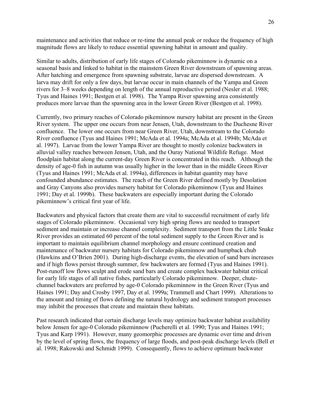maintenance and activities that reduce or re-time the annual peak or reduce the frequency of high magnitude flows are likely to reduce essential spawning habitat in amount and quality.

Similar to adults, distribution of early life stages of Colorado pikeminnow is dynamic on a seasonal basis and linked to habitat in the mainstem Green River downstream of spawning areas. After hatching and emergence from spawning substrate, larvae are dispersed downstream. A larva may drift for only a few days, but larvae occur in main channels of the Yampa and Green rivers for 3–8 weeks depending on length of the annual reproductive period (Nesler et al. 1988; Tyus and Haines 1991; Bestgen et al. 1998). The Yampa River spawning area consistently produces more larvae than the spawning area in the lower Green River (Bestgen et al. 1998).

Currently, two primary reaches of Colorado pikeminnow nursery habitat are present in the Green River system. The upper one occurs from near Jensen, Utah, downstream to the Duchesne River confluence. The lower one occurs from near Green River, Utah, downstream to the Colorado River confluence (Tyus and Haines 1991; McAda et al. 1994a; McAda et al. 1994b; McAda et al. 1997). Larvae from the lower Yampa River are thought to mostly colonize backwaters in alluvial valley reaches between Jensen, Utah, and the Ouray National Wildlife Refuge. Most floodplain habitat along the current-day Green River is concentrated in this reach. Although the density of age-0 fish in autumn was usually higher in the lower than in the middle Green River (Tyus and Haines 1991; McAda et al. 1994a), differences in habitat quantity may have confounded abundance estimates. The reach of the Green River defined mostly by Desolation and Gray Canyons also provides nursery habitat for Colorado pikeminnow (Tyus and Haines 1991; Day et al. 1999b). These backwaters are especially important during the Colorado pikeminnow's critical first year of life.

Backwaters and physical factors that create them are vital to successful recruitment of early life stages of Colorado pikeminnow. Occasional very high spring flows are needed to transport sediment and maintain or increase channel complexity. Sediment transport from the Little Snake River provides an estimated 60 percent of the total sediment supply to the Green River and is important to maintain equilibrium channel morphology and ensure continued creation and maintenance of backwater nursery habitats for Colorado pikeminnow and humpback chub (Hawkins and O'Brien 2001). During high-discharge events, the elevation of sand bars increases and if high flows persist through summer, few backwaters are formed (Tyus and Haines 1991). Post-runoff low flows sculpt and erode sand bars and create complex backwater habitat critical for early life stages of all native fishes, particularly Colorado pikeminnow. Deeper, chutechannel backwaters are preferred by age-0 Colorado pikeminnow in the Green River (Tyus and Haines 1991; Day and Crosby 1997, Day et al. 1999a; Trammell and Chart 1999). Alterations to the amount and timing of flows defining the natural hydrology and sediment transport processes may inhibit the processes that create and maintain these habitats.

Past research indicated that certain discharge levels may optimize backwater habitat availability below Jensen for age-0 Colorado pikeminnow (Pucherelli et al. 1990; Tyus and Haines 1991; Tyus and Karp 1991). However, many geomorphic processes are dynamic over time and driven by the level of spring flows, the frequency of large floods, and post-peak discharge levels (Bell et al. 1998; Rakowski and Schmidt 1999). Consequently, flows to achieve optimum backwater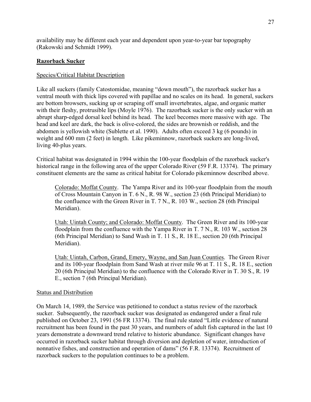availability may be different each year and dependent upon year-to-year bar topography (Rakowski and Schmidt 1999).

# **Razorback Sucker**

# Species/Critical Habitat Description

Like all suckers (family Catostomidae, meaning "down mouth"), the razorback sucker has a ventral mouth with thick lips covered with papillae and no scales on its head. In general, suckers are bottom browsers, sucking up or scraping off small invertebrates, algae, and organic matter with their fleshy, protrusible lips (Moyle 1976). The razorback sucker is the only sucker with an abrupt sharp-edged dorsal keel behind its head. The keel becomes more massive with age. The head and keel are dark, the back is olive-colored, the sides are brownish or reddish, and the abdomen is yellowish white (Sublette et al. 1990). Adults often exceed 3 kg (6 pounds) in weight and 600 mm (2 feet) in length. Like pikeminnow, razorback suckers are long-lived, living 40-plus years.

Critical habitat was designated in 1994 within the 100-year floodplain of the razorback sucker's historical range in the following area of the upper Colorado River (59 F.R. 13374). The primary constituent elements are the same as critical habitat for Colorado pikeminnow described above.

Colorado: Moffat County. The Yampa River and its 100-year floodplain from the mouth of Cross Mountain Canyon in T. 6 N., R. 98 W., section 23 (6th Principal Meridian) to the confluence with the Green River in T. 7 N., R. 103 W., section 28 (6th Principal Meridian).

Utah: Uintah County; and Colorado: Moffat County. The Green River and its 100-year floodplain from the confluence with the Yampa River in T. 7 N., R. 103 W., section 28 (6th Principal Meridian) to Sand Wash in T. 11 S., R. 18 E., section 20 (6th Principal Meridian).

Utah: Uintah, Carbon, Grand, Emery, Wayne, and San Juan Counties. The Green River and its 100-year floodplain from Sand Wash at river mile 96 at T. 11 S., R. 18 E., section 20 (6th Principal Meridian) to the confluence with the Colorado River in T. 30 S., R. 19 E., section 7 (6th Principal Meridian).

# Status and Distribution

On March 14, 1989, the Service was petitioned to conduct a status review of the razorback sucker. Subsequently, the razorback sucker was designated as endangered under a final rule published on October 23, 1991 (56 FR 13374). The final rule stated "Little evidence of natural recruitment has been found in the past 30 years, and numbers of adult fish captured in the last 10 years demonstrate a downward trend relative to historic abundance. Significant changes have occurred in razorback sucker habitat through diversion and depletion of water, introduction of nonnative fishes, and construction and operation of dams" (56 F.R. 13374). Recruitment of razorback suckers to the population continues to be a problem.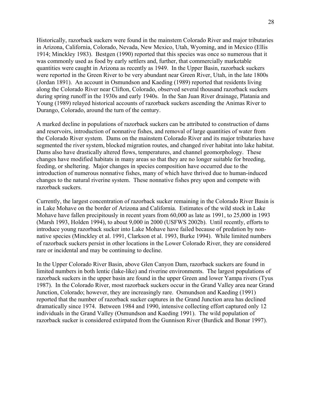Historically, razorback suckers were found in the mainstem Colorado River and major tributaries in Arizona, California, Colorado, Nevada, New Mexico, Utah, Wyoming, and in Mexico (Ellis 1914; Minckley 1983). Bestgen (1990) reported that this species was once so numerous that it was commonly used as food by early settlers and, further, that commercially marketable quantities were caught in Arizona as recently as 1949. In the Upper Basin, razorback suckers were reported in the Green River to be very abundant near Green River, Utah, in the late 1800s (Jordan 1891). An account in Osmundson and Kaeding (1989) reported that residents living along the Colorado River near Clifton, Colorado, observed several thousand razorback suckers during spring runoff in the 1930s and early 1940s. In the San Juan River drainage, Platania and Young (1989) relayed historical accounts of razorback suckers ascending the Animas River to Durango, Colorado, around the turn of the century.

A marked decline in populations of razorback suckers can be attributed to construction of dams and reservoirs, introduction of nonnative fishes, and removal of large quantities of water from the Colorado River system. Dams on the mainstem Colorado River and its major tributaries have segmented the river system, blocked migration routes, and changed river habitat into lake habitat. Dams also have drastically altered flows, temperatures, and channel geomorphology. These changes have modified habitats in many areas so that they are no longer suitable for breeding, feeding, or sheltering. Major changes in species composition have occurred due to the introduction of numerous nonnative fishes, many of which have thrived due to human-induced changes to the natural riverine system. These nonnative fishes prey upon and compete with razorback suckers.

Currently, the largest concentration of razorback sucker remaining in the Colorado River Basin is in Lake Mohave on the border of Arizona and California. Estimates of the wild stock in Lake Mohave have fallen precipitously in recent years from 60,000 as late as 1991, to 25,000 in 1993 (Marsh 1993, Holden 1994), to about 9,000 in 2000 (USFWS 2002b). Until recently, efforts to introduce young razorback sucker into Lake Mohave have failed because of predation by nonnative species (Minckley et al. 1991, Clarkson et al. 1993, Burke 1994). While limited numbers of razorback suckers persist in other locations in the Lower Colorado River, they are considered rare or incidental and may be continuing to decline.

In the Upper Colorado River Basin, above Glen Canyon Dam, razorback suckers are found in limited numbers in both lentic (lake-like) and riverine environments. The largest populations of razorback suckers in the upper basin are found in the upper Green and lower Yampa rivers (Tyus 1987). In the Colorado River, most razorback suckers occur in the Grand Valley area near Grand Junction, Colorado; however, they are increasingly rare. Osmundson and Kaeding (1991) reported that the number of razorback sucker captures in the Grand Junction area has declined dramatically since 1974. Between 1984 and 1990, intensive collecting effort captured only 12 individuals in the Grand Valley (Osmundson and Kaeding 1991). The wild population of razorback sucker is considered extirpated from the Gunnison River (Burdick and Bonar 1997).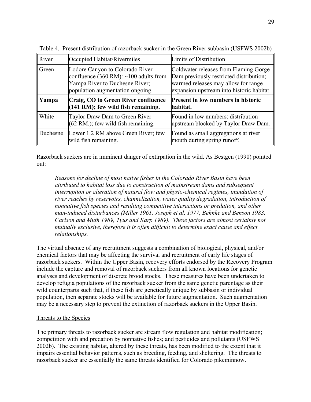| River    | Occupied Habitat/Rivermiles                                                                                                                               | Limits of Distribution                                                                                                                                               |  |  |  |  |
|----------|-----------------------------------------------------------------------------------------------------------------------------------------------------------|----------------------------------------------------------------------------------------------------------------------------------------------------------------------|--|--|--|--|
| Green    | Lodore Canyon to Colorado River<br>confluence $(360 \text{ RM})$ : ~100 adults from<br>Yampa River to Duchesne River;<br>population augmentation ongoing. | Coldwater releases from Flaming Gorge<br>Dam previously restricted distribution;<br>warmed releases may allow for range<br>expansion upstream into historic habitat. |  |  |  |  |
| Yampa    | Craig, CO to Green River confluence<br>(141 RM); few wild fish remaining.                                                                                 | <b>Present in low numbers in historic</b><br>habitat.                                                                                                                |  |  |  |  |
| White    | Taylor Draw Dam to Green River<br>(62 RM.); few wild fish remaining.                                                                                      | Found in low numbers; distribution<br>upstream blocked by Taylor Draw Dam.                                                                                           |  |  |  |  |
| Duchesne | Lower 1.2 RM above Green River; few<br>wild fish remaining.                                                                                               | Found as small aggregations at river<br>mouth during spring runoff.                                                                                                  |  |  |  |  |

Table 4. Present distribution of razorback sucker in the Green River subbasin (USFWS 2002b)

Razorback suckers are in imminent danger of extirpation in the wild. As Bestgen (1990) pointed out:

*Reasons for decline of most native fishes in the Colorado River Basin have been attributed to habitat loss due to construction of mainstream dams and subsequent interruption or alteration of natural flow and physio-chemical regimes, inundation of river reaches by reservoirs, channelization, water quality degradation, introduction of nonnative fish species and resulting competitive interactions or predation, and other man-induced disturbances (Miller 1961, Joseph et al. 1977, Behnke and Benson 1983, Carlson and Muth 1989, Tyus and Karp 1989). These factors are almost certainly not mutually exclusive, therefore it is often difficult to determine exact cause and effect relationships.* 

The virtual absence of any recruitment suggests a combination of biological, physical, and/or chemical factors that may be affecting the survival and recruitment of early life stages of razorback suckers. Within the Upper Basin, recovery efforts endorsed by the Recovery Program include the capture and removal of razorback suckers from all known locations for genetic analyses and development of discrete brood stocks. These measures have been undertaken to develop refugia populations of the razorback sucker from the same genetic parentage as their wild counterparts such that, if these fish are genetically unique by subbasin or individual population, then separate stocks will be available for future augmentation. Such augmentation may be a necessary step to prevent the extinction of razorback suckers in the Upper Basin.

# Threats to the Species

The primary threats to razorback sucker are stream flow regulation and habitat modification; competition with and predation by nonnative fishes; and pesticides and pollutants (USFWS 2002b). The existing habitat, altered by these threats, has been modified to the extent that it impairs essential behavior patterns, such as breeding, feeding, and sheltering. The threats to razorback sucker are essentially the same threats identified for Colorado pikeminnow.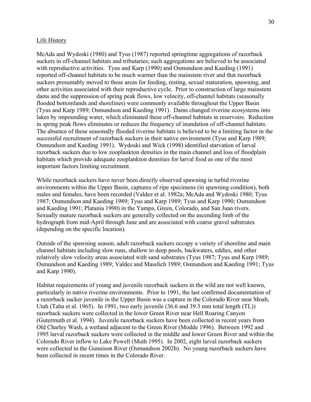#### Life History

McAda and Wydoski (1980) and Tyus (1987) reported springtime aggregations of razorback suckers in off-channel habitats and tributaries; such aggregations are believed to be associated with reproductive activities. Tyus and Karp (1990) and Osmundson and Kaeding (1991) reported off-channel habitats to be much warmer than the mainstem river and that razorback suckers presumably moved to these areas for feeding, resting, sexual maturation, spawning, and other activities associated with their reproductive cycle. Prior to construction of large mainstem dams and the suppression of spring peak flows, low velocity, off-channel habitats (seasonally flooded bottomlands and shorelines) were commonly available throughout the Upper Basin (Tyus and Karp 1989; Osmundson and Kaeding 1991). Dams changed riverine ecosystems into lakes by impounding water, which eliminated these off-channel habitats in reservoirs. Reduction in spring peak flows eliminates or reduces the frequency of inundation of off-channel habitats. The absence of these seasonally flooded riverine habitats is believed to be a limiting factor in the successful recruitment of razorback suckers in their native environment (Tyus and Karp 1989; Osmundson and Kaeding 1991). Wydoski and Wick (1998) identified starvation of larval razorback suckers due to low zooplankton densities in the main channel and loss of floodplain habitats which provide adequate zooplankton densities for larval food as one of the most important factors limiting recruitment.

While razorback suckers have never been directly observed spawning in turbid riverine environments within the Upper Basin, captures of ripe specimens (in spawning condition), both males and females, have been recorded (Valdez et al. 1982a; McAda and Wydoski 1980; Tyus 1987; Osmundson and Kaeding 1989; Tyus and Karp 1989; Tyus and Karp 1990; Osmundson and Kaeding 1991; Platania 1990) in the Yampa, Green, Colorado, and San Juan rivers. Sexually mature razorback suckers are generally collected on the ascending limb of the hydrograph from mid-April through June and are associated with coarse gravel substrates (depending on the specific location).

Outside of the spawning season, adult razorback suckers occupy a variety of shoreline and main channel habitats including slow runs, shallow to deep pools, backwaters, eddies, and other relatively slow velocity areas associated with sand substrates (Tyus 1987; Tyus and Karp 1989; Osmundson and Kaeding 1989; Valdez and Masslich 1989; Osmundson and Kaeding 1991; Tyus and Karp 1990).

Habitat requirements of young and juvenile razorback suckers in the wild are not well known, particularly in native riverine environments. Prior to 1991, the last confirmed documentation of a razorback sucker juvenile in the Upper Basin was a capture in the Colorado River near Moab, Utah (Taba et al. 1965). In 1991, two early juvenile (36.6 and 39.3 mm total length (TL)) razorback suckers were collected in the lower Green River near Hell Roaring Canyon (Gutermuth et al. 1994). Juvenile razorback suckers have been collected in recent years from Old Charley Wash, a wetland adjacent to the Green River (Modde 1996). Between 1992 and 1995 larval razorback suckers were collected in the middle and lower Green River and within the Colorado River inflow to Lake Powell (Muth 1995). In 2002, eight larval razorback suckers were collected in the Gunnison River (Osmundson 2002b). No young razorback suckers have been collected in recent times in the Colorado River.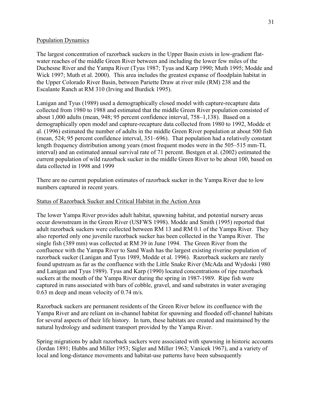# Population Dynamics

The largest concentration of razorback suckers in the Upper Basin exists in low-gradient flatwater reaches of the middle Green River between and including the lower few miles of the Duchesne River and the Yampa River (Tyus 1987; Tyus and Karp 1990; Muth 1995; Modde and Wick 1997; Muth et al. 2000). This area includes the greatest expanse of floodplain habitat in the Upper Colorado River Basin, between Pariette Draw at river mile (RM) 238 and the Escalante Ranch at RM 310 (Irving and Burdick 1995).

Lanigan and Tyus (1989) used a demographically closed model with capture-recapture data collected from 1980 to 1988 and estimated that the middle Green River population consisted of about 1,000 adults (mean, 948; 95 percent confidence interval, 758–1,138). Based on a demographically open model and capture-recapture data collected from 1980 to 1992, Modde et al. (1996) estimated the number of adults in the middle Green River population at about 500 fish (mean, 524; 95 percent confidence interval, 351–696). That population had a relatively constant length frequency distribution among years (most frequent modes were in the 505–515 mm-TL interval) and an estimated annual survival rate of 71 percent. Bestgen et al. (2002) estimated the current population of wild razorback sucker in the middle Green River to be about 100, based on data collected in 1998 and 1999

There are no current population estimates of razorback sucker in the Yampa River due to low numbers captured in recent years.

# Status of Razorback Sucker and Critical Habitat in the Action Area

The lower Yampa River provides adult habitat, spawning habitat, and potential nursery areas occur downstream in the Green River (USFWS 1998). Modde and Smith (1995) reported that adult razorback suckers were collected between RM 13 and RM 0.1 of the Yampa River. They also reported only one juvenile razorback sucker has been collected in the Yampa River. The single fish (389 mm) was collected at RM 39 in June 1994. The Green River from the confluence with the Yampa River to Sand Wash has the largest existing riverine population of razorback sucker (Lanigan and Tyus 1989, Modde et al. 1996). Razorback suckers are rarely found upstream as far as the confluence with the Little Snake River (McAda and Wydoski 1980 and Lanigan and Tyus 1989). Tyus and Karp (1990) located concentrations of ripe razorback suckers at the mouth of the Yampa River during the spring in 1987-1989. Ripe fish were captured in runs associated with bars of cobble, gravel, and sand substrates in water averaging 0.63 m deep and mean velocity of 0.74 m/s.

Razorback suckers are permanent residents of the Green River below its confluence with the Yampa River and are reliant on in-channel habitat for spawning and flooded off-channel habitats for several aspects of their life history. In turn, these habitats are created and maintained by the natural hydrology and sediment transport provided by the Yampa River.

Spring migrations by adult razorback suckers were associated with spawning in historic accounts (Jordan 1891; Hubbs and Miller 1953; Sigler and Miller 1963; Vanicek 1967), and a variety of local and long-distance movements and habitat-use patterns have been subsequently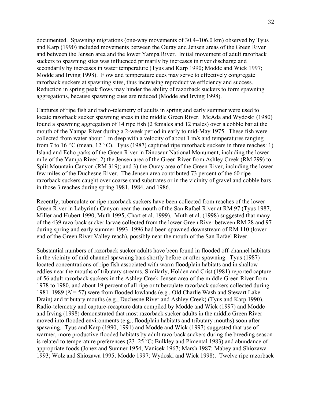documented. Spawning migrations (one-way movements of 30.4–106.0 km) observed by Tyus and Karp (1990) included movements between the Ouray and Jensen areas of the Green River and between the Jensen area and the lower Yampa River. Initial movement of adult razorback suckers to spawning sites was influenced primarily by increases in river discharge and secondarily by increases in water temperature (Tyus and Karp 1990; Modde and Wick 1997; Modde and Irving 1998). Flow and temperature cues may serve to effectively congregate razorback suckers at spawning sites, thus increasing reproductive efficiency and success. Reduction in spring peak flows may hinder the ability of razorback suckers to form spawning aggregations, because spawning cues are reduced (Modde and Irving 1998).

Captures of ripe fish and radio-telemetry of adults in spring and early summer were used to locate razorback sucker spawning areas in the middle Green River. McAda and Wydoski (1980) found a spawning aggregation of 14 ripe fish (2 females and 12 males) over a cobble bar at the mouth of the Yampa River during a 2-week period in early to mid-May 1975. These fish were collected from water about 1 m deep with a velocity of about 1 m/s and temperatures ranging from 7 to 16 °C (mean, 12 °C). Tyus (1987) captured ripe razorback suckers in three reaches: 1) Island and Echo parks of the Green River in Dinosaur National Monument, including the lower mile of the Yampa River; 2) the Jensen area of the Green River from Ashley Creek (RM 299) to Split Mountain Canyon (RM 319); and 3) the Ouray area of the Green River, including the lower few miles of the Duchesne River. The Jensen area contributed 73 percent of the 60 ripe razorback suckers caught over coarse sand substrates or in the vicinity of gravel and cobble bars in those 3 reaches during spring 1981, 1984, and 1986.

Recently, tuberculate or ripe razorback suckers have been collected from reaches of the lower Green River in Labyrinth Canyon near the mouth of the San Rafael River at RM 97 (Tyus 1987, Miller and Hubert 1990, Muth 1995, Chart et al. 1999). Muth et al. (1998) suggested that many of the 439 razorback sucker larvae collected from the lower Green River between RM 28 and 97 during spring and early summer 1993–1996 had been spawned downstream of RM 110 (lower end of the Green River Valley reach), possibly near the mouth of the San Rafael River.

Substantial numbers of razorback sucker adults have been found in flooded off-channel habitats in the vicinity of mid-channel spawning bars shortly before or after spawning. Tyus (1987) located concentrations of ripe fish associated with warm floodplain habitats and in shallow eddies near the mouths of tributary streams. Similarly, Holden and Crist (1981) reported capture of 56 adult razorback suckers in the Ashley Creek-Jensen area of the middle Green River from 1978 to 1980, and about 19 percent of all ripe or tuberculate razorback suckers collected during 1981–1989 (*N* = 57) were from flooded lowlands (e.g., Old Charlie Wash and Stewart Lake Drain) and tributary mouths (e.g., Duchesne River and Ashley Creek) (Tyus and Karp 1990). Radio-telemetry and capture-recapture data compiled by Modde and Wick (1997) and Modde and Irving (1998) demonstrated that most razorback sucker adults in the middle Green River moved into flooded environments (e.g., floodplain habitats and tributary mouths) soon after spawning. Tyus and Karp (1990, 1991) and Modde and Wick (1997) suggested that use of warmer, more productive flooded habitats by adult razorback suckers during the breeding season is related to temperature preferences (23–25 °C; Bulkley and Pimental 1983) and abundance of appropriate foods (Jonez and Sumner 1954; Vanicek 1967; Marsh 1987; Mabey and Shiozawa 1993; Wolz and Shiozawa 1995; Modde 1997; Wydoski and Wick 1998). Twelve ripe razorback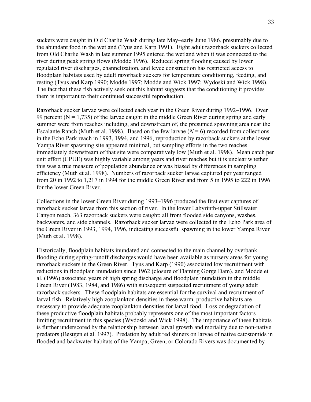suckers were caught in Old Charlie Wash during late May–early June 1986, presumably due to the abundant food in the wetland (Tyus and Karp 1991). Eight adult razorback suckers collected from Old Charlie Wash in late summer 1995 entered the wetland when it was connected to the river during peak spring flows (Modde 1996). Reduced spring flooding caused by lower regulated river discharges, channelization, and levee construction has restricted access to floodplain habitats used by adult razorback suckers for temperature conditioning, feeding, and resting (Tyus and Karp 1990; Modde 1997; Modde and Wick 1997; Wydoski and Wick 1998). The fact that these fish actively seek out this habitat suggests that the conditioning it provides them is important to their continued successful reproduction.

Razorback sucker larvae were collected each year in the Green River during 1992–1996. Over 99 percent ( $N = 1,735$ ) of the larvae caught in the middle Green River during spring and early summer were from reaches including, and downstream of, the presumed spawning area near the Escalante Ranch (Muth et al. 1998). Based on the few larvae  $(N = 6)$  recorded from collections in the Echo Park reach in 1993, 1994, and 1996, reproduction by razorback suckers at the lower Yampa River spawning site appeared minimal, but sampling efforts in the two reaches immediately downstream of that site were comparatively low (Muth et al. 1998). Mean catch per unit effort (CPUE) was highly variable among years and river reaches but it is unclear whether this was a true measure of population abundance or was biased by differences in sampling efficiency (Muth et al. 1998). Numbers of razorback sucker larvae captured per year ranged from 20 in 1992 to 1,217 in 1994 for the middle Green River and from 5 in 1995 to 222 in 1996 for the lower Green River.

Collections in the lower Green River during 1993–1996 produced the first ever captures of razorback sucker larvae from this section of river. In the lower Labyrinth-upper Stillwater Canyon reach, 363 razorback suckers were caught; all from flooded side canyons, washes, backwaters, and side channels. Razorback sucker larvae were collected in the Echo Park area of the Green River in 1993, 1994, 1996, indicating successful spawning in the lower Yampa River (Muth et al. 1998).

Historically, floodplain habitats inundated and connected to the main channel by overbank flooding during spring-runoff discharges would have been available as nursery areas for young razorback suckers in the Green River. Tyus and Karp (1990) associated low recruitment with reductions in floodplain inundation since 1962 (closure of Flaming Gorge Dam), and Modde et al. (1996) associated years of high spring discharge and floodplain inundation in the middle Green River (1983, 1984, and 1986) with subsequent suspected recruitment of young adult razorback suckers. These floodplain habitats are essential for the survival and recruitment of larval fish. Relatively high zooplankton densities in these warm, productive habitats are necessary to provide adequate zooplankton densities for larval food. Loss or degradation of these productive floodplain habitats probably represents one of the most important factors limiting recruitment in this species (Wydoski and Wick 1998). The importance of these habitats is further underscored by the relationship between larval growth and mortality due to non-native predators (Bestgen et al. 1997). Predation by adult red shiners on larvae of native catostomids in flooded and backwater habitats of the Yampa, Green, or Colorado Rivers was documented by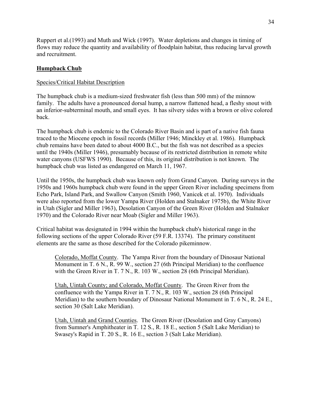Ruppert et al.(1993) and Muth and Wick (1997). Water depletions and changes in timing of flows may reduce the quantity and availability of floodplain habitat, thus reducing larval growth and recruitment.

# **Humpback Chub**

# Species/Critical Habitat Description

The humpback chub is a medium-sized freshwater fish (less than 500 mm) of the minnow family. The adults have a pronounced dorsal hump, a narrow flattened head, a fleshy snout with an inferior-subterminal mouth, and small eyes. It has silvery sides with a brown or olive colored back.

The humpback chub is endemic to the Colorado River Basin and is part of a native fish fauna traced to the Miocene epoch in fossil records (Miller 1946; Minckley et al. 1986). Humpback chub remains have been dated to about 4000 B.C., but the fish was not described as a species until the 1940s (Miller 1946), presumably because of its restricted distribution in remote white water canyons (USFWS 1990). Because of this, its original distribution is not known. The humpback chub was listed as endangered on March 11, 1967.

Until the 1950s, the humpback chub was known only from Grand Canyon. During surveys in the 1950s and 1960s humpback chub were found in the upper Green River including specimens from Echo Park, Island Park, and Swallow Canyon (Smith 1960, Vanicek et al. 1970). Individuals were also reported from the lower Yampa River (Holden and Stalnaker 1975b), the White River in Utah (Sigler and Miller 1963), Desolation Canyon of the Green River (Holden and Stalnaker 1970) and the Colorado River near Moab (Sigler and Miller 1963).

Critical habitat was designated in 1994 within the humpback chub's historical range in the following sections of the upper Colorado River (59 F.R. 13374). The primary constituent elements are the same as those described for the Colorado pikeminnow.

Colorado, Moffat County. The Yampa River from the boundary of Dinosaur National Monument in T. 6 N., R. 99 W., section 27 (6th Principal Meridian) to the confluence with the Green River in T. 7 N., R. 103 W., section 28 (6th Principal Meridian).

Utah, Uintah County; and Colorado, Moffat County. The Green River from the confluence with the Yampa River in T. 7 N., R. 103 W., section 28 (6th Principal Meridian) to the southern boundary of Dinosaur National Monument in T. 6 N., R. 24 E., section 30 (Salt Lake Meridian).

Utah, Uintah and Grand Counties. The Green River (Desolation and Gray Canyons) from Sumner's Amphitheater in T. 12 S., R. 18 E., section 5 (Salt Lake Meridian) to Swasey's Rapid in T. 20 S., R. 16 E., section 3 (Salt Lake Meridian).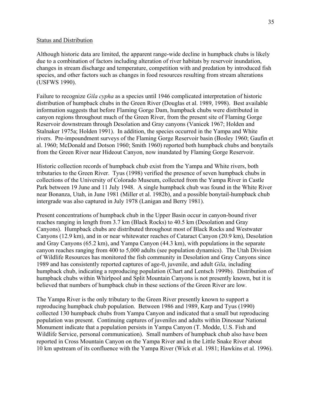#### Status and Distribution

Although historic data are limited, the apparent range-wide decline in humpback chubs is likely due to a combination of factors including alteration of river habitats by reservoir inundation, changes in stream discharge and temperature, competition with and predation by introduced fish species, and other factors such as changes in food resources resulting from stream alterations (USFWS 1990).

Failure to recognize *Gila cypha* as a species until 1946 complicated interpretation of historic distribution of humpback chubs in the Green River (Douglas et al. 1989, 1998). Best available information suggests that before Flaming Gorge Dam, humpback chubs were distributed in canyon regions throughout much of the Green River, from the present site of Flaming Gorge Reservoir downstream through Desolation and Gray canyons (Vanicek 1967; Holden and Stalnaker 1975a; Holden 1991). In addition, the species occurred in the Yampa and White rivers. Pre-impoundment surveys of the Flaming Gorge Reservoir basin (Bosley 1960; Gaufin et al. 1960; McDonald and Dotson 1960; Smith 1960) reported both humpback chubs and bonytails from the Green River near Hideout Canyon, now inundated by Flaming Gorge Reservoir.

Historic collection records of humpback chub exist from the Yampa and White rivers, both tributaries to the Green River. Tyus (1998) verified the presence of seven humpback chubs in collections of the University of Colorado Museum, collected from the Yampa River in Castle Park between 19 June and 11 July 1948. A single humpback chub was found in the White River near Bonanza, Utah, in June 1981 (Miller et al. 1982b), and a possible bonytail-humpback chub intergrade was also captured in July 1978 (Lanigan and Berry 1981).

Present concentrations of humpback chub in the Upper Basin occur in canyon-bound river reaches ranging in length from 3.7 km (Black Rocks) to 40.5 km (Desolation and Gray Canyons). Humpback chubs are distributed throughout most of Black Rocks and Westwater Canyons (12.9 km), and in or near whitewater reaches of Cataract Canyon (20.9 km), Desolation and Gray Canyons (65.2 km), and Yampa Canyon (44.3 km), with populations in the separate canyon reaches ranging from 400 to 5,000 adults (see population dynamics). The Utah Division of Wildlife Resources has monitored the fish community in Desolation and Gray Canyons since 1989 and has consistently reported captures of age-0, juvenile, and adult *Gila,* including humpback chub, indicating a reproducing population (Chart and Lentsch 1999b). Distribution of humpback chubs within Whirlpool and Split Mountain Canyons is not presently known, but it is believed that numbers of humpback chub in these sections of the Green River are low.

The Yampa River is the only tributary to the Green River presently known to support a reproducing humpback chub population. Between 1986 and 1989, Karp and Tyus (1990) collected 130 humpback chubs from Yampa Canyon and indicated that a small but reproducing population was present. Continuing captures of juveniles and adults within Dinosaur National Monument indicate that a population persists in Yampa Canyon (T. Modde, U.S. Fish and Wildlife Service, personal communication). Small numbers of humpback chub also have been reported in Cross Mountain Canyon on the Yampa River and in the Little Snake River about 10 km upstream of its confluence with the Yampa River (Wick et al. 1981; Hawkins et al. 1996).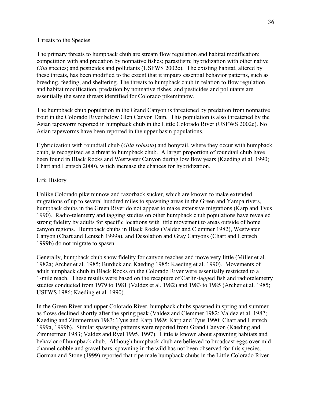## Threats to the Species

The primary threats to humpback chub are stream flow regulation and habitat modification; competition with and predation by nonnative fishes; parasitism; hybridization with other native *Gila* species; and pesticides and pollutants (USFWS 2002c). The existing habitat, altered by these threats, has been modified to the extent that it impairs essential behavior patterns, such as breeding, feeding, and sheltering. The threats to humpback chub in relation to flow regulation and habitat modification, predation by nonnative fishes, and pesticides and pollutants are essentially the same threats identified for Colorado pikeminnow.

The humpback chub population in the Grand Canyon is threatened by predation from nonnative trout in the Colorado River below Glen Canyon Dam. This population is also threatened by the Asian tapeworm reported in humpback chub in the Little Colorado River (USFWS 2002c). No Asian tapeworms have been reported in the upper basin populations.

Hybridization with roundtail chub (*Gila robusta*) and bonytail, where they occur with humpback chub, is recognized as a threat to humpback chub. A larger proportion of roundtail chub have been found in Black Rocks and Westwater Canyon during low flow years (Kaeding et al. 1990; Chart and Lentsch 2000), which increase the chances for hybridization.

# Life History

Unlike Colorado pikeminnow and razorback sucker, which are known to make extended migrations of up to several hundred miles to spawning areas in the Green and Yampa rivers, humpback chubs in the Green River do not appear to make extensive migrations (Karp and Tyus 1990). Radio-telemetry and tagging studies on other humpback chub populations have revealed strong fidelity by adults for specific locations with little movement to areas outside of home canyon regions. Humpback chubs in Black Rocks (Valdez and Clemmer 1982), Westwater Canyon (Chart and Lentsch 1999a), and Desolation and Gray Canyons (Chart and Lentsch 1999b) do not migrate to spawn.

Generally, humpback chub show fidelity for canyon reaches and move very little (Miller et al. 1982a; Archer et al. 1985; Burdick and Kaeding 1985; Kaeding et al. 1990). Movements of adult humpback chub in Black Rocks on the Colorado River were essentially restricted to a 1-mile reach. These results were based on the recapture of Carlin-tagged fish and radiotelemetry studies conducted from 1979 to 1981 (Valdez et al. 1982) and 1983 to 1985 (Archer et al. 1985; USFWS 1986; Kaeding et al. 1990).

In the Green River and upper Colorado River, humpback chubs spawned in spring and summer as flows declined shortly after the spring peak (Valdez and Clemmer 1982; Valdez et al. 1982; Kaeding and Zimmerman 1983; Tyus and Karp 1989; Karp and Tyus 1990; Chart and Lentsch 1999a, 1999b). Similar spawning patterns were reported from Grand Canyon (Kaeding and Zimmerman 1983; Valdez and Ryel 1995, 1997). Little is known about spawning habitats and behavior of humpback chub. Although humpback chub are believed to broadcast eggs over midchannel cobble and gravel bars, spawning in the wild has not been observed for this species. Gorman and Stone (1999) reported that ripe male humpback chubs in the Little Colorado River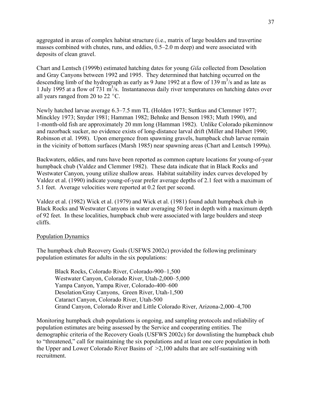aggregated in areas of complex habitat structure (i.e., matrix of large boulders and travertine masses combined with chutes, runs, and eddies, 0.5–2.0 m deep) and were associated with deposits of clean gravel.

Chart and Lentsch (1999b) estimated hatching dates for young *Gila* collected from Desolation and Gray Canyons between 1992 and 1995. They determined that hatching occurred on the descending limb of the hydrograph as early as 9 June 1992 at a flow of 139  $\text{m}^3$ /s and as late as 1 July 1995 at a flow of  $\frac{731 \text{ m}^3}{\text{s}}$ . Instantaneous daily river temperatures on hatching dates over all years ranged from 20 to 22  $^{\circ}$ C.

Newly hatched larvae average 6.3–7.5 mm TL (Holden 1973; Suttkus and Clemmer 1977; Minckley 1973; Snyder 1981; Hamman 1982; Behnke and Benson 1983; Muth 1990), and 1-month-old fish are approximately 20 mm long (Hamman 1982). Unlike Colorado pikeminnow and razorback sucker, no evidence exists of long-distance larval drift (Miller and Hubert 1990; Robinson et al. 1998). Upon emergence from spawning gravels, humpback chub larvae remain in the vicinity of bottom surfaces (Marsh 1985) near spawning areas (Chart and Lentsch 1999a).

Backwaters, eddies, and runs have been reported as common capture locations for young-of-year humpback chub (Valdez and Clemmer 1982). These data indicate that in Black Rocks and Westwater Canyon, young utilize shallow areas. Habitat suitability index curves developed by Valdez et al. (1990) indicate young-of-year prefer average depths of 2.1 feet with a maximum of 5.1 feet. Average velocities were reported at 0.2 feet per second.

Valdez et al. (1982) Wick et al. (1979) and Wick et al. (1981) found adult humpback chub in Black Rocks and Westwater Canyons in water averaging 50 feet in depth with a maximum depth of 92 feet. In these localities, humpback chub were associated with large boulders and steep cliffs.

# Population Dynamics

The humpback chub Recovery Goals (USFWS 2002c) provided the following preliminary population estimates for adults in the six populations:

 Black Rocks, Colorado River, Colorado-900–1,500 Westwater Canyon, Colorado River, Utah-2,000–5,000 Yampa Canyon, Yampa River, Colorado-400–600 Desolation/Gray Canyons, Green River, Utah-1,500 Cataract Canyon, Colorado River, Utah-500 Grand Canyon, Colorado River and Little Colorado River, Arizona-2,000–4,700

Monitoring humpback chub populations is ongoing, and sampling protocols and reliability of population estimates are being assessed by the Service and cooperating entities. The demographic criteria of the Recovery Goals (USFWS 2002c) for downlisting the humpback chub to "threatened," call for maintaining the six populations and at least one core population in both the Upper and Lower Colorado River Basins of >2,100 adults that are self-sustaining with recruitment.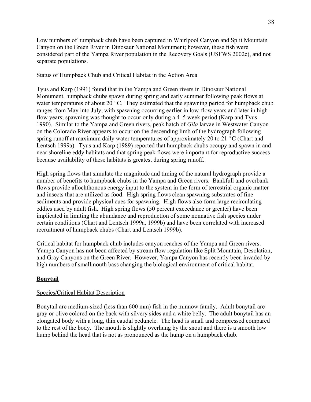# Status of Humpback Chub and Critical Habitat in the Action Area

separate populations.

Tyus and Karp (1991) found that in the Yampa and Green rivers in Dinosaur National Monument, humpback chubs spawn during spring and early summer following peak flows at water temperatures of about 20  $^{\circ}$ C. They estimated that the spawning period for humpback chub ranges from May into July, with spawning occurring earlier in low-flow years and later in highflow years; spawning was thought to occur only during a 4–5 week period (Karp and Tyus 1990). Similar to the Yampa and Green rivers, peak hatch of *Gila* larvae in Westwater Canyon on the Colorado River appears to occur on the descending limb of the hydrograph following spring runoff at maximum daily water temperatures of approximately 20 to 21  $^{\circ}$ C (Chart and Lentsch 1999a). Tyus and Karp (1989) reported that humpback chubs occupy and spawn in and near shoreline eddy habitats and that spring peak flows were important for reproductive success because availability of these habitats is greatest during spring runoff.

High spring flows that simulate the magnitude and timing of the natural hydrograph provide a number of benefits to humpback chubs in the Yampa and Green rivers. Bankfull and overbank flows provide allochthonous energy input to the system in the form of terrestrial organic matter and insects that are utilized as food. High spring flows clean spawning substrates of fine sediments and provide physical cues for spawning. High flows also form large recirculating eddies used by adult fish. High spring flows (50 percent exceedance or greater) have been implicated in limiting the abundance and reproduction of some nonnative fish species under certain conditions (Chart and Lentsch 1999a, 1999b) and have been correlated with increased recruitment of humpback chubs (Chart and Lentsch 1999b).

Critical habitat for humpback chub includes canyon reaches of the Yampa and Green rivers. Yampa Canyon has not been affected by stream flow regulation like Split Mountain, Desolation, and Gray Canyons on the Green River. However, Yampa Canyon has recently been invaded by high numbers of smallmouth bass changing the biological environment of critical habitat.

# **Bonytail**

# Species/Critical Habitat Description

Bonytail are medium-sized (less than 600 mm) fish in the minnow family. Adult bonytail are gray or olive colored on the back with silvery sides and a white belly. The adult bonytail has an elongated body with a long, thin caudal peduncle. The head is small and compressed compared to the rest of the body. The mouth is slightly overhung by the snout and there is a smooth low hump behind the head that is not as pronounced as the hump on a humpback chub.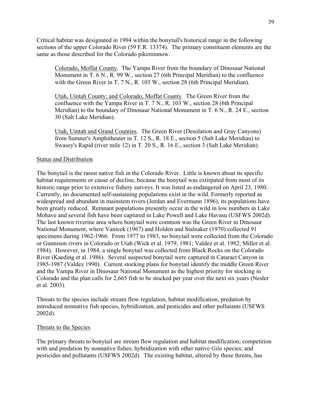Critical habitat was designated in 1994 within the bonytail's historical range in the following sections of the upper Colorado River (59 F.R. 13374). The primary constituent elements are the same as those described for the Colorado pikeminnow.

Colorado, Moffat County. The Yampa River from the boundary of Dinosaur National Monument in T. 6 N., R. 99 W., section 27 (6th Principal Meridian) to the confluence with the Green River in T. 7 N., R. 103 W., section 28 (6th Principal Meridian).

Utah, Uintah County; and Colorado, Moffat County. The Green River from the confluence with the Yampa River in T. 7 N., R. 103 W., section 28 (6th Principal Meridian) to the boundary of Dinosaur National Monument in T. 6 N., R. 24 E., section 30 (Salt Lake Meridian).

Utah, Uintah and Grand Counties. The Green River (Desolation and Gray Canyons) from Sumner's Amphitheater in T. 12 S., R. 18 E., section 5 (Salt Lake Meridian) to Swasey's Rapid (river mile 12) in T. 20 S., R. 16 E., section 3 (Salt Lake Meridian).

# Status and Distribution

The bonytail is the rarest native fish in the Colorado River. Little is known about its specific habitat requirements or cause of decline, because the bonytail was extirpated from most of its historic range prior to extensive fishery surveys. It was listed as endangered on April 23, 1980. Currently, no documented self-sustaining populations exist in the wild. Formerly reported as widespread and abundant in mainstem rivers (Jordan and Evermann 1896), its populations have been greatly reduced. Remnant populations presently occur in the wild in low numbers in Lake Mohave and several fish have been captured in Lake Powell and Lake Havasu (USFWS 2002d). The last known riverine area where bonytail were common was the Green River in Dinosaur National Monument, where Vanicek (1967) and Holden and Stalnaker (1970) collected 91 specimens during 1962-1966. From 1977 to 1983, no bonytail were collected from the Colorado or Gunnison rivers in Colorado or Utah (Wick et al. 1979, 1981; Valdez et al. 1982; Miller et al. 1984). However, in 1984, a single bonytail was collected from Black Rocks on the Colorado River (Kaeding et al. 1986). Several suspected bonytail were captured in Cataract Canyon in 1985-1987 (Valdez 1990). Current stocking plans for bonytail identify the middle Green River and the Yampa River in Dinosaur National Monument as the highest priority for stocking in Colorado and the plan calls for 2,665 fish to be stocked per year over the next six years (Nesler et al. 2003).

Threats to the species include stream flow regulation, habitat modification, predation by introduced nonnative fish species, hybridization, and pesticides and other pollutants (USFWS 2002d).

# Threats to the Species

The primary threats to bonytail are stream flow regulation and habitat modification; competition with and predation by nonnative fishes; hybridization with other native *Gila* species; and pesticides and pollutants (USFWS 2002d). The existing habitat, altered by these threats, has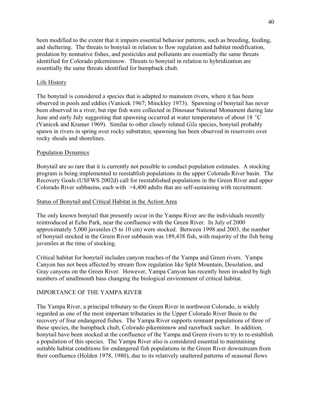been modified to the extent that it impairs essential behavior patterns, such as breeding, feeding, and sheltering. The threats to bonytail in relation to flow regulation and habitat modification, predation by nonnative fishes, and pesticides and pollutants are essentially the same threats identified for Colorado pikeminnow. Threats to bonytail in relation to hybridization are essentially the same threats identified for humpback chub.

## Life History

The bonytail is considered a species that is adapted to mainstem rivers, where it has been observed in pools and eddies (Vanicek 1967; Minckley 1973). Spawning of bonytail has never been observed in a river, but ripe fish were collected in Dinosaur National Monument during late June and early July suggesting that spawning occurred at water temperatures of about 18  $^{\circ}$ C (Vanicek and Kramer 1969). Similar to other closely related *Gila* species, bonytail probably spawn in rivers in spring over rocky substrates; spawning has been observed in reservoirs over rocky shoals and shorelines.

#### Population Dynamics

Bonytail are so rare that it is currently not possible to conduct population estimates. A stocking program is being implemented to reestablish populations in the upper Colorado River basin. The Recovery Goals (USFWS 2002d) call for reestablished populations in the Green River and upper Colorado River subbasins, each with >4,400 adults that are self-sustaining with recruitment.

## Status of Bonytail and Critical Habitat in the Action Area

The only known bonytail that presently occur in the Yampa River are the individuals recently reintroduced at Echo Park, near the confluence with the Green River. In July of 2000 approximately 5,000 juveniles (5 to 10 cm) were stocked. Between 1998 and 2003, the number of bonytail stocked in the Green River subbasin was 189,438 fish, with majority of the fish being juveniles at the time of stocking.

Critical habitat for bonytail includes canyon reaches of the Yampa and Green rivers. Yampa Canyon has not been affected by stream flow regulation like Split Mountain, Desolation, and Gray canyons on the Green River. However, Yampa Canyon has recently been invaded by high numbers of smallmouth bass changing the biological environment of critical habitat.

# IMPORTANCE OF THE YAMPA RIVER

The Yampa River, a principal tributary to the Green River in northwest Colorado, is widely regarded as one of the most important tributaries in the Upper Colorado River Basin to the recovery of four endangered fishes. The Yampa River supports remnant populations of three of these species, the humpback chub, Colorado pikeminnow and razorback sucker. In addition, bonytail have been stocked at the confluence of the Yampa and Green rivers to try to re-establish a population of this species. The Yampa River also is considered essential to maintaining suitable habitat conditions for endangered fish populations in the Green River downstream from their confluence (Holden 1978, 1980), due to its relatively unaltered patterns of seasonal flows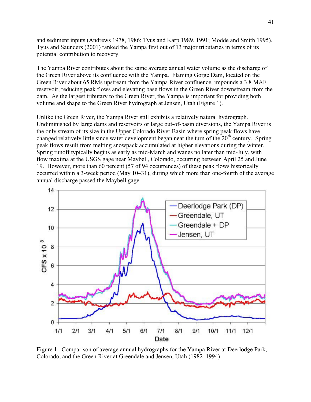and sediment inputs (Andrews 1978, 1986; Tyus and Karp 1989, 1991; Modde and Smith 1995). Tyus and Saunders (2001) ranked the Yampa first out of 13 major tributaries in terms of its potential contribution to recovery.

The Yampa River contributes about the same average annual water volume as the discharge of the Green River above its confluence with the Yampa. Flaming Gorge Dam, located on the Green River about 65 RMs upstream from the Yampa River confluence, impounds a 3.8 MAF reservoir, reducing peak flows and elevating base flows in the Green River downstream from the dam. As the largest tributary to the Green River, the Yampa is important for providing both volume and shape to the Green River hydrograph at Jensen, Utah (Figure 1).

Unlike the Green River, the Yampa River still exhibits a relatively natural hydrograph. Undiminished by large dams and reservoirs or large out-of-basin diversions, the Yampa River is the only stream of its size in the Upper Colorado River Basin where spring peak flows have changed relatively little since water development began near the turn of the  $20<sup>th</sup>$  century. Spring peak flows result from melting snowpack accumulated at higher elevations during the winter. Spring runoff typically begins as early as mid-March and wanes no later than mid-July, with flow maxima at the USGS gage near Maybell, Colorado, occurring between April 25 and June 19. However, more than 60 percent (57 of 94 occurrences) of these peak flows historically occurred within a 3-week period (May 10–31), during which more than one-fourth of the average annual discharge passed the Maybell gage.



Figure 1. Comparison of average annual hydrographs for the Yampa River at Deerlodge Park, Colorado, and the Green River at Greendale and Jensen, Utah (1982–1994)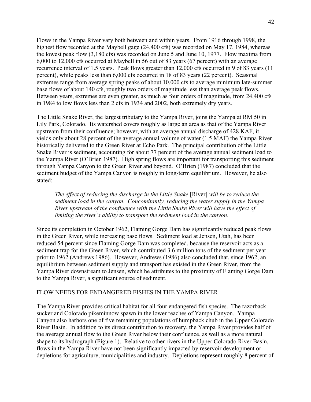Flows in the Yampa River vary both between and within years. From 1916 through 1998, the highest flow recorded at the Maybell gage (24,400 cfs) was recorded on May 17, 1984, whereas the lowest peak flow (3,180 cfs) was recorded on June 5 and June 10, 1977. Flow maxima from 6,000 to 12,000 cfs occurred at Maybell in 56 out of 83 years (67 percent) with an average recurrence interval of 1.5 years. Peak flows greater than 12,000 cfs occurred in 9 of 83 years (11 percent), while peaks less than 6,000 cfs occurred in 18 of 83 years (22 percent). Seasonal extremes range from average spring peaks of about 10,000 cfs to average minimum late-summer base flows of about 140 cfs, roughly two orders of magnitude less than average peak flows. Between years, extremes are even greater, as much as four orders of magnitude, from 24,400 cfs in 1984 to low flows less than 2 cfs in 1934 and 2002, both extremely dry years.

The Little Snake River, the largest tributary to the Yampa River, joins the Yampa at RM 50 in Lily Park, Colorado. Its watershed covers roughly as large an area as that of the Yampa River upstream from their confluence; however, with an average annual discharge of 428 KAF, it yields only about 28 percent of the average annual volume of water (1.5 MAF) the Yampa River historically delivered to the Green River at Echo Park. The principal contribution of the Little Snake River is sediment, accounting for about 77 percent of the average annual sediment load to the Yampa River (O'Brien 1987). High spring flows are important for transporting this sediment through Yampa Canyon to the Green River and beyond. O'Brien (1987) concluded that the sediment budget of the Yampa Canyon is roughly in long-term equilibrium. However, he also stated:

*The effect of reducing the discharge in the Little Snake* [River] *will be to reduce the sediment load in the canyon. Concomitantly, reducing the water supply in the Yampa River upstream of the confluence with the Little Snake River will have the effect of limiting the river's ability to transport the sediment load in the canyon.* 

Since its completion in October 1962, Flaming Gorge Dam has significantly reduced peak flows in the Green River, while increasing base flows. Sediment load at Jensen, Utah, has been reduced 54 percent since Flaming Gorge Dam was completed, because the reservoir acts as a sediment trap for the Green River, which contributed 3.6 million tons of the sediment per year prior to 1962 (Andrews 1986). However, Andrews (1986) also concluded that, since 1962, an equilibrium between sediment supply and transport has existed in the Green River, from the Yampa River downstream to Jensen, which he attributes to the proximity of Flaming Gorge Dam to the Yampa River, a significant source of sediment.

#### FLOW NEEDS FOR ENDANGERED FISHES IN THE YAMPA RIVER

The Yampa River provides critical habitat for all four endangered fish species. The razorback sucker and Colorado pikeminnow spawn in the lower reaches of Yampa Canyon. Yampa Canyon also harbors one of five remaining populations of humpback chub in the Upper Colorado River Basin. In addition to its direct contribution to recovery, the Yampa River provides half of the average annual flow to the Green River below their confluence, as well as a more natural shape to its hydrograph (Figure 1). Relative to other rivers in the Upper Colorado River Basin, flows in the Yampa River have not been significantly impacted by reservoir development or depletions for agriculture, municipalities and industry. Depletions represent roughly 8 percent of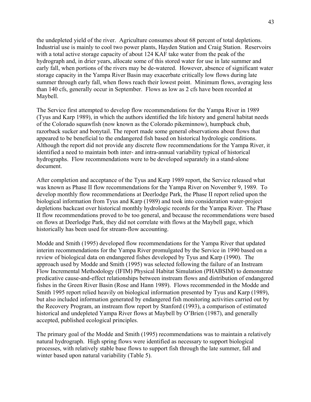the undepleted yield of the river. Agriculture consumes about 68 percent of total depletions. Industrial use is mainly to cool two power plants, Hayden Station and Craig Station. Reservoirs with a total active storage capacity of about 124 KAF take water from the peak of the hydrograph and, in drier years, allocate some of this stored water for use in late summer and early fall, when portions of the rivers may be de-watered. However, absence of significant water storage capacity in the Yampa River Basin may exacerbate critically low flows during late summer through early fall, when flows reach their lowest point. Minimum flows, averaging less than 140 cfs, generally occur in September. Flows as low as 2 cfs have been recorded at Maybell.

The Service first attempted to develop flow recommendations for the Yampa River in 1989 (Tyus and Karp 1989), in which the authors identified the life history and general habitat needs of the Colorado squawfish (now known as the Colorado pikeminnow), humpback chub, razorback sucker and bonytail. The report made some general observations about flows that appeared to be beneficial to the endangered fish based on historical hydrologic conditions. Although the report did not provide any discrete flow recommendations for the Yampa River, it identified a need to maintain both inter- and intra-annual variability typical of historical hydrographs. Flow recommendations were to be developed separately in a stand-alone document.

After completion and acceptance of the Tyus and Karp 1989 report, the Service released what was known as Phase II flow recommendations for the Yampa River on November 9, 1989. To develop monthly flow recommendations at Deerlodge Park, the Phase II report relied upon the biological information from Tyus and Karp (1989) and took into consideration water-project depletions backcast over historical monthly hydrologic records for the Yampa River. The Phase II flow recommendations proved to be too general, and because the recommendations were based on flows at Deerlodge Park, they did not correlate with flows at the Maybell gage, which historically has been used for stream-flow accounting.

Modde and Smith (1995) developed flow recommendations for the Yampa River that updated interim recommendations for the Yampa River promulgated by the Service in 1990 based on a review of biological data on endangered fishes developed by Tyus and Karp (1990). The approach used by Modde and Smith (1995) was selected following the failure of an Instream Flow Incremental Methodology (IFIM) Physical Habitat Simulation (PHABSIM) to demonstrate predicative cause-and-effect relationships between instream flows and distribution of endangered fishes in the Green River Basin (Rose and Hann 1989). Flows recommended in the Modde and Smith 1995 report relied heavily on biological information presented by Tyus and Karp (1989), but also included information generated by endangered fish monitoring activities carried out by the Recovery Program, an instream flow report by Stanford (1993), a comparison of estimated historical and undepleted Yampa River flows at Maybell by O'Brien (1987), and generally accepted, published ecological principles.

The primary goal of the Modde and Smith (1995) recommendations was to maintain a relatively natural hydrograph. High spring flows were identified as necessary to support biological processes, with relatively stable base flows to support fish through the late summer, fall and winter based upon natural variability (Table 5).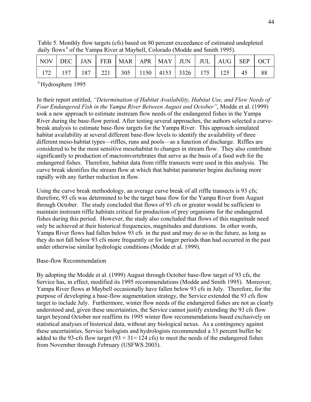|  |  |  |  | NOV   DEC   JAN   FEB   MAR   APR   MAY   JUN   JUL   AUG   SEP   OCT |     |
|--|--|--|--|-----------------------------------------------------------------------|-----|
|  |  |  |  | $172$   157   187   221   305   1150   4153   3326   175   125   45   | -88 |

Table 5. Monthly flow targets (cfs) based on 80 percent exceedance of estimated undepleted daily flows<sup>a</sup> of the Yampa River at Maybell, Colorado (Modde and Smith 1995).

<sup>a</sup> Hydrosphere 1995

In their report entitled, *"Determination of Habitat Availability, Habitat Use, and Flow Needs of Four Endangered Fish in the Yampa River Between August and October"*, Modde et al. (1999) took a new approach to estimate instream flow needs of the endangered fishes in the Yampa River during the base-flow period. After testing several approaches, the authors selected a curvebreak analysis to estimate base-flow targets for the Yampa River. This approach simulated habitat availability at several different base-flow levels to identify the availability of three different meso-habitat types—riffles, runs and pools—as a function of discharge. Riffles are considered to be the most sensitive mesohabitat to changes in stream flow. They also contribute significantly to production of macroinvertebrates that serve as the basis of a food web for the endangered fishes. Therefore, habitat data from riffle transects were used in this analysis. The curve break identifies the stream flow at which that habitat parameter begins declining more rapidly with any further reduction in flow.

Using the curve break methodology, an average curve break of all riffle transects is 93 cfs; therefore, 93 cfs was determined to be the target base flow for the Yampa River from August through October. The study concluded that flows of 93 cfs or greater would be sufficient to maintain instream riffle habitats critical for production of prey organisms for the endangered fishes during this period. However, the study also concluded that flows of this magnitude need only be achieved at their historical frequencies, magnitudes and durations. In other words, Yampa River flows had fallen below 93 cfs in the past and may do so in the future, as long as they do not fall below 93 cfs more frequently or for longer periods than had occurred in the past under otherwise similar hydrologic conditions (Modde et al. 1999).

#### Base-flow Recommendation

By adopting the Modde et al. (1999) August through October base-flow target of 93 cfs, the Service has, in effect, modified its 1995 recommendations (Modde and Smith 1995). Moreover, Yampa River flows at Maybell occasionally have fallen below 93 cfs in July. Therefore, for the purpose of developing a base-flow augmentation strategy, the Service extended the 93 cfs flow target to include July. Furthermore, winter flow needs of the endangered fishes are not as clearly understood and, given these uncertainties, the Service cannot justify extending the 93 cfs flow target beyond October nor reaffirm its 1995 winter flow recommendations based exclusively on statistical analyses of historical data, without any biological nexus. As a contingency against these uncertainties, Service biologists and hydrologists recommended a 33 percent buffer be added to the 93-cfs flow target  $(93 + 31 = 124 \text{ cfs})$  to meet the needs of the endangered fishes from November through February (USFWS 2003).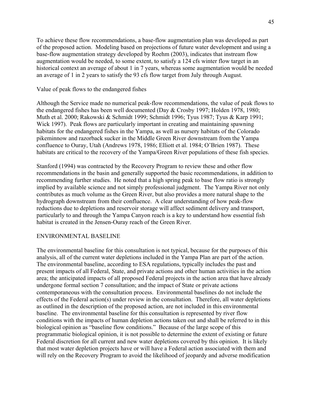To achieve these flow recommendations, a base-flow augmentation plan was developed as part of the proposed action. Modeling based on projections of future water development and using a base-flow augmentation strategy developed by Roehm (2003), indicates that instream flow augmentation would be needed, to some extent, to satisfy a 124 cfs winter flow target in an historical context an average of about 1 in 7 years, whereas some augmentation would be needed an average of 1 in 2 years to satisfy the 93 cfs flow target from July through August.

Value of peak flows to the endangered fishes

Although the Service made no numerical peak-flow recommendations, the value of peak flows to the endangered fishes has been well documented (Day & Crosby 1997; Holden 1978, 1980; Muth et al. 2000; Rakowski & Schmidt 1999; Schmidt 1996; Tyus 1987; Tyus & Karp 1991; Wick 1997). Peak flows are particularly important in creating and maintaining spawning habitats for the endangered fishes in the Yampa, as well as nursery habitats of the Colorado pikeminnow and razorback sucker in the Middle Green River downstream from the Yampa confluence to Ouray, Utah (Andrews 1978, 1986; Elliott et al. 1984; O'Brien 1987). These habitats are critical to the recovery of the Yampa/Green River populations of these fish species.

Stanford (1994) was contracted by the Recovery Program to review these and other flow recommendations in the basin and generally supported the basic recommendations, in addition to recommending further studies. He noted that a high spring peak to base flow ratio is strongly implied by available science and not simply professional judgment. The Yampa River not only contributes as much volume as the Green River, but also provides a more natural shape to the hydrograph downstream from their confluence. A clear understanding of how peak-flow reductions due to depletions and reservoir storage will affect sediment delivery and transport, particularly to and through the Yampa Canyon reach is a key to understand how essential fish habitat is created in the Jensen-Ouray reach of the Green River.

#### ENVIRONMENTAL BASELINE

The environmental baseline for this consultation is not typical, because for the purposes of this analysis, all of the current water depletions included in the Yampa Plan are part of the action. The environmental baseline, according to ESA regulations, typically includes the past and present impacts of all Federal, State, and private actions and other human activities in the action area; the anticipated impacts of all proposed Federal projects in the action area that have already undergone formal section 7 consultation; and the impact of State or private actions contemporaneous with the consultation process. Environmental baselines do not include the effects of the Federal action(s) under review in the consultation. Therefore, all water depletions as outlined in the description of the proposed action, are not included in this environmental baseline. The environmental baseline for this consultation is represented by river flow conditions with the impacts of human depletion actions taken out and shall be referred to in this biological opinion as "baseline flow conditions." Because of the large scope of this programmatic biological opinion, it is not possible to determine the extent of existing or future Federal discretion for all current and new water depletions covered by this opinion. It is likely that most water depletion projects have or will have a Federal action associated with them and will rely on the Recovery Program to avoid the likelihood of jeopardy and adverse modification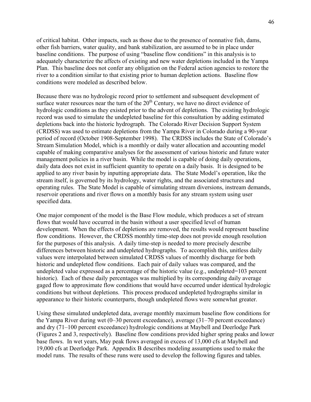of critical habitat. Other impacts, such as those due to the presence of nonnative fish, dams, other fish barriers, water quality, and bank stabilization, are assumed to be in place under baseline conditions. The purpose of using "baseline flow conditions" in this analysis is to adequately characterize the affects of existing and new water depletions included in the Yampa Plan. This baseline does not confer any obligation on the Federal action agencies to restore the river to a condition similar to that existing prior to human depletion actions. Baseline flow conditions were modeled as described below.

Because there was no hydrologic record prior to settlement and subsequent development of surface water resources near the turn of the 20<sup>th</sup> Century, we have no direct evidence of hydrologic conditions as they existed prior to the advent of depletions. The existing hydrologic record was used to simulate the undepleted baseline for this consultation by adding estimated depletions back into the historic hydrograph. The Colorado River Decision Support System (CRDSS) was used to estimate depletions from the Yampa River in Colorado during a 90-year period of record (October 1908-September 1998). The CRDSS includes the State of Colorado's Stream Simulation Model, which is a monthly or daily water allocation and accounting model capable of making comparative analyses for the assessment of various historic and future water management policies in a river basin. While the model is capable of doing daily operations, daily data does not exist in sufficient quantity to operate on a daily basis. It is designed to be applied to any river basin by inputting appropriate data. The State Model's operation, like the stream itself, is governed by its hydrology, water rights, and the associated structures and operating rules. The State Model is capable of simulating stream diversions, instream demands, reservoir operations and river flows on a monthly basis for any stream system using user specified data.

One major component of the model is the Base Flow module, which produces a set of stream flows that would have occurred in the basin without a user specified level of human development. When the effects of depletions are removed, the results would represent baseline flow conditions. However, the CRDSS monthly time-step does not provide enough resolution for the purposes of this analysis. A daily time-step is needed to more precisely describe differences between historic and undepleted hydrographs. To accomplish this, unitless daily values were interpolated between simulated CRDSS values of monthly discharge for both historic and undepleted flow conditions. Each pair of daily values was compared, and the undepleted value expressed as a percentage of the historic value (e.g., undepleted=103 percent historic). Each of these daily percentages was multiplied by its corresponding daily average gaged flow to approximate flow conditions that would have occurred under identical hydrologic conditions but without depletions. This process produced undepleted hydrographs similar in appearance to their historic counterparts, though undepleted flows were somewhat greater.

Using these simulated undepleted data, average monthly maximum baseline flow conditions for the Yampa River during wet (0–30 percent exceedance), average (31–70 percent exceedance) and dry (71–100 percent exceedance) hydrologic conditions at Maybell and Deerlodge Park (Figures 2 and 3, respectively). Baseline flow conditions provided higher spring peaks and lower base flows. In wet years, May peak flows averaged in excess of 13,000 cfs at Maybell and 19,000 cfs at Deerlodge Park. Appendix B describes modeling assumptions used to make the model runs. The results of these runs were used to develop the following figures and tables.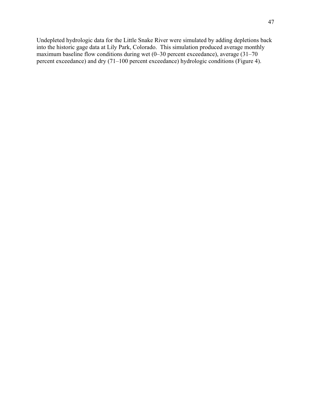Undepleted hydrologic data for the Little Snake River were simulated by adding depletions back into the historic gage data at Lily Park, Colorado. This simulation produced average monthly maximum baseline flow conditions during wet (0–30 percent exceedance), average (31–70 percent exceedance) and dry (71–100 percent exceedance) hydrologic conditions (Figure 4).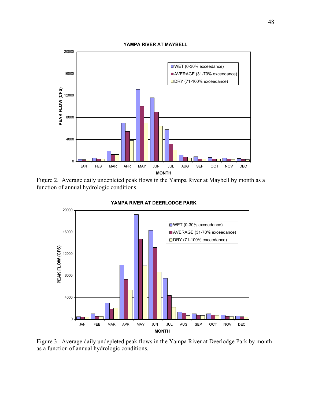# **YAMPA RIVER AT MAYBELL** 0 4000 8000 12000 16000 20000 JAN FEB MAR APR MAY JUN JUL AUG SEP OCT NOV DEC **MONTH P E A K FLO W (CFS)** WET (0-30% exceedance) AVERAGE (31-70% exceedance) DRY (71-100% exceedance)

Figure 2. Average daily undepleted peak flows in the Yampa River at Maybell by month as a function of annual hydrologic conditions.



Figure 3. Average daily undepleted peak flows in the Yampa River at Deerlodge Park by month as a function of annual hydrologic conditions.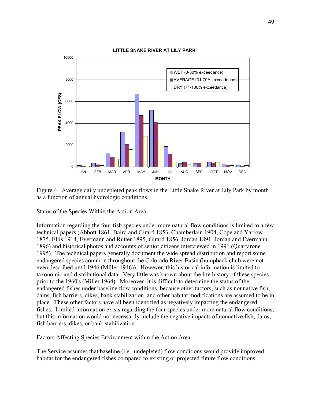

Figure 4. Average daily undepleted peak flows in the Little Snake River at Lily Park by month as a function of annual hydrologic conditions.

Status of the Species Within the Action Area

Information regarding the four fish species under more natural flow conditions is limited to a few technical papers (Abbott 1861, Baird and Girard 1853, Chamberlain 1904, Cope and Yarrow 1875, Ellis 1914, Evermann and Rutter 1895, Girard 1856, Jordan 1891, Jordan and Evermann 1896) and historical photos and accounts of senior citizens interviewed in 1991 (Quartarone 1995). The technical papers generally document the wide spread distribution and report some endangered species common throughout the Colorado River Basin (humpback chub were not even described until 1946 (Miller 1946)). However, this historical information is limited to taxonomic and distributional data. Very little was known about the life history of these species prior to the 1960's (Miller 1964). Moreover, it is difficult to determine the status of the endangered fishes under baseline flow conditions, because other factors, such as nonnative fish, dams, fish barriers, dikes, bank stabilization, and other habitat modifications are assumed to be in place. These other factors have all been identified as negatively impacting the endangered fishes. Limited information exists regarding the four species under more natural flow conditions, but this information would not necessarily include the negative impacts of nonnative fish, dams, fish barriers, dikes, or bank stabilization.

Factors Affecting Species Environment within the Action Area

The Service assumes that baseline (i.e., undepleted) flow conditions would provide improved habitat for the endangered fishes compared to existing or projected future flow conditions.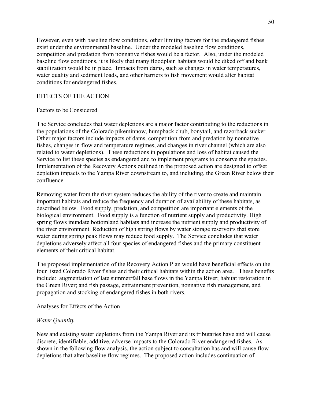However, even with baseline flow conditions, other limiting factors for the endangered fishes exist under the environmental baseline. Under the modeled baseline flow conditions, competition and predation from nonnative fishes would be a factor. Also, under the modeled baseline flow conditions, it is likely that many floodplain habitats would be diked off and bank stabilization would be in place. Impacts from dams, such as changes in water temperatures, water quality and sediment loads, and other barriers to fish movement would alter habitat conditions for endangered fishes.

# EFFECTS OF THE ACTION

#### Factors to be Considered

The Service concludes that water depletions are a major factor contributing to the reductions in the populations of the Colorado pikeminnow, humpback chub, bonytail, and razorback sucker. Other major factors include impacts of dams, competition from and predation by nonnative fishes, changes in flow and temperature regimes, and changes in river channel (which are also related to water depletions). These reductions in populations and loss of habitat caused the Service to list these species as endangered and to implement programs to conserve the species. Implementation of the Recovery Actions outlined in the proposed action are designed to offset depletion impacts to the Yampa River downstream to, and including, the Green River below their confluence.

Removing water from the river system reduces the ability of the river to create and maintain important habitats and reduce the frequency and duration of availability of these habitats, as described below. Food supply, predation, and competition are important elements of the biological environment. Food supply is a function of nutrient supply and productivity. High spring flows inundate bottomland habitats and increase the nutrient supply and productivity of the river environment. Reduction of high spring flows by water storage reservoirs that store water during spring peak flows may reduce food supply. The Service concludes that water depletions adversely affect all four species of endangered fishes and the primary constituent elements of their critical habitat.

The proposed implementation of the Recovery Action Plan would have beneficial effects on the four listed Colorado River fishes and their critical habitats within the action area. These benefits include: augmentation of late summer/fall base flows in the Yampa River; habitat restoration in the Green River; and fish passage, entrainment prevention, nonnative fish management, and propagation and stocking of endangered fishes in both rivers.

#### Analyses for Effects of the Action

#### *Water Quantity*

New and existing water depletions from the Yampa River and its tributaries have and will cause discrete, identifiable, additive, adverse impacts to the Colorado River endangered fishes. As shown in the following flow analysis, the action subject to consultation has and will cause flow depletions that alter baseline flow regimes. The proposed action includes continuation of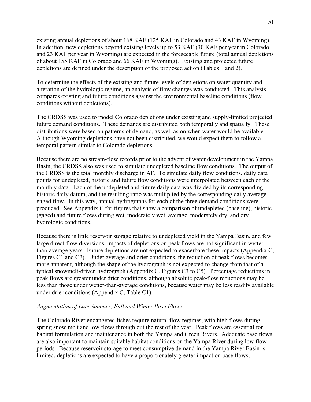existing annual depletions of about 168 KAF (125 KAF in Colorado and 43 KAF in Wyoming). In addition, new depletions beyond existing levels up to 53 KAF (30 KAF per year in Colorado and 23 KAF per year in Wyoming) are expected in the foreseeable future (total annual depletions of about 155 KAF in Colorado and 66 KAF in Wyoming). Existing and projected future depletions are defined under the description of the proposed action (Tables 1 and 2).

To determine the effects of the existing and future levels of depletions on water quantity and alteration of the hydrologic regime, an analysis of flow changes was conducted. This analysis compares existing and future conditions against the environmental baseline conditions (flow conditions without depletions).

The CRDSS was used to model Colorado depletions under existing and supply-limited projected future demand conditions. These demands are distributed both temporally and spatially. These distributions were based on patterns of demand, as well as on when water would be available. Although Wyoming depletions have not been distributed, we would expect them to follow a temporal pattern similar to Colorado depletions.

Because there are no stream-flow records prior to the advent of water development in the Yampa Basin, the CRDSS also was used to simulate undepleted baseline flow conditions. The output of the CRDSS is the total monthly discharge in AF. To simulate daily flow conditions, daily data points for undepleted, historic and future flow conditions were interpolated between each of the monthly data. Each of the undepleted and future daily data was divided by its corresponding historic daily datum, and the resulting ratio was multiplied by the corresponding daily average gaged flow. In this way, annual hydrographs for each of the three demand conditions were produced. See Appendix C for figures that show a comparison of undepleted (baseline), historic (gaged) and future flows during wet, moderately wet, average, moderately dry, and dry hydrologic conditions.

Because there is little reservoir storage relative to undepleted yield in the Yampa Basin, and few large direct-flow diversions, impacts of depletions on peak flows are not significant in wetterthan-average years. Future depletions are not expected to exacerbate these impacts (Appendix C, Figures C1 and C2). Under average and drier conditions, the reduction of peak flows becomes more apparent, although the shape of the hydrograph is not expected to change from that of a typical snowmelt-driven hydrograph (Appendix C, Figures C3 to C5). Percentage reductions in peak flows are greater under drier conditions, although absolute peak-flow reductions may be less than those under wetter-than-average conditions, because water may be less readily available under drier conditions (Appendix C, Table C1).

#### *Augmentation of Late Summer, Fall and Winter Base Flows*

The Colorado River endangered fishes require natural flow regimes, with high flows during spring snow melt and low flows through out the rest of the year. Peak flows are essential for habitat formulation and maintenance in both the Yampa and Green Rivers. Adequate base flows are also important to maintain suitable habitat conditions on the Yampa River during low flow periods. Because reservoir storage to meet consumptive demand in the Yampa River Basin is limited, depletions are expected to have a proportionately greater impact on base flows,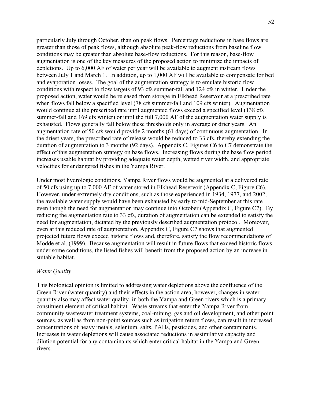particularly July through October, than on peak flows. Percentage reductions in base flows are greater than those of peak flows, although absolute peak-flow reductions from baseline flow conditions may be greater than absolute base-flow reductions. For this reason, base-flow augmentation is one of the key measures of the proposed action to minimize the impacts of depletions. Up to 6,000 AF of water per year will be available to augment instream flows between July 1 and March 1. In addition, up to 1,000 AF will be available to compensate for bed and evaporation losses. The goal of the augmentation strategy is to emulate historic flow conditions with respect to flow targets of 93 cfs summer-fall and 124 cfs in winter. Under the proposed action, water would be released from storage in Elkhead Reservoir at a prescribed rate when flows fall below a specified level (78 cfs summer-fall and 109 cfs winter). Augmentation would continue at the prescribed rate until augmented flows exceed a specified level (138 cfs summer-fall and 169 cfs winter) or until the full 7,000 AF of the augmentation water supply is exhausted. Flows generally fall below these thresholds only in average or drier years. An augmentation rate of 50 cfs would provide 2 months (61 days) of continuous augmentation. In the driest years, the prescribed rate of release would be reduced to 33 cfs, thereby extending the duration of augmentation to 3 months (92 days). Appendix C, Figures C6 to C7 demonstrate the effect of this augmentation strategy on base flows. Increasing flows during the base flow period increases usable habitat by providing adequate water depth, wetted river width, and appropriate velocities for endangered fishes in the Yampa River.

Under most hydrologic conditions, Yampa River flows would be augmented at a delivered rate of 50 cfs using up to 7,000 AF of water stored in Elkhead Reservoir (Appendix C, Figure C6). However, under extremely dry conditions, such as those experienced in 1934, 1977, and 2002, the available water supply would have been exhausted by early to mid-September at this rate even though the need for augmentation may continue into October (Appendix C, Figure C7). By reducing the augmentation rate to 33 cfs, duration of augmentation can be extended to satisfy the need for augmentation, dictated by the previously described augmentation protocol. Moreover, even at this reduced rate of augmentation, Appendix C, Figure C7 shows that augmented projected future flows exceed historic flows and, therefore, satisfy the flow recommendations of Modde et al. (1999). Because augmentation will result in future flows that exceed historic flows under some conditions, the listed fishes will benefit from the proposed action by an increase in suitable habitat.

# *Water Quality*

This biological opinion is limited to addressing water depletions above the confluence of the Green River (water quantity) and their effects in the action area; however, changes in water quantity also may affect water quality, in both the Yampa and Green rivers which is a primary constituent element of critical habitat. Waste streams that enter the Yampa River from community wastewater treatment systems, coal-mining, gas and oil development, and other point sources, as well as from non-point sources such as irrigation return flows, can result in increased concentrations of heavy metals, selenium, salts, PAHs, pesticides, and other contaminants. Increases in water depletions will cause associated reductions in assimilative capacity and dilution potential for any contaminants which enter critical habitat in the Yampa and Green rivers.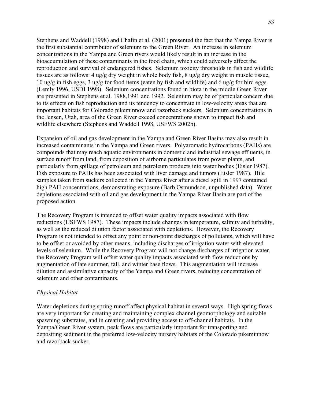Stephens and Waddell (1998) and Chafin et al. (2001) presented the fact that the Yampa River is the first substantial contributor of selenium to the Green River. An increase in selenium concentrations in the Yampa and Green rivers would likely result in an increase in the bioaccumulation of these contaminants in the food chain, which could adversely affect the reproduction and survival of endangered fishes. Selenium toxicity thresholds in fish and wildlife tissues are as follows: 4 ug/g dry weight in whole body fish, 8 ug/g dry weight in muscle tissue, 10 ug/g in fish eggs, 3 ug/g for food items (eaten by fish and wildlife) and 6 ug/g for bird eggs (Lemly 1996, USDI 1998). Selenium concentrations found in biota in the middle Green River are presented in Stephens et al. 1988,1991 and 1992. Selenium may be of particular concern due to its effects on fish reproduction and its tendency to concentrate in low-velocity areas that are important habitats for Colorado pikeminnow and razorback suckers. Selenium concentrations in the Jensen, Utah, area of the Green River exceed concentrations shown to impact fish and wildlife elsewhere (Stephens and Waddell 1998, USFWS 2002b).

Expansion of oil and gas development in the Yampa and Green River Basins may also result in increased contaminants in the Yampa and Green rivers. Polyaromatic hydrocarbons (PAHs) are compounds that may reach aquatic environments in domestic and industrial sewage effluents, in surface runoff from land, from deposition of airborne particulates from power plants, and particularly from spillage of petroleum and petroleum products into water bodies (Eisler 1987). Fish exposure to PAHs has been associated with liver damage and tumors (Eisler 1987). Bile samples taken from suckers collected in the Yampa River after a diesel spill in 1997 contained high PAH concentrations, demonstrating exposure (Barb Osmundson, unpublished data). Water depletions associated with oil and gas development in the Yampa River Basin are part of the proposed action.

The Recovery Program is intended to offset water quality impacts associated with flow reductions (USFWS 1987). These impacts include changes in temperature, salinity and turbidity, as well as the reduced dilution factor associated with depletions. However, the Recovery Program is not intended to offset any point or non-point discharges of pollutants, which will have to be offset or avoided by other means, including discharges of irrigation water with elevated levels of selenium. While the Recovery Program will not change discharges of irrigation water, the Recovery Program will offset water quality impacts associated with flow reductions by augmentation of late summer, fall, and winter base flows. This augmentation will increase dilution and assimilative capacity of the Yampa and Green rivers, reducing concentration of selenium and other contaminants.

#### *Physical Habitat*

Water depletions during spring runoff affect physical habitat in several ways. High spring flows are very important for creating and maintaining complex channel geomorphology and suitable spawning substrates, and in creating and providing access to off-channel habitats. In the Yampa/Green River system, peak flows are particularly important for transporting and depositing sediment in the preferred low-velocity nursery habitats of the Colorado pikeminnow and razorback sucker.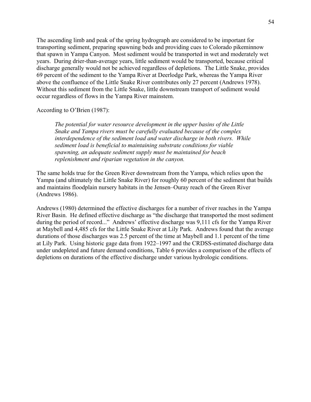The ascending limb and peak of the spring hydrograph are considered to be important for transporting sediment, preparing spawning beds and providing cues to Colorado pikeminnow that spawn in Yampa Canyon. Most sediment would be transported in wet and moderately wet years. During drier-than-average years, little sediment would be transported, because critical discharge generally would not be achieved regardless of depletions. The Little Snake, provides 69 percent of the sediment to the Yampa River at Deerlodge Park, whereas the Yampa River above the confluence of the Little Snake River contributes only 27 percent (Andrews 1978). Without this sediment from the Little Snake, little downstream transport of sediment would occur regardless of flows in the Yampa River mainstem.

#### According to O'Brien (1987):

*The potential for water resource development in the upper basins of the Little Snake and Yampa rivers must be carefully evaluated because of the complex interdependence of the sediment load and water discharge in both rivers. While sediment load is beneficial to maintaining substrate conditions for viable spawning, an adequate sediment supply must be maintained for beach replenishment and riparian vegetation in the canyon.*

The same holds true for the Green River downstream from the Yampa, which relies upon the Yampa (and ultimately the Little Snake River) for roughly 60 percent of the sediment that builds and maintains floodplain nursery habitats in the Jensen–Ouray reach of the Green River (Andrews 1986).

Andrews (1980) determined the effective discharges for a number of river reaches in the Yampa River Basin. He defined effective discharge as "the discharge that transported the most sediment during the period of record..." Andrews' effective discharge was 9,111 cfs for the Yampa River at Maybell and 4,485 cfs for the Little Snake River at Lily Park. Andrews found that the average durations of those discharges was 2.5 percent of the time at Maybell and 1.1 percent of the time at Lily Park. Using historic gage data from 1922–1997 and the CRDSS-estimated discharge data under undepleted and future demand conditions, Table 6 provides a comparison of the effects of depletions on durations of the effective discharge under various hydrologic conditions.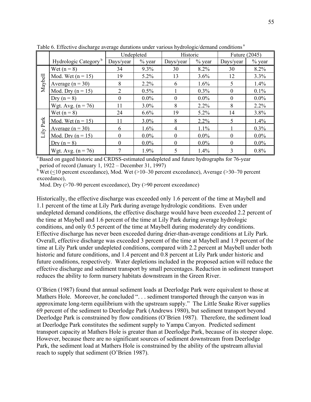|              |                                  |           | Undepleted |           | Historic | Future (2045) |          |  |
|--------------|----------------------------------|-----------|------------|-----------|----------|---------------|----------|--|
|              | Hydrologic Category <sup>b</sup> | Days/year | $%$ year   | Days/year | $%$ year | Days/year     | $%$ year |  |
| Maybell      | Wet $(n = 8)$                    | 34        | 9.3%       | 30        | 8.2%     | 30            | 8.2%     |  |
|              | Mod. Wet $(n = 15)$              | 19        | 5.2%       | 13        | 3.6%     | 12            | 3.3%     |  |
|              | Average $(n = 30)$               | 8         | $2.2\%$    | 6         | 1.6%     | 5             | $1.4\%$  |  |
|              | Mod. Dry ( $n = 15$ )            | 2         | $0.5\%$    |           | $0.3\%$  | $\Omega$      | $0.1\%$  |  |
|              | Dry $(n = 8)$                    | $\Omega$  | $0.0\%$    | $\theta$  | $0.0\%$  | $\Omega$      | $0.0\%$  |  |
|              | Wgt. Avg. $(n = 76)$             | 11        | 3.0%       | 8         | $2.2\%$  | 8             | $2.2\%$  |  |
| Park<br>Lily | Wet $(n = 8)$                    | 24        | 6.6%       | 19        | 5.2%     | 14            | 3.8%     |  |
|              | Mod. Wet $(n = 15)$              | 11        | 3.0%       | 8         | $2.2\%$  | 5             | 1.4%     |  |
|              | Average $(n = 30)$               | 6         | 1.6%       | 4         | 1.1%     |               | $0.3\%$  |  |
|              | Mod. Dry $(n = 15)$              | $\theta$  | $0.0\%$    | $\Omega$  | $0.0\%$  |               | $0.0\%$  |  |
|              | Dry $(n = 8)$                    | $\theta$  | $0.0\%$    | $\Omega$  | $0.0\%$  |               | $0.0\%$  |  |
|              | Wgt. Avg. $(n = 76)$             |           | 1.9%       | 5         | 1.4%     | 3             | 0.8%     |  |

Table 6. Effective discharge average durations under various hydrologic/demand conditions<sup>a</sup>

<sup>a</sup> Based on gaged historic and CRDSS-estimated undepleted and future hydrographs for 76-year period of record (January 1, 1922 – December 31, 1997)

 $b$  Wet (<10 percent exceedance), Mod. Wet (>10–30 percent exceedance), Average (>30–70 percent exceedance),

Mod. Dry (>70–90 percent exceedance), Dry (>90 percent exceedance)

Historically, the effective discharge was exceeded only 1.6 percent of the time at Maybell and 1.1 percent of the time at Lily Park during average hydrologic conditions. Even under undepleted demand conditions, the effective discharge would have been exceeded 2.2 percent of the time at Maybell and 1.6 percent of the time at Lily Park during average hydrologic conditions, and only 0.5 percent of the time at Maybell during moderately dry conditions. Effective discharge has never been exceeded during drier-than-average conditions at Lily Park. Overall, effective discharge was exceeded 3 percent of the time at Maybell and 1.9 percent of the time at Lily Park under undepleted conditions, compared with 2.2 percent at Maybell under both historic and future conditions, and 1.4 percent and 0.8 percent at Lily Park under historic and future conditions, respectively. Water depletions included in the proposed action will reduce the effective discharge and sediment transport by small percentages. Reduction in sediment transport reduces the ability to form nursery habitats downstream in the Green River.

O'Brien (1987) found that annual sediment loads at Deerlodge Park were equivalent to those at Mathers Hole. Moreover, he concluded "... sediment transported through the canyon was in approximate long-term equilibrium with the upstream supply." The Little Snake River supplies 69 percent of the sediment to Deerlodge Park (Andrews 1980), but sediment transport beyond Deerlodge Park is constrained by flow conditions (O'Brien 1987). Therefore, the sediment load at Deerlodge Park constitutes the sediment supply to Yampa Canyon. Predicted sediment transport capacity at Mathers Hole is greater than at Deerlodge Park, because of its steeper slope. However, because there are no significant sources of sediment downstream from Deerlodge Park, the sediment load at Mathers Hole is constrained by the ability of the upstream alluvial reach to supply that sediment (O'Brien 1987).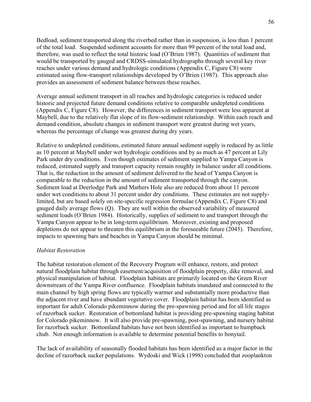Bedload, sediment transported along the riverbed rather than in suspension, is less than 1 percent of the total load. Suspended sediment accounts for more than 99 percent of the total load and, therefore, was used to reflect the total historic load (O'Brien 1987). Quantities of sediment that would be transported by gauged and CRDSS-simulated hydrographs through several key river reaches under various demand and hydrologic conditions (Appendix C, Figure C8) were estimated using flow-transport relationships developed by O'Brien (1987). This approach also provides an assessment of sediment balance between these reaches.

Average annual sediment transport in all reaches and hydrologic categories is reduced under historic and projected future demand conditions relative to comparable undepleted conditions (Appendix C, Figure C8). However, the differences in sediment transport were less apparent at Maybell, due to the relatively flat slope of its flow-sediment relationship. Within each reach and demand condition, absolute changes in sediment transport were greatest during wet years, whereas the percentage of change was greatest during dry years.

Relative to undepleted conditions, estimated future annual sediment supply is reduced by as little as 10 percent at Maybell under wet hydrologic conditions and by as much as 47 percent at Lily Park under dry conditions. Even though estimates of sediment supplied to Yampa Canyon is reduced, estimated supply and transport capacity remain roughly in balance under all conditions. That is, the reduction in the amount of sediment delivered to the head of Yampa Canyon is comparable to the reduction in the amount of sediment transported through the canyon. Sediment load at Deerlodge Park and Mathers Hole also are reduced from about 11 percent under wet conditions to about 31 percent under dry conditions. These estimates are not supplylimited, but are based solely on site-specific regression formulae (Appendix C, Figure C8) and gauged daily average flows (Q). They are well within the observed variability of measured sediment loads (O'Brien 1984). Historically, supplies of sediment to and transport through the Yampa Canyon appear to be in long-term equilibrium. Moreover, existing and proposed depletions do not appear to threaten this equilibrium in the foreseeable future (2045). Therefore, impacts to spawning bars and beaches in Yampa Canyon should be minimal.

#### *Habitat Restoration*

The habitat restoration element of the Recovery Program will enhance, restore, and protect natural floodplain habitat through easement/acquisition of floodplain property, dike removal, and physical manipulation of habitat. Floodplain habitats are primarily located on the Green River downstream of the Yampa River confluence. Floodplain habitats inundated and connected to the main channel by high spring flows are typically warmer and substantially more productive than the adjacent river and have abundant vegetative cover. Floodplain habitat has been identified as important for adult Colorado pikeminnow during the pre-spawning period and for all life stages of razorback sucker. Restoration of bottomland habitat is providing pre-spawning staging habitat for Colorado pikeminnow. It will also provide pre-spawning, post-spawning, and nursery habitat for razorback sucker. Bottomland habitats have not been identified as important to humpback chub. Not enough information is available to determine potential benefits to bonytail.

The lack of availability of seasonally flooded habitats has been identified as a major factor in the decline of razorback sucker populations. Wydoski and Wick (1998) concluded that zooplankton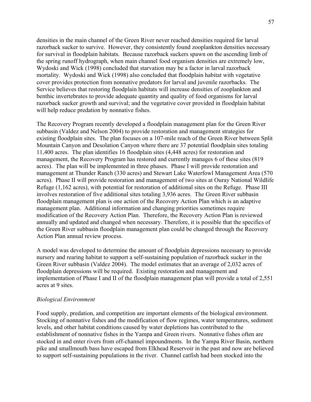densities in the main channel of the Green River never reached densities required for larval razorback sucker to survive. However, they consistently found zooplankton densities necessary for survival in floodplain habitats. Because razorback suckers spawn on the ascending limb of the spring runoff hydrograph, when main channel food organism densities are extremely low, Wydoski and Wick (1998) concluded that starvation may be a factor in larval razorback mortality. Wydoski and Wick (1998) also concluded that floodplain habitat with vegetative cover provides protection from nonnative predators for larval and juvenile razorbacks. The Service believes that restoring floodplain habitats will increase densities of zooplankton and benthic invertebrates to provide adequate quantity and quality of food organisms for larval razorback sucker growth and survival; and the vegetative cover provided in floodplain habitat will help reduce predation by nonnative fishes.

The Recovery Program recently developed a floodplain management plan for the Green River subbasin (Valdez and Nelson 2004) to provide restoration and management strategies for existing floodplain sites. The plan focuses on a 107-mile reach of the Green River between Split Mountain Canyon and Desolation Canyon where there are 37 potential floodplain sites totaling 11,400 acres. The plan identifies 16 floodplain sites (4,448 acres) for restoration and management, the Recovery Program has restored and currently manages 6 of these sites (819 acres). The plan will be implemented in three phases. Phase I will provide restoration and management at Thunder Ranch (330 acres) and Stewart Lake Waterfowl Management Area (570 acres). Phase II will provide restoration and management of two sites at Ouray National Wildlife Refuge (1,162 acres), with potential for restoration of additional sites on the Refuge. Phase III involves restoration of five additional sites totaling 3,936 acres. The Green River subbasin floodplain management plan is one action of the Recovery Action Plan which is an adaptive management plan. Additional information and changing priorities sometimes require modification of the Recovery Action Plan. Therefore, the Recovery Action Plan is reviewed annually and updated and changed when necessary. Therefore, it is possible that the specifics of the Green River subbasin floodplain management plan could be changed through the Recovery Action Plan annual review process.

A model was developed to determine the amount of floodplain depressions necessary to provide nursery and rearing habitat to support a self-sustaining population of razorback sucker in the Green River subbasin (Valdez 2004). The model estimates that an average of 2,032 acres of floodplain depressions will be required. Existing restoration and management and implementation of Phase I and II of the floodplain management plan will provide a total of 2,551 acres at 9 sites.

#### *Biological Environment*

Food supply, predation, and competition are important elements of the biological environment. Stocking of nonnative fishes and the modification of flow regimes, water temperatures, sediment levels, and other habitat conditions caused by water depletions has contributed to the establishment of nonnative fishes in the Yampa and Green rivers. Nonnative fishes often are stocked in and enter rivers from off-channel impoundments. In the Yampa River Basin, northern pike and smallmouth bass have escaped from Elkhead Reservoir in the past and now are believed to support self-sustaining populations in the river. Channel catfish had been stocked into the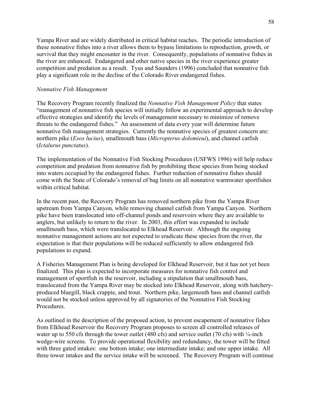Yampa River and are widely distributed in critical habitat reaches. The periodic introduction of these nonnative fishes into a river allows them to bypass limitations to reproduction, growth, or survival that they might encounter in the river. Consequently, populations of nonnative fishes in the river are enhanced. Endangered and other native species in the river experience greater competition and predation as a result. Tyus and Saunders (1996) concluded that nonnative fish play a significant role in the decline of the Colorado River endangered fishes.

## *Nonnative Fish Management*

The Recovery Program recently finalized the *Nonnative Fish Management Policy* that states "management of nonnative fish species will initially follow an experimental approach to develop effective strategies and identify the levels of management necessary to minimize of remove threats to the endangered fishes." An assessment of data every year will determine future nonnative fish management strategies. Currently the nonnative species of greatest concern are: northern pike (*Esox lucius*), smallmouth bass (*Micropterus dolomieui*), and channel catfish (*Ictalurus punctatus*).

The implementation of the Nonnative Fish Stocking Procedures (USFWS 1996) will help reduce competition and predation from nonnative fish by prohibiting these species from being stocked into waters occupied by the endangered fishes. Further reduction of nonnative fishes should come with the State of Colorado's removal of bag limits on all nonnative warmwater sportfishes within critical habitat.

In the recent past, the Recovery Program has removed northern pike from the Yampa River upstream from Yampa Canyon, while removing channel catfish from Yampa Canyon. Northern pike have been translocated into off-channel ponds and reservoirs where they are available to anglers, but unlikely to return to the river. In 2003, this effort was expanded to include smallmouth bass, which were translocated to Elkhead Reservoir. Although the ongoing nonnative management actions are not expected to eradicate these species from the river, the expectation is that their populations will be reduced sufficiently to allow endangered fish populations to expand.

A Fisheries Management Plan is being developed for Elkhead Reservoir, but it has not yet been finalized. This plan is expected to incorporate measures for nonnative fish control and management of sportfish in the reservoir, including a stipulation that smallmouth bass, translocated from the Yampa River may be stocked into Elkhead Reservoir, along with hatcheryproduced bluegill, black crappie, and trout. Northern pike, largemouth bass and channel catfish would not be stocked unless approved by all signatories of the Nonnative Fish Stocking **Procedures** 

As outlined in the description of the proposed action, to prevent escapement of nonnative fishes from Elkhead Reservoir the Recovery Program proposes to screen all controlled releases of water up to 550 cfs through the tower outlet (480 cfs) and service outlet (70 cfs) with  $\frac{1}{4}$ -inch wedge-wire screens. To provide operational flexibility and redundancy, the tower will be fitted with three gated intakes: one bottom intake; one intermediate intake; and one upper intake. All three tower intakes and the service intake will be screened. The Recovery Program will continue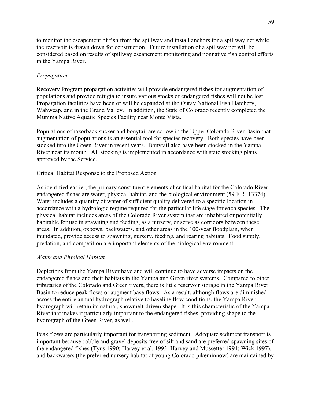to monitor the escapement of fish from the spillway and install anchors for a spillway net while the reservoir is drawn down for construction. Future installation of a spillway net will be considered based on results of spillway escapement monitoring and nonnative fish control efforts in the Yampa River.

# *Propagation*

Recovery Program propagation activities will provide endangered fishes for augmentation of populations and provide refugia to insure various stocks of endangered fishes will not be lost. Propagation facilities have been or will be expanded at the Ouray National Fish Hatchery, Wahweap, and in the Grand Valley. In addition, the State of Colorado recently completed the Mumma Native Aquatic Species Facility near Monte Vista.

Populations of razorback sucker and bonytail are so low in the Upper Colorado River Basin that augmentation of populations is an essential tool for species recovery. Both species have been stocked into the Green River in recent years. Bonytail also have been stocked in the Yampa River near its mouth. All stocking is implemented in accordance with state stocking plans approved by the Service.

# Critical Habitat Response to the Proposed Action

As identified earlier, the primary constituent elements of critical habitat for the Colorado River endangered fishes are water, physical habitat, and the biological environment (59 F.R. 13374). Water includes a quantity of water of sufficient quality delivered to a specific location in accordance with a hydrologic regime required for the particular life stage for each species. The physical habitat includes areas of the Colorado River system that are inhabited or potentially habitable for use in spawning and feeding, as a nursery, or serve as corridors between these areas. In addition, oxbows, backwaters, and other areas in the 100-year floodplain, when inundated, provide access to spawning, nursery, feeding, and rearing habitats. Food supply, predation, and competition are important elements of the biological environment.

# *Water and Physical Habitat*

Depletions from the Yampa River have and will continue to have adverse impacts on the endangered fishes and their habitats in the Yampa and Green river systems. Compared to other tributaries of the Colorado and Green rivers, there is little reservoir storage in the Yampa River Basin to reduce peak flows or augment base flows. As a result, although flows are diminished across the entire annual hydrograph relative to baseline flow conditions, the Yampa River hydrograph will retain its natural, snowmelt-driven shape. It is this characteristic of the Yampa River that makes it particularly important to the endangered fishes, providing shape to the hydrograph of the Green River, as well.

Peak flows are particularly important for transporting sediment. Adequate sediment transport is important because cobble and gravel deposits free of silt and sand are preferred spawning sites of the endangered fishes (Tyus 1990; Harvey et al. 1993; Harvey and Mussetter 1994; Wick 1997), and backwaters (the preferred nursery habitat of young Colorado pikeminnow) are maintained by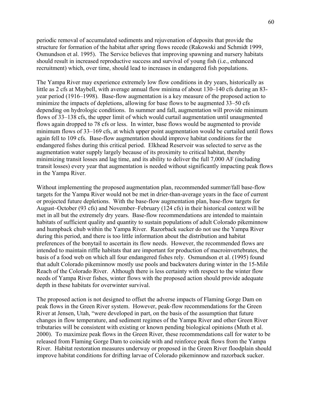periodic removal of accumulated sediments and rejuvenation of deposits that provide the structure for formation of the habitat after spring flows recede (Rakowski and Schmidt 1999, Osmundson et al. 1995). The Service believes that improving spawning and nursery habitats should result in increased reproductive success and survival of young fish (i.e., enhanced recruitment) which, over time, should lead to increases in endangered fish populations.

The Yampa River may experience extremely low flow conditions in dry years, historically as little as 2 cfs at Maybell, with average annual flow minima of about 130–140 cfs during an 83 year period (1916–1998). Base-flow augmentation is a key measure of the proposed action to minimize the impacts of depletions, allowing for base flows to be augmented 33–50 cfs depending on hydrologic conditions. In summer and fall, augmentation will provide minimum flows of 33–138 cfs, the upper limit of which would curtail augmentation until unaugmented flows again dropped to 78 cfs or less. In winter, base flows would be augmented to provide minimum flows of 33–169 cfs, at which upper point augmentation would be curtailed until flows again fell to 109 cfs. Base-flow augmentation should improve habitat conditions for the endangered fishes during this critical period. Elkhead Reservoir was selected to serve as the augmentation water supply largely because of its proximity to critical habitat, thereby minimizing transit losses and lag time, and its ability to deliver the full 7,000 AF (including transit losses) every year that augmentation is needed without significantly impacting peak flows in the Yampa River.

Without implementing the proposed augmentation plan, recommended summer/fall base-flow targets for the Yampa River would not be met in drier-than-average years in the face of current or projected future depletions. With the base-flow augmentation plan, base-flow targets for August–October (93 cfs) and November–February (124 cfs) in their historical context will be met in all but the extremely dry years. Base-flow recommendations are intended to maintain habitats of sufficient quality and quantity to sustain populations of adult Colorado pikeminnow and humpback chub within the Yampa River. Razorback sucker do not use the Yampa River during this period, and there is too little information about the distribution and habitat preferences of the bonytail to ascertain its flow needs. However, the recommended flows are intended to maintain riffle habitats that are important for production of macroinvertebrates, the basis of a food web on which all four endangered fishes rely. Osmundson et al. (1995) found that adult Colorado pikeminnow mostly use pools and backwaters during winter in the 15-Mile Reach of the Colorado River. Although there is less certainty with respect to the winter flow needs of Yampa River fishes, winter flows with the proposed action should provide adequate depth in these habitats for overwinter survival.

The proposed action is not designed to offset the adverse impacts of Flaming Gorge Dam on peak flows in the Green River system. However, peak-flow recommendations for the Green River at Jensen, Utah, "were developed in part, on the basis of the assumption that future changes in flow temperature, and sediment regimes of the Yampa River and other Green River tributaries will be consistent with existing or known pending biological opinions (Muth et al. 2000). To maximize peak flows in the Green River, these recommendations call for water to be released from Flaming Gorge Dam to coincide with and reinforce peak flows from the Yampa River. Habitat restoration measures underway or proposed in the Green River floodplain should improve habitat conditions for drifting larvae of Colorado pikeminnow and razorback sucker.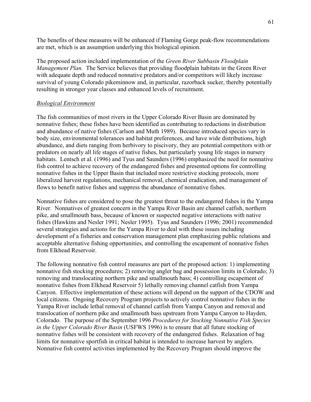The benefits of these measures will be enhanced if Flaming Gorge peak-flow recommendations are met, which is an assumption underlying this biological opinion.

The proposed action included implementation of the *Green River Subbasin Floodplain Management Plan.* The Service believes that providing floodplain habitats in the Green River with adequate depth and reduced nonnative predators and/or competitors will likely increase survival of young Colorado pikeminnow and, in particular, razorback sucker, thereby potentially resulting in stronger year classes and enhanced levels of recruitment.

# *Biological Environment*

The fish communities of most rivers in the Upper Colorado River Basin are dominated by nonnative fishes; these fishes have been identified as contributing to reductions in distribution and abundance of native fishes (Carlson and Muth 1989). Because introduced species vary in body size, environmental tolerances and habitat preferences, and have wide distributions, high abundance, and diets ranging from herbivory to piscivory, they are potential competitors with or predators on nearly all life stages of native fishes, but particularly young life stages in nursery habitats. Lentsch et al. (1996) and Tyus and Saunders (1996) emphasized the need for nonnative fish control to achieve recovery of the endangered fishes and presented options for controlling nonnative fishes in the Upper Basin that included more restrictive stocking protocols, more liberalized harvest regulations, mechanical removal, chemical eradication, and management of flows to benefit native fishes and suppress the abundance of nonnative fishes.

Nonnative fishes are considered to pose the greatest threat to the endangered fishes in the Yampa River. Nonnatives of greatest concern in the Yampa River Basin are channel catfish, northern pike, and smallmouth bass, because of known or suspected negative interactions with native fishes (Hawkins and Nesler 1991; Nesler 1995). Tyus and Saunders (1996; 2001) recommended several strategies and actions for the Yampa River to deal with these issues including development of a fisheries and conservation management plan emphasizing public relations and acceptable alternative fishing opportunities, and controlling the escapement of nonnative fishes from Elkhead Reservoir.

The following nonnative fish control measures are part of the proposed action: 1) implementing nonnative fish stocking procedures; 2) removing angler bag and possession limits in Colorado; 3) removing and translocating northern pike and smallmouth bass; 4) controlling escapement of nonnative fishes from Elkhead Reservoir 5) lethally removing channel catfish from Yampa Canyon. Effective implementation of these actions will depend on the support of the CDOW and local citizens. Ongoing Recovery Program projects to actively control nonnative fishes in the Yampa River include lethal removal of channel catfish from Yampa Canyon and removal and translocation of northern pike and smallmouth bass upstream from Yampa Canyon to Hayden, Colorado. The purpose of the September 1996 *Procedures for Stocking Nonnative Fish Species in the Upper Colorado River Basin* (USFWS 1996) is to ensure that all future stocking of nonnative fishes will be consistent with recovery of the endangered fishes. Relaxation of bag limits for nonnative sportfish in critical habitat is intended to increase harvest by anglers. Nonnative fish control activities implemented by the Recovery Program should improve the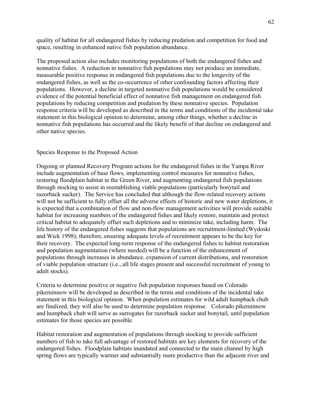quality of habitat for all endangered fishes by reducing predation and competition for food and space, resulting in enhanced native fish population abundance.

The proposed action also includes monitoring populations of both the endangered fishes and nonnative fishes. A reduction in nonnative fish populations may not produce an immediate, measurable positive response in endangered fish populations due to the longevity of the endangered fishes, as well as the co-occurrence of other confounding factors affecting their populations. However, a decline in targeted nonnative fish populations would be considered evidence of the potential beneficial effect of nonnative fish management on endangered fish populations by reducing competition and predation by these nonnative species. Population response criteria will be developed as described in the terms and conditions of the incidental take statement in this biological opinion to determine, among other things, whether a decline in nonnative fish populations has occurred and the likely benefit of that decline on endangered and other native species.

# Species Response to the Proposed Action

Ongoing or planned Recovery Program actions for the endangered fishes in the Yampa River include augmentation of base flows, implementing control measures for nonnative fishes, restoring floodplain habitat in the Green River, and augmenting endangered fish populations through stocking to assist in reestablishing viable populations (particularly bonytail and razorback sucker). The Service has concluded that although the flow-related recovery actions will not be sufficient to fully offset all the adverse effects of historic and new water depletions, it is expected that a combination of flow and non-flow management activities will provide suitable habitat for increasing numbers of the endangered fishes and likely restore, maintain and protect critical habitat to adequately offset such depletions and to minimize take, including harm. The life history of the endangered fishes suggests that populations are recruitment-limited (Wydoski and Wick 1998); therefore, ensuring adequate levels of recruitment appears to be the key for their recovery. The expected long-term response of the endangered fishes to habitat restoration and population augmentation (where needed) will be a function of the enhancement of populations through increases in abundance, expansion of current distributions, and restoration of viable population structure (i.e., all life stages present and successful recruitment of young to adult stocks).

Criteria to determine positive or negative fish population responses based on Colorado pikeminnow will be developed as described in the terms and conditions of the incidental take statement in this biological opinion. When population estimates for wild adult humpback chub are finalized, they will also be used to determine population response. Colorado pikeminnow and humpback chub will serve as surrogates for razorback sucker and bonytail, until population estimates for those species are possible.

Habitat restoration and augmentation of populations through stocking to provide sufficient numbers of fish to take full advantage of restored habitats are key elements for recovery of the endangered fishes. Floodplain habitats inundated and connected to the main channel by high spring flows are typically warmer and substantially more productive than the adjacent river and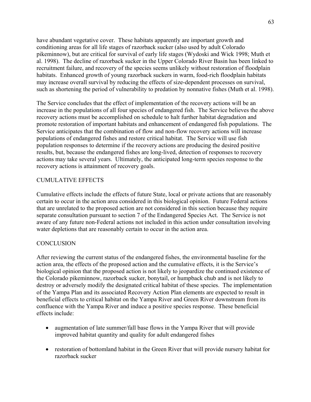have abundant vegetative cover. These habitats apparently are important growth and conditioning areas for all life stages of razorback sucker (also used by adult Colorado pikeminnow), but are critical for survival of early life stages (Wydoski and Wick 1998; Muth et al. 1998). The decline of razorback sucker in the Upper Colorado River Basin has been linked to recruitment failure, and recovery of the species seems unlikely without restoration of floodplain habitats. Enhanced growth of young razorback suckers in warm, food-rich floodplain habitats may increase overall survival by reducing the effects of size-dependent processes on survival, such as shortening the period of vulnerability to predation by nonnative fishes (Muth et al. 1998).

The Service concludes that the effect of implementation of the recovery actions will be an increase in the populations of all four species of endangered fish. The Service believes the above recovery actions must be accomplished on schedule to halt further habitat degradation and promote restoration of important habitats and enhancement of endangered fish populations. The Service anticipates that the combination of flow and non-flow recovery actions will increase populations of endangered fishes and restore critical habitat. The Service will use fish population responses to determine if the recovery actions are producing the desired positive results, but, because the endangered fishes are long-lived, detection of responses to recovery actions may take several years. Ultimately, the anticipated long-term species response to the recovery actions is attainment of recovery goals.

# CUMULATIVE EFFECTS

Cumulative effects include the effects of future State, local or private actions that are reasonably certain to occur in the action area considered in this biological opinion. Future Federal actions that are unrelated to the proposed action are not considered in this section because they require separate consultation pursuant to section 7 of the Endangered Species Act. The Service is not aware of any future non-Federal actions not included in this action under consultation involving water depletions that are reasonably certain to occur in the action area.

# **CONCLUSION**

After reviewing the current status of the endangered fishes, the environmental baseline for the action area, the effects of the proposed action and the cumulative effects, it is the Service's biological opinion that the proposed action is not likely to jeopardize the continued existence of the Colorado pikeminnow, razorback sucker, bonytail, or humpback chub and is not likely to destroy or adversely modify the designated critical habitat of these species. The implementation of the Yampa Plan and its associated Recovery Action Plan elements are expected to result in beneficial effects to critical habitat on the Yampa River and Green River downstream from its confluence with the Yampa River and induce a positive species response. These beneficial effects include:

- augmentation of late summer/fall base flows in the Yampa River that will provide improved habitat quantity and quality for adult endangered fishes
- restoration of bottomland habitat in the Green River that will provide nursery habitat for razorback sucker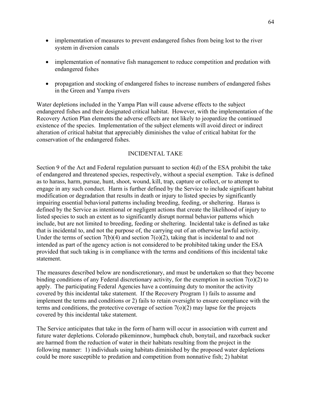- implementation of measures to prevent endangered fishes from being lost to the river system in diversion canals
- implementation of nonnative fish management to reduce competition and predation with endangered fishes
- propagation and stocking of endangered fishes to increase numbers of endangered fishes in the Green and Yampa rivers

Water depletions included in the Yampa Plan will cause adverse effects to the subject endangered fishes and their designated critical habitat. However, with the implementation of the Recovery Action Plan elements the adverse effects are not likely to jeopardize the continued existence of the species. Implementation of the subject elements will avoid direct or indirect alteration of critical habitat that appreciably diminishes the value of critical habitat for the conservation of the endangered fishes.

# INCIDENTAL TAKE

Section 9 of the Act and Federal regulation pursuant to section 4(d) of the ESA prohibit the take of endangered and threatened species, respectively, without a special exemption. Take is defined as to harass, harm, pursue, hunt, shoot, wound, kill, trap, capture or collect, or to attempt to engage in any such conduct. Harm is further defined by the Service to include significant habitat modification or degradation that results in death or injury to listed species by significantly impairing essential behavioral patterns including breeding, feeding, or sheltering. Harass is defined by the Service as intentional or negligent actions that create the likelihood of injury to listed species to such an extent as to significantly disrupt normal behavior patterns which include, but are not limited to breeding, feeding or sheltering. Incidental take is defined as take that is incidental to, and not the purpose of, the carrying out of an otherwise lawful activity. Under the terms of section  $7(b)(4)$  and section  $7(o)(2)$ , taking that is incidental to and not intended as part of the agency action is not considered to be prohibited taking under the ESA provided that such taking is in compliance with the terms and conditions of this incidental take statement.

The measures described below are nondiscretionary, and must be undertaken so that they become binding conditions of any Federal discretionary activity, for the exemption in section 7(o)(2) to apply. The participating Federal Agencies have a continuing duty to monitor the activity covered by this incidental take statement. If the Recovery Program 1) fails to assume and implement the terms and conditions or 2) fails to retain oversight to ensure compliance with the terms and conditions, the protective coverage of section  $7(0)(2)$  may lapse for the projects covered by this incidental take statement.

The Service anticipates that take in the form of harm will occur in association with current and future water depletions. Colorado pikeminnow, humpback chub, bonytail, and razorback sucker are harmed from the reduction of water in their habitats resulting from the project in the following manner: 1) individuals using habitats diminished by the proposed water depletions could be more susceptible to predation and competition from nonnative fish; 2) habitat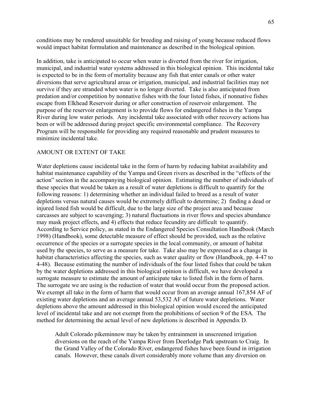conditions may be rendered unsuitable for breeding and raising of young because reduced flows would impact habitat formulation and maintenance as described in the biological opinion.

In addition, take is anticipated to occur when water is diverted from the river for irrigation, municipal, and industrial water systems addressed in this biological opinion. This incidental take is expected to be in the form of mortality because any fish that enter canals or other water diversions that serve agricultural areas or irrigation, municipal, and industrial facilities may not survive if they are stranded when water is no longer diverted. Take is also anticipated from predation and/or competition by nonnative fishes with the four listed fishes, if nonnative fishes escape from Elkhead Reservoir during or after construction of reservoir enlargement. The purpose of the reservoir enlargement is to provide flows for endangered fishes in the Yampa River during low water periods. Any incidental take associated with other recovery actions has been or will be addressed during project specific environmental compliance. The Recovery Program will be responsible for providing any required reasonable and prudent measures to minimize incidental take.

#### AMOUNT OR EXTENT OF TAKE

Water depletions cause incidental take in the form of harm by reducing habitat availability and habitat maintenance capability of the Yampa and Green rivers as described in the "effects of the action" section in the accompanying biological opinion. Estimating the number of individuals of these species that would be taken as a result of water depletions is difficult to quantify for the following reasons: 1) determining whether an individual failed to breed as a result of water depletions versus natural causes would be extremely difficult to determine; 2) finding a dead or injured listed fish would be difficult, due to the large size of the project area and because carcasses are subject to scavenging; 3) natural fluctuations in river flows and species abundance may mask project effects, and 4) effects that reduce fecundity are difficult to quantify. According to Service policy, as stated in the Endangered Species Consultation Handbook (March 1998) (Handbook), some detectable measure of effect should be provided, such as the relative occurrence of the species or a surrogate species in the local community, or amount of habitat used by the species, to serve as a measure for take. Take also may be expressed as a change in habitat characteristics affecting the species, such as water quality or flow (Handbook, pp. 4-47 to 4-48). Because estimating the number of individuals of the four listed fishes that could be taken by the water depletions addressed in this biological opinion is difficult, we have developed a surrogate measure to estimate the amount of anticipate take to listed fish in the form of harm. The surrogate we are using is the reduction of water that would occur from the proposed action. We exempt all take in the form of harm that would occur from an average annual 167,854 AF of existing water depletions and an average annual 53,532 AF of future water depletions. Water depletions above the amount addressed in this biological opinion would exceed the anticipated level of incidental take and are not exempt from the prohibitions of section 9 of the ESA. The method for determining the actual level of new depletions is described in Appendix D.

Adult Colorado pikeminnow may be taken by entrainment in unscreened irrigation diversions on the reach of the Yampa River from Deerlodge Park upstream to Craig. In the Grand Valley of the Colorado River, endangered fishes have been found in irrigation canals. However, these canals divert considerably more volume than any diversion on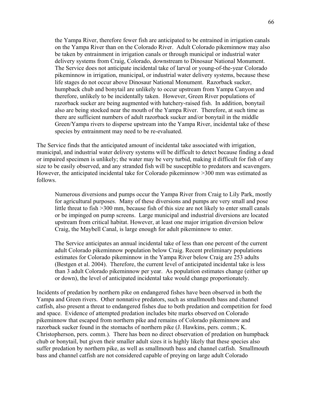the Yampa River, therefore fewer fish are anticipated to be entrained in irrigation canals on the Yampa River than on the Colorado River. Adult Colorado pikeminnow may also be taken by entrainment in irrigation canals or through municipal or industrial water delivery systems from Craig, Colorado, downstream to Dinosaur National Monument. The Service does not anticipate incidental take of larval or young-of-the-year Colorado pikeminnow in irrigation, municipal, or industrial water delivery systems, because these life stages do not occur above Dinosaur National Monument. Razorback sucker, humpback chub and bonytail are unlikely to occur upstream from Yampa Canyon and therefore, unlikely to be incidentally taken. However, Green River populations of razorback sucker are being augmented with hatchery-raised fish. In addition, bonytail also are being stocked near the mouth of the Yampa River. Therefore, at such time as there are sufficient numbers of adult razorback sucker and/or bonytail in the middle Green/Yampa rivers to disperse upstream into the Yampa River, incidental take of these species by entrainment may need to be re-evaluated.

The Service finds that the anticipated amount of incidental take associated with irrigation, municipal, and industrial water delivery systems will be difficult to detect because finding a dead or impaired specimen is unlikely; the water may be very turbid, making it difficult for fish of any size to be easily observed, and any stranded fish will be susceptible to predators and scavengers. However, the anticipated incidental take for Colorado pikeminnow >300 mm was estimated as follows.

Numerous diversions and pumps occur the Yampa River from Craig to Lily Park, mostly for agricultural purposes. Many of these diversions and pumps are very small and pose little threat to fish >300 mm, because fish of this size are not likely to enter small canals or be impinged on pump screens. Large municipal and industrial diversions are located upstream from critical habitat. However, at least one major irrigation diversion below Craig, the Maybell Canal, is large enough for adult pikeminnow to enter.

The Service anticipates an annual incidental take of less than one percent of the current adult Colorado pikeminnow population below Craig. Recent preliminary populations estimates for Colorado pikeminnow in the Yampa River below Craig are 253 adults (Bestgen et al. 2004). Therefore, the current level of anticipated incidental take is less than 3 adult Colorado pikeminnow per year. As population estimates change (either up or down), the level of anticipated incidental take would change proportionately.

Incidents of predation by northern pike on endangered fishes have been observed in both the Yampa and Green rivers. Other nonnative predators, such as smallmouth bass and channel catfish, also present a threat to endangered fishes due to both predation and competition for food and space. Evidence of attempted predation includes bite marks observed on Colorado pikeminnow that escaped from northern pike and remains of Colorado pikeminnow and razorback sucker found in the stomachs of northern pike (J. Hawkins, pers. comm.; K. Christopherson, pers. comm.). There has been no direct observation of predation on humpback chub or bonytail, but given their smaller adult sizes it is highly likely that these species also suffer predation by northern pike, as well as smallmouth bass and channel catfish. Smallmouth bass and channel catfish are not considered capable of preying on large adult Colorado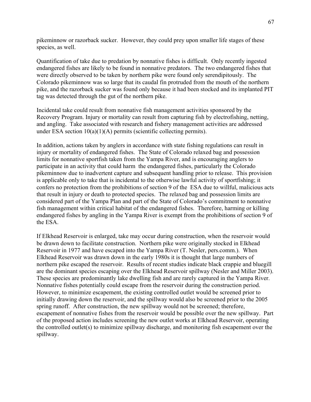pikeminnow or razorback sucker. However, they could prey upon smaller life stages of these species, as well.

Quantification of take due to predation by nonnative fishes is difficult. Only recently ingested endangered fishes are likely to be found in nonnative predators. The two endangered fishes that were directly observed to be taken by northern pike were found only serendipitously. The Colorado pikeminnow was so large that its caudal fin protruded from the mouth of the northern pike, and the razorback sucker was found only because it had been stocked and its implanted PIT tag was detected through the gut of the northern pike.

Incidental take could result from nonnative fish management activities sponsored by the Recovery Program. Injury or mortality can result from capturing fish by electrofishing, netting, and angling. Take associated with research and fishery management activities are addressed under ESA section  $10(a)(1)(A)$  permits (scientific collecting permits).

In addition, actions taken by anglers in accordance with state fishing regulations can result in injury or mortality of endangered fishes. The State of Colorado relaxed bag and possession limits for nonnative sportfish taken from the Yampa River, and is encouraging anglers to participate in an activity that could harm the endangered fishes, particularly the Colorado pikeminnow due to inadvertent capture and subsequent handling prior to release. This provision is applicable only to take that is incidental to the otherwise lawful activity of sportfishing; it confers no protection from the prohibitions of section 9 of the ESA due to willful, malicious acts that result in injury or death to protected species. The relaxed bag and possession limits are considered part of the Yampa Plan and part of the State of Colorado's commitment to nonnative fish management within critical habitat of the endangered fishes. Therefore, harming or killing endangered fishes by angling in the Yampa River is exempt from the prohibitions of section 9 of the ESA.

If Elkhead Reservoir is enlarged, take may occur during construction, when the reservoir would be drawn down to facilitate construction. Northern pike were originally stocked in Elkhead Reservoir in 1977 and have escaped into the Yampa River (T. Nesler, pers.comm.). When Elkhead Reservoir was drawn down in the early 1980s it is thought that large numbers of northern pike escaped the reservoir. Results of recent studies indicate black crappie and bluegill are the dominant species escaping over the Elkhead Reservoir spillway (Nesler and Miller 2003). These species are predominantly lake dwelling fish and are rarely captured in the Yampa River. Nonnative fishes potentially could escape from the reservoir during the construction period. However, to minimize escapement, the existing controlled outlet would be screened prior to initially drawing down the reservoir, and the spillway would also be screened prior to the 2005 spring runoff. After construction, the new spillway would not be screened; therefore, escapement of nonnative fishes from the reservoir would be possible over the new spillway. Part of the proposed action includes screening the new outlet works at Elkhead Reservoir, operating the controlled outlet(s) to minimize spillway discharge, and monitoring fish escapement over the spillway.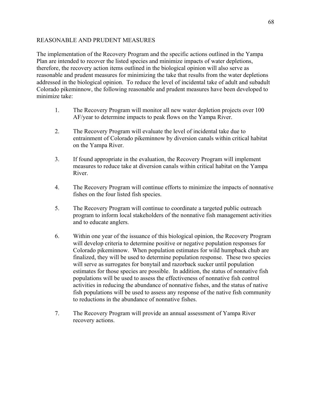# REASONABLE AND PRUDENT MEASURES

The implementation of the Recovery Program and the specific actions outlined in the Yampa Plan are intended to recover the listed species and minimize impacts of water depletions, therefore, the recovery action items outlined in the biological opinion will also serve as reasonable and prudent measures for minimizing the take that results from the water depletions addressed in the biological opinion. To reduce the level of incidental take of adult and subadult Colorado pikeminnow, the following reasonable and prudent measures have been developed to minimize take:

- 1. The Recovery Program will monitor all new water depletion projects over 100 AF/year to determine impacts to peak flows on the Yampa River.
- 2. The Recovery Program will evaluate the level of incidental take due to entrainment of Colorado pikeminnow by diversion canals within critical habitat on the Yampa River.
- 3. If found appropriate in the evaluation, the Recovery Program will implement measures to reduce take at diversion canals within critical habitat on the Yampa River.
- 4. The Recovery Program will continue efforts to minimize the impacts of nonnative fishes on the four listed fish species.
- 5. The Recovery Program will continue to coordinate a targeted public outreach program to inform local stakeholders of the nonnative fish management activities and to educate anglers.
- 6. Within one year of the issuance of this biological opinion, the Recovery Program will develop criteria to determine positive or negative population responses for Colorado pikeminnow. When population estimates for wild humpback chub are finalized, they will be used to determine population response. These two species will serve as surrogates for bonytail and razorback sucker until population estimates for those species are possible. In addition, the status of nonnative fish populations will be used to assess the effectiveness of nonnative fish control activities in reducing the abundance of nonnative fishes, and the status of native fish populations will be used to assess any response of the native fish community to reductions in the abundance of nonnative fishes.
- 7. The Recovery Program will provide an annual assessment of Yampa River recovery actions.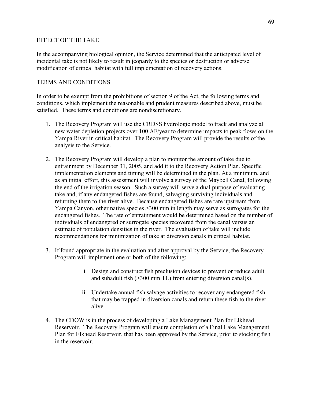## EFFECT OF THE TAKE

In the accompanying biological opinion, the Service determined that the anticipated level of incidental take is not likely to result in jeopardy to the species or destruction or adverse modification of critical habitat with full implementation of recovery actions.

# TERMS AND CONDITIONS

In order to be exempt from the prohibitions of section 9 of the Act, the following terms and conditions, which implement the reasonable and prudent measures described above, must be satisfied. These terms and conditions are nondiscretionary.

- 1. The Recovery Program will use the CRDSS hydrologic model to track and analyze all new water depletion projects over 100 AF/year to determine impacts to peak flows on the Yampa River in critical habitat. The Recovery Program will provide the results of the analysis to the Service.
- 2. The Recovery Program will develop a plan to monitor the amount of take due to entrainment by December 31, 2005, and add it to the Recovery Action Plan. Specific implementation elements and timing will be determined in the plan. At a minimum, and as an initial effort, this assessment will involve a survey of the Maybell Canal, following the end of the irrigation season. Such a survey will serve a dual purpose of evaluating take and, if any endangered fishes are found, salvaging surviving individuals and returning them to the river alive. Because endangered fishes are rare upstream from Yampa Canyon, other native species >300 mm in length may serve as surrogates for the endangered fishes. The rate of entrainment would be determined based on the number of individuals of endangered or surrogate species recovered from the canal versus an estimate of population densities in the river. The evaluation of take will include recommendations for minimization of take at diversion canals in critical habitat.
- 3. If found appropriate in the evaluation and after approval by the Service, the Recovery Program will implement one or both of the following:
	- i. Design and construct fish preclusion devices to prevent or reduce adult and subadult fish (>300 mm TL) from entering diversion canal(s).
	- ii. Undertake annual fish salvage activities to recover any endangered fish that may be trapped in diversion canals and return these fish to the river alive.
- 4. The CDOW is in the process of developing a Lake Management Plan for Elkhead Reservoir. The Recovery Program will ensure completion of a Final Lake Management Plan for Elkhead Reservoir, that has been approved by the Service, prior to stocking fish in the reservoir.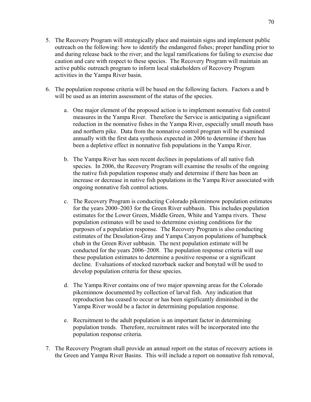- 5. The Recovery Program will strategically place and maintain signs and implement public outreach on the following: how to identify the endangered fishes; proper handling prior to and during release back to the river; and the legal ramifications for failing to exercise due caution and care with respect to these species. The Recovery Program will maintain an active public outreach program to inform local stakeholders of Recovery Program activities in the Yampa River basin.
- 6. The population response criteria will be based on the following factors. Factors a and b will be used as an interim assessment of the status of the species.
	- a. One major element of the proposed action is to implement nonnative fish control measures in the Yampa River. Therefore the Service is anticipating a significant reduction in the nonnative fishes in the Yampa River, especially small mouth bass and northern pike. Data from the nonnative control program will be examined annually with the first data synthesis expected in 2006 to determine if there has been a depletive effect in nonnative fish populations in the Yampa River.
	- b. The Yampa River has seen recent declines in populations of all native fish species. In 2006, the Recovery Program will examine the results of the ongoing the native fish population response study and determine if there has been an increase or decrease in native fish populations in the Yampa River associated with ongoing nonnative fish control actions.
	- c. The Recovery Program is conducting Colorado pikeminnow population estimates for the years 2000–2003 for the Green River subbasin. This includes population estimates for the Lower Green, Middle Green, White and Yampa rivers. These population estimates will be used to determine existing conditions for the purposes of a population response. The Recovery Program is also conducting estimates of the Desolation-Gray and Yampa Canyon populations of humpback chub in the Green River subbasin. The next population estimate will be conducted for the years 2006–2008. The population response criteria will use these population estimates to determine a positive response or a significant decline. Evaluations of stocked razorback sucker and bonytail will be used to develop population criteria for these species.
	- d. The Yampa River contains one of two major spawning areas for the Colorado pikeminnow documented by collection of larval fish. Any indication that reproduction has ceased to occur or has been significantly diminished in the Yampa River would be a factor in determining population response.
	- e. Recruitment to the adult population is an important factor in determining population trends. Therefore, recruitment rates will be incorporated into the population response criteria.
- 7. The Recovery Program shall provide an annual report on the status of recovery actions in the Green and Yampa River Basins. This will include a report on nonnative fish removal,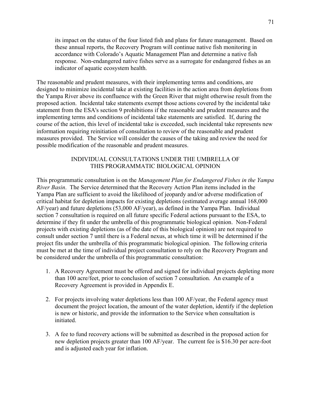its impact on the status of the four listed fish and plans for future management. Based on these annual reports, the Recovery Program will continue native fish monitoring in accordance with Colorado's Aquatic Management Plan and determine a native fish response. Non-endangered native fishes serve as a surrogate for endangered fishes as an indicator of aquatic ecosystem health.

The reasonable and prudent measures, with their implementing terms and conditions, are designed to minimize incidental take at existing facilities in the action area from depletions from the Yampa River above its confluence with the Green River that might otherwise result from the proposed action. Incidental take statements exempt those actions covered by the incidental take statement from the ESA's section 9 prohibitions if the reasonable and prudent measures and the implementing terms and conditions of incidental take statements are satisfied. If, during the course of the action, this level of incidental take is exceeded, such incidental take represents new information requiring reinitiation of consultation to review of the reasonable and prudent measures provided. The Service will consider the causes of the taking and review the need for possible modification of the reasonable and prudent measures.

# INDIVIDUAL CONSULTATIONS UNDER THE UMBRELLA OF THIS PROGRAMMATIC BIOLOGICAL OPINION

This programmatic consultation is on the *Management Plan for Endangered Fishes in the Yampa River Basin*. The Service determined that the Recovery Action Plan items included in the Yampa Plan are sufficient to avoid the likelihood of jeopardy and/or adverse modification of critical habitat for depletion impacts for existing depletions (estimated average annual 168,000 AF/year) and future depletions (53,000 AF/year), as defined in the Yampa Plan. Individual section 7 consultation is required on all future specific Federal actions pursuant to the ESA, to determine if they fit under the umbrella of this programmatic biological opinion. Non-Federal projects with existing depletions (as of the date of this biological opinion) are not required to consult under section 7 until there is a Federal nexus, at which time it will be determined if the project fits under the umbrella of this programmatic biological opinion. The following criteria must be met at the time of individual project consultation to rely on the Recovery Program and be considered under the umbrella of this programmatic consultation:

- 1. A Recovery Agreement must be offered and signed for individual projects depleting more than 100 acre/feet, prior to conclusion of section 7 consultation. An example of a Recovery Agreement is provided in Appendix E.
- 2. For projects involving water depletions less than 100 AF/year, the Federal agency must document the project location, the amount of the water depletion, identify if the depletion is new or historic, and provide the information to the Service when consultation is initiated.
- 3. A fee to fund recovery actions will be submitted as described in the proposed action for new depletion projects greater than 100 AF/year. The current fee is \$16.30 per acre-foot and is adjusted each year for inflation.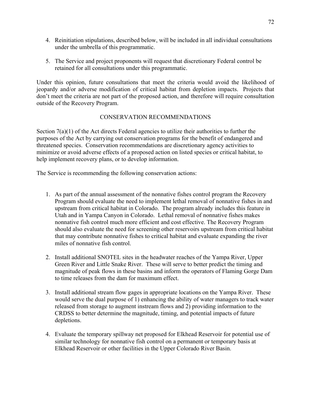- 4. Reinitiation stipulations, described below, will be included in all individual consultations under the umbrella of this programmatic.
- 5. The Service and project proponents will request that discretionary Federal control be retained for all consultations under this programmatic.

Under this opinion, future consultations that meet the criteria would avoid the likelihood of jeopardy and/or adverse modification of critical habitat from depletion impacts. Projects that don't meet the criteria are not part of the proposed action, and therefore will require consultation outside of the Recovery Program.

# CONSERVATION RECOMMENDATIONS

Section 7(a)(1) of the Act directs Federal agencies to utilize their authorities to further the purposes of the Act by carrying out conservation programs for the benefit of endangered and threatened species. Conservation recommendations are discretionary agency activities to minimize or avoid adverse effects of a proposed action on listed species or critical habitat, to help implement recovery plans, or to develop information.

The Service is recommending the following conservation actions:

- 1. As part of the annual assessment of the nonnative fishes control program the Recovery Program should evaluate the need to implement lethal removal of nonnative fishes in and upstream from critical habitat in Colorado. The program already includes this feature in Utah and in Yampa Canyon in Colorado. Lethal removal of nonnative fishes makes nonnative fish control much more efficient and cost effective. The Recovery Program should also evaluate the need for screening other reservoirs upstream from critical habitat that may contribute nonnative fishes to critical habitat and evaluate expanding the river miles of nonnative fish control.
- 2. Install additional SNOTEL sites in the headwater reaches of the Yampa River, Upper Green River and Little Snake River. These will serve to better predict the timing and magnitude of peak flows in these basins and inform the operators of Flaming Gorge Dam to time releases from the dam for maximum effect.
- 3. Install additional stream flow gages in appropriate locations on the Yampa River. These would serve the dual purpose of 1) enhancing the ability of water managers to track water released from storage to augment instream flows and 2) providing information to the CRDSS to better determine the magnitude, timing, and potential impacts of future depletions.
- 4. Evaluate the temporary spillway net proposed for Elkhead Reservoir for potential use of similar technology for nonnative fish control on a permanent or temporary basis at Elkhead Reservoir or other facilities in the Upper Colorado River Basin.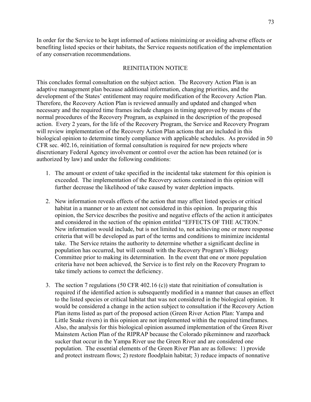In order for the Service to be kept informed of actions minimizing or avoiding adverse effects or benefiting listed species or their habitats, the Service requests notification of the implementation of any conservation recommendations.

## REINITIATION NOTICE

This concludes formal consultation on the subject action. The Recovery Action Plan is an adaptive management plan because additional information, changing priorities, and the development of the States' entitlement may require modification of the Recovery Action Plan. Therefore, the Recovery Action Plan is reviewed annually and updated and changed when necessary and the required time frames include changes in timing approved by means of the normal procedures of the Recovery Program, as explained in the description of the proposed action. Every 2 years, for the life of the Recovery Program, the Service and Recovery Program will review implementation of the Recovery Action Plan actions that are included in this biological opinion to determine timely compliance with applicable schedules. As provided in 50 CFR sec. 402.16, reinitiation of formal consultation is required for new projects where discretionary Federal Agency involvement or control over the action has been retained (or is authorized by law) and under the following conditions:

- 1. The amount or extent of take specified in the incidental take statement for this opinion is exceeded. The implementation of the Recovery actions contained in this opinion will further decrease the likelihood of take caused by water depletion impacts.
- 2. New information reveals effects of the action that may affect listed species or critical habitat in a manner or to an extent not considered in this opinion. In preparing this opinion, the Service describes the positive and negative effects of the action it anticipates and considered in the section of the opinion entitled "EFFECTS OF THE ACTION." New information would include, but is not limited to, not achieving one or more response criteria that will be developed as part of the terms and conditions to minimize incidental take. The Service retains the authority to determine whether a significant decline in population has occurred, but will consult with the Recovery Program's Biology Committee prior to making its determination. In the event that one or more population criteria have not been achieved, the Service is to first rely on the Recovery Program to take timely actions to correct the deficiency.
- 3. The section 7 regulations (50 CFR 402.16 (c)) state that reinitiation of consultation is required if the identified action is subsequently modified in a manner that causes an effect to the listed species or critical habitat that was not considered in the biological opinion. It would be considered a change in the action subject to consultation if the Recovery Action Plan items listed as part of the proposed action (Green River Action Plan: Yampa and Little Snake rivers) in this opinion are not implemented within the required timeframes. Also, the analysis for this biological opinion assumed implementation of the Green River Mainstem Action Plan of the RIPRAP because the Colorado pikeminnow and razorback sucker that occur in the Yampa River use the Green River and are considered one population. The essential elements of the Green River Plan are as follows: 1) provide and protect instream flows; 2) restore floodplain habitat; 3) reduce impacts of nonnative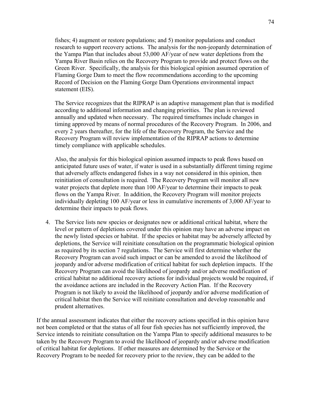fishes; 4) augment or restore populations; and 5) monitor populations and conduct research to support recovery actions. The analysis for the non-jeopardy determination of the Yampa Plan that includes about 53,000 AF/year of new water depletions from the Yampa River Basin relies on the Recovery Program to provide and protect flows on the Green River. Specifically, the analysis for this biological opinion assumed operation of Flaming Gorge Dam to meet the flow recommendations according to the upcoming Record of Decision on the Flaming Gorge Dam Operations environmental impact statement (EIS).

The Service recognizes that the RIPRAP is an adaptive management plan that is modified according to additional information and changing priorities. The plan is reviewed annually and updated when necessary. The required timeframes include changes in timing approved by means of normal procedures of the Recovery Program. In 2006, and every 2 years thereafter, for the life of the Recovery Program, the Service and the Recovery Program will review implementation of the RIPRAP actions to determine timely compliance with applicable schedules.

Also, the analysis for this biological opinion assumed impacts to peak flows based on anticipated future uses of water, if water is used in a substantially different timing regime that adversely affects endangered fishes in a way not considered in this opinion, then reinitiation of consultation is required. The Recovery Program will monitor all new water projects that deplete more than 100 AF/year to determine their impacts to peak flows on the Yampa River. In addition, the Recovery Program will monitor projects individually depleting 100 AF/year or less in cumulative increments of 3,000 AF/year to determine their impacts to peak flows.

4. The Service lists new species or designates new or additional critical habitat, where the level or pattern of depletions covered under this opinion may have an adverse impact on the newly listed species or habitat. If the species or habitat may be adversely affected by depletions, the Service will reinitiate consultation on the programmatic biological opinion as required by its section 7 regulations. The Service will first determine whether the Recovery Program can avoid such impact or can be amended to avoid the likelihood of jeopardy and/or adverse modification of critical habitat for such depletion impacts. If the Recovery Program can avoid the likelihood of jeopardy and/or adverse modification of critical habitat no additional recovery actions for individual projects would be required, if the avoidance actions are included in the Recovery Action Plan. If the Recovery Program is not likely to avoid the likelihood of jeopardy and/or adverse modification of critical habitat then the Service will reinitiate consultation and develop reasonable and prudent alternatives.

If the annual assessment indicates that either the recovery actions specified in this opinion have not been completed or that the status of all four fish species has not sufficiently improved, the Service intends to reinitiate consultation on the Yampa Plan to specify additional measures to be taken by the Recovery Program to avoid the likelihood of jeopardy and/or adverse modification of critical habitat for depletions. If other measures are determined by the Service or the Recovery Program to be needed for recovery prior to the review, they can be added to the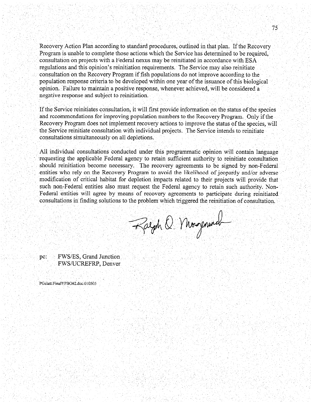Recovery Action Plan according to standard procedures, outlined in that plan. If the Recovery Program is unable to complete those actions which the Service has determined to be required. consultation on projects with a Federal nexus may be reinitiated in accordance with ESA regulations and this opinion's reinitiation requirements. The Service may also reinitiate consultation on the Recovery Program if fish populations do not improve according to the population response criteria to be developed within one year of the issuance of this biological opinion. Failure to maintain a positive response, whenever achieved, will be considered a negative response and subject to reinitiation.

If the Service reinitiates consultation, it will first provide information on the status of the species and recommendations for improving population numbers to the Recovery Program. Only if the Recovery Program does not implement recovery actions to improve the status of the species, will the Service reinitiate consultation with individual projects. The Service intends to reinitiate consultations simultaneously on all depletions.

All individual consultations conducted under this programmatic opinion will contain language requesting the applicable Federal agency to retain sufficient authority to reinitiate consultation should reinitiation become necessary. The recovery agreements to be signed by non-Federal entities who rely on the Recovery Program to avoid the likelihood of jeopardy and/or adverse modification of critical habitat for depletion impacts related to their projects will provide that such non-Federal entities also must request the Federal agency to retain such authority. Non-Federal entities will agree by means of recovery agreements to participate during reinitiated consultations in finding solutions to the problem which triggered the reinitiation of consultation.

Faigh O Morgenwell

 $pc:$ FWS/ES, Grand Junction FWS/UCREFRP, Denver

PGelatt:FinalYPBO#2.doc:010505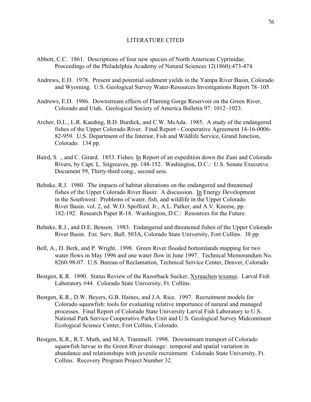## LITERATURE CITED

- Abbott, C.C. 1861. Descriptions of four new species of North American Cyprinidae. Proceedings of the Philadelphia Academy of Natural Sciences 12(1860):473-474.
- Andrews, E.D. 1978. Present and potential sediment yields in the Yampa River Basin, Colorado and Wyoming. U.S. Geological Survey Water-Resources Investigations Report 78–105.
- Andrews, E.D. 1986. Downstream effects of Flaming Gorge Reservoir on the Green River, Colorado and Utah. Geological Society of America Bulletin 97: 1012–1023.
- Archer, D.L., L.R. Kaeding, B.D. Burdick, and C.W. McAda. 1985. A study of the endangered fishes of the Upper Colorado River. Final Report - Cooperative Agreement 14-16-0006- 82-959. U.S. Department of the Interior, Fish and Wildlife Service, Grand Junction, Colorado. 134 pp.
- Baird, S. ., and C. Girard. 1853. Fishes. In Report of an expedition down the Zuni and Colorado Rivers, by Capt. L. Sitgreaves, pp. 148-152. Washington, D.C.: U.S. Senate Executive Document 59, Thirty-third cong., second sess.
- Behnke, R.J. 1980. The impacts of habitat alterations on the endangered and threatened fishes of the Upper Colorado River Basin: A discussion. In Energy Development in the Southwest: Problems of water, fish, and wildlife in the Upper Colorado River Basin. vol. 2, ed. W.O. Spofford. Jr., A.L. Parker, and A.V. Kneese, pp. 182-192. Research Paper R-18. Washington, D.C.: Resources for the Future.
- Behnke, R.J., and D.E. Benson. 1983. Endangered and threatened fishes of the Upper Colorado River Basin. Ext. Serv. Bull. 503A, Colorado State University, Fort Collins. 38 pp.
- Bell, A., D. Berk, and P. Wright. 1998. Green River flooded bottomlands mapping for two water flows in May 1996 and one water flow in June 1997. Technical Memorandum No. 8260-98-07. U.S. Bureau of Reclamation, Technical Service Center, Denver, Colorado.
- Bestgen, K.R. 1990. Status Review of the Razorback Sucker, Xyrauchen texanus. Larval Fish Laboratory #44. Colorado State University, Ft. Collins.
- Bestgen, K.R., D.W. Beyers, G.B. Haines, and J.A. Rice. 1997. Recruitment models for Colorado squawfish: tools for evaluating relative importance of natural and managed processes. Final Report of Colorado State University Larval Fish Laboratory to U.S. National Park Service Cooperative Parks Unit and U.S. Geological Survey Midcontinent Ecological Science Center, Fort Collins, Colorado.
- Bestgen, K.R., R.T. Muth, and M.A. Trammell. 1998. Downstream transport of Colorado squawfish larvae in the Green River drainage: temporal and spatial variation in abundance and relationships with juvenile recruitment. Colorado State University, Ft. Collins. Recovery Program Project Number 32.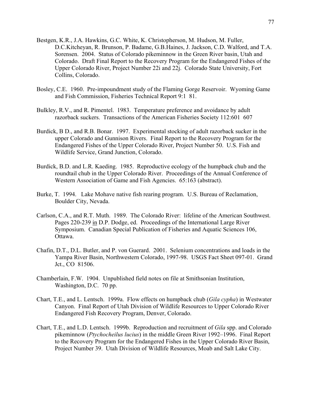- Bestgen, K.R., J.A. Hawkins, G.C. White, K. Christopherson, M. Hudson, M. Fuller, D.C.Kitcheyan, R. Brunson, P. Badame, G.B.Haines, J. Jackson, C.D. Walford, and T.A. Sorensen. 2004. Status of Colorado pikeminnow in the Green River basin, Utah and Colorado. Draft Final Report to the Recovery Program for the Endangered Fishes of the Upper Colorado River, Project Number 22i and 22j. Colorado State University, Fort Collins, Colorado.
- Bosley, C.E. 1960. Pre-impoundment study of the Flaming Gorge Reservoir. Wyoming Game and Fish Commission, Fisheries Technical Report 9:181.
- Bulkley, R.V., and R. Pimentel. 1983. Temperature preference and avoidance by adult razorback suckers. Transactions of the American Fisheries Society 112:601 607
- Burdick, B D., and R.B. Bonar. 1997. Experimental stocking of adult razorback sucker in the upper Colorado and Gunnison Rivers. Final Report to the Recovery Program for the Endangered Fishes of the Upper Colorado River, Project Number 50. U.S. Fish and Wildlife Service, Grand Junction, Colorado.
- Burdick, B.D. and L.R. Kaeding. 1985. Reproductive ecology of the humpback chub and the roundtail chub in the Upper Colorado River. Proceedings of the Annual Conference of Western Association of Game and Fish Agencies. 65:163 (abstract).
- Burke, T. 1994. Lake Mohave native fish rearing program. U.S. Bureau of Reclamation, Boulder City, Nevada.
- Carlson, C.A., and R.T. Muth. 1989. The Colorado River: lifeline of the American Southwest. Pages 220-239 in D.P. Dodge, ed. Proceedings of the International Large River Symposium. Canadian Special Publication of Fisheries and Aquatic Sciences 106, Ottawa.
- Chafin, D.T., D.L. Butler, and P. von Guerard. 2001. Selenium concentrations and loads in the Yampa River Basin, Northwestern Colorado, 1997-98. USGS Fact Sheet 097-01. Grand Jct., CO 81506.
- Chamberlain, F.W. 1904. Unpublished field notes on file at Smithsonian Institution, Washington, D.C. 70 pp.
- Chart, T.E., and L. Lentsch. 1999a. Flow effects on humpback chub (*Gila cypha*) in Westwater Canyon. Final Report of Utah Division of Wildlife Resources to Upper Colorado River Endangered Fish Recovery Program, Denver, Colorado.
- Chart, T.E., and L.D. Lentsch. 1999b. Reproduction and recruitment of *Gila* spp. and Colorado pikeminnow (*Ptychocheilus lucius*) in the middle Green River 1992–1996. Final Report to the Recovery Program for the Endangered Fishes in the Upper Colorado River Basin, Project Number 39. Utah Division of Wildlife Resources, Moab and Salt Lake City.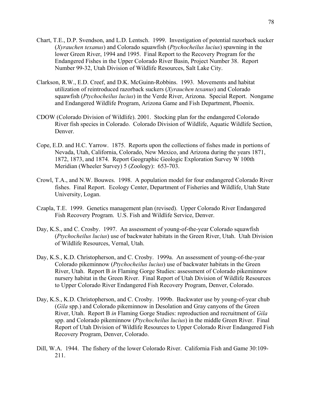- Chart, T.E., D.P. Svendson, and L.D. Lentsch. 1999. Investigation of potential razorback sucker (*Xyrauchen texanus*) and Colorado squawfish (*Ptychocheilus lucius*) spawning in the lower Green River, 1994 and 1995. Final Report to the Recovery Program for the Endangered Fishes in the Upper Colorado River Basin, Project Number 38. Report Number 99-32, Utah Division of Wildlife Resources, Salt Lake City.
- Clarkson, R.W., E.D. Creef, and D.K. McGuinn-Robbins. 1993. Movements and habitat utilization of reintroduced razorback suckers (*Xyrauchen texanus*) and Colorado squawfish (*Ptychocheilus lucius*) in the Verde River, Arizona. Special Report. Nongame and Endangered Wildlife Program, Arizona Game and Fish Department, Phoenix.
- CDOW (Colorado Division of Wildlife). 2001. Stocking plan for the endangered Colorado River fish species in Colorado. Colorado Division of Wildlife, Aquatic Wildlife Section, Denver.
- Cope, E.D. and H.C. Yarrow. 1875. Reports upon the collections of fishes made in portions of Nevada, Utah, California, Colorado, New Mexico, and Arizona during the years 1871, 1872, 1873, and 1874. Report Geographic Geologic Exploration Survey W 100th Meridian (Wheeler Survey) 5 (Zoology): 653-703.
- Crowl, T.A., and N.W. Bouwes. 1998. A population model for four endangered Colorado River fishes. Final Report. Ecology Center, Department of Fisheries and Wildlife, Utah State University, Logan.
- Czapla, T.E. 1999. Genetics management plan (revised). Upper Colorado River Endangered Fish Recovery Program. U.S. Fish and Wildlife Service, Denver.
- Day, K.S., and C. Crosby. 1997. An assessment of young-of-the-year Colorado squawfish (*Ptychocheilus lucius*) use of backwater habitats in the Green River, Utah. Utah Division of Wildlife Resources, Vernal, Utah.
- Day, K.S., K.D. Christopherson, and C. Crosby. 1999a. An assessment of young-of-the-year Colorado pikeminnow (*Ptychocheilus lucius*) use of backwater habitats in the Green River, Utah. Report B *in* Flaming Gorge Studies: assessment of Colorado pikeminnow nursery habitat in the Green River. Final Report of Utah Division of Wildlife Resources to Upper Colorado River Endangered Fish Recovery Program, Denver, Colorado.
- Day, K.S., K.D. Christopherson, and C. Crosby. 1999b. Backwater use by young-of-year chub (*Gila* spp.) and Colorado pikeminnow in Desolation and Gray canyons of the Green River, Utah. Report B *in* Flaming Gorge Studies: reproduction and recruitment of *Gila* spp. and Colorado pikeminnow (*Ptychocheilus lucius*) in the middle Green River. Final Report of Utah Division of Wildlife Resources to Upper Colorado River Endangered Fish Recovery Program, Denver, Colorado.
- Dill, W.A. 1944. The fishery of the lower Colorado River. California Fish and Game 30:109- 211.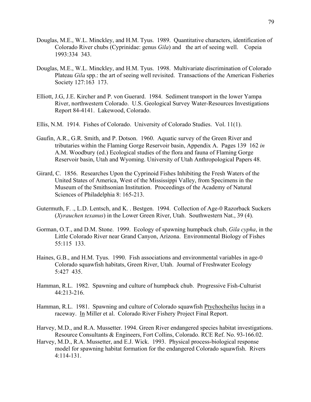- Douglas, M.E., W.L. Minckley, and H.M. Tyus. 1989. Quantitative characters, identification of Colorado River chubs (Cyprinidae: genus *Gila*) and the art of seeing well. Copeia 1993:334 343.
- Douglas, M.E., W.L. Minckley, and H.M. Tyus. 1998. Multivariate discrimination of Colorado Plateau *Gila* spp.: the art of seeing well revisited. Transactions of the American Fisheries Society 127:163 173.
- Elliott, J.G, J.E. Kircher and P. von Guerard. 1984. Sediment transport in the lower Yampa River, northwestern Colorado. U.S. Geological Survey Water-Resources Investigations Report 84-4141. Lakewood, Colorado.
- Ellis, N.M. 1914. Fishes of Colorado. University of Colorado Studies. Vol. 11(1).
- Gaufin, A.R., G.R. Smith, and P. Dotson. 1960. Aquatic survey of the Green River and tributaries within the Flaming Gorge Reservoir basin, Appendix A. Pages 139162 *in* A.M. Woodbury (ed.) Ecological studies of the flora and fauna of Flaming Gorge Reservoir basin, Utah and Wyoming. University of Utah Anthropological Papers 48.
- Girard, C. 1856. Researches Upon the Cyprinoid Fishes Inhibiting the Fresh Waters of the United States of America, West of the Mississippi Valley, from Specimens in the Museum of the Smithsonian Institution. Proceedings of the Academy of Natural Sciences of Philadelphia 8: 165-213.
- Gutermuth, F. ., L.D. Lentsch, and K. . Bestgen. 1994. Collection of Age-0 Razorback Suckers (*Xyrauchen texanus*) in the Lower Green River, Utah. Southwestern Nat., 39 (4).
- Gorman, O.T., and D.M. Stone. 1999. Ecology of spawning humpback chub, *Gila cypha*, in the Little Colorado River near Grand Canyon, Arizona. Environmental Biology of Fishes 55:115133.
- Haines, G.B., and H.M. Tyus. 1990. Fish associations and environmental variables in age-0 Colorado squawfish habitats, Green River, Utah. Journal of Freshwater Ecology 5:427435.
- Hamman, R.L. 1982. Spawning and culture of humpback chub. Progressive Fish-Culturist 44:213-216.
- Hamman, R.L. 1981. Spawning and culture of Colorado squawfish Ptychocheilus lucius in a raceway. In Miller et al. Colorado River Fishery Project Final Report.
- Harvey, M.D., and R.A. Mussetter. 1994. Green River endangered species habitat investigations. Resource Consultants & Engineers, Fort Collins, Colorado. RCE Ref. No. 93-166.02.
- Harvey, M.D., R.A. Mussetter, and E.J. Wick. 1993. Physical process-biological response model for spawning habitat formation for the endangered Colorado squawfish. Rivers 4:114-131.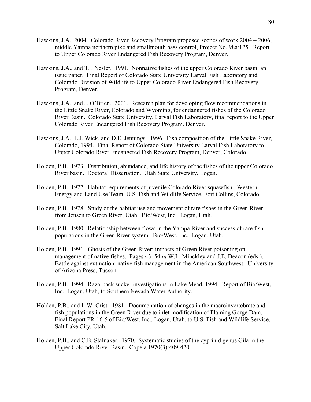- Hawkins, J.A. 2004. Colorado River Recovery Program proposed scopes of work 2004 2006, middle Yampa northern pike and smallmouth bass control, Project No. 98a/125. Report to Upper Colorado River Endangered Fish Recovery Program, Denver.
- Hawkins, J.A., and T. . Nesler. 1991. Nonnative fishes of the upper Colorado River basin: an issue paper. Final Report of Colorado State University Larval Fish Laboratory and Colorado Division of Wildlife to Upper Colorado River Endangered Fish Recovery Program, Denver.
- Hawkins, J.A., and J. O'Brien. 2001. Research plan for developing flow recommendations in the Little Snake River, Colorado and Wyoming, for endangered fishes of the Colorado River Basin. Colorado State University, Larval Fish Laboratory, final report to the Upper Colorado River Endangered Fish Recovery Program. Denver.
- Hawkins, J.A., E.J. Wick, and D.E. Jennings. 1996. Fish composition of the Little Snake River, Colorado, 1994. Final Report of Colorado State University Larval Fish Laboratory to Upper Colorado River Endangered Fish Recovery Program, Denver, Colorado.
- Holden, P.B. 1973. Distribution, abundance, and life history of the fishes of the upper Colorado River basin. Doctoral Dissertation. Utah State University, Logan.
- Holden, P.B. 1977. Habitat requirements of juvenile Colorado River squawfish. Western Energy and Land Use Team, U.S. Fish and Wildlife Service, Fort Collins, Colorado.
- Holden, P.B. 1978. Study of the habitat use and movement of rare fishes in the Green River from Jensen to Green River, Utah. Bio/West, Inc. Logan, Utah.
- Holden, P.B. 1980. Relationship between flows in the Yampa River and success of rare fish populations in the Green River system. Bio/West, Inc. Logan, Utah.
- Holden, P.B. 1991. Ghosts of the Green River: impacts of Green River poisoning on management of native fishes. Pages 43 54 *in* W.L. Minckley and J.E. Deacon (eds.). Battle against extinction: native fish management in the American Southwest. University of Arizona Press, Tucson.
- Holden, P.B. 1994. Razorback sucker investigations in Lake Mead, 1994. Report of Bio/West, Inc., Logan, Utah, to Southern Nevada Water Authority.
- Holden, P.B., and L.W. Crist. 1981. Documentation of changes in the macroinvertebrate and fish populations in the Green River due to inlet modification of Flaming Gorge Dam. Final Report PR-16-5 of Bio/West, Inc., Logan, Utah, to U.S. Fish and Wildlife Service, Salt Lake City, Utah.
- Holden, P.B., and C.B. Stalnaker. 1970. Systematic studies of the cyprinid genus Gila in the Upper Colorado River Basin. Copeia 1970(3):409-420.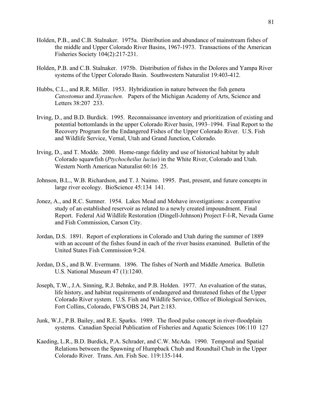- Holden, P.B., and C.B. Stalnaker. 1975a. Distribution and abundance of mainstream fishes of the middle and Upper Colorado River Basins, 1967-1973. Transactions of the American Fisheries Society 104(2):217-231.
- Holden, P.B. and C.B. Stalnaker. 1975b. Distribution of fishes in the Dolores and Yampa River systems of the Upper Colorado Basin. Southwestern Naturalist 19:403-412.
- Hubbs, C.L., and R.R. Miller. 1953. Hybridization in nature between the fish genera *Catostomus* and *Xyrauchen.* Papers of the Michigan Academy of Arts, Science and Letters 38:207 233.
- Irving, D., and B.D. Burdick. 1995. Reconnaissance inventory and prioritization of existing and potential bottomlands in the upper Colorado River basin, 1993–1994. Final Report to the Recovery Program for the Endangered Fishes of the Upper Colorado River. U.S. Fish and Wildlife Service, Vernal, Utah and Grand Junction, Colorado.
- Irving, D., and T. Modde. 2000. Home-range fidelity and use of historical habitat by adult Colorado squawfish (*Ptychocheilus lucius*) in the White River, Colorado and Utah. Western North American Naturalist 60:16 25.
- Johnson, B.L., W.B. Richardson, and T. J. Naimo. 1995. Past, present, and future concepts in large river ecology. BioScience 45:134 141.
- Jonez, A., and R.C. Sumner. 1954. Lakes Mead and Mohave investigations: a comparative study of an established reservoir as related to a newly created impoundment. Final Report. Federal Aid Wildlife Restoration (Dingell-Johnson) Project F-l-R, Nevada Game and Fish Commission, Carson City.
- Jordan, D.S. 1891. Report of explorations in Colorado and Utah during the summer of 1889 with an account of the fishes found in each of the river basins examined. Bulletin of the United States Fish Commission 9:24.
- Jordan, D.S., and B.W. Evermann. 1896. The fishes of North and Middle America. Bulletin U.S. National Museum 47 (1):1240.
- Joseph, T.W., J.A. Sinning, R.J. Behnke, and P.B. Holden. 1977. An evaluation of the status, life history, and habitat requirements of endangered and threatened fishes of the Upper Colorado River system. U.S. Fish and Wildlife Service, Office of Biological Services, Fort Collins, Colorado, FWS/OBS 24, Part 2:183.
- Junk, W.J., P.B. Bailey, and R.E. Sparks. 1989. The flood pulse concept in river-floodplain systems. Canadian Special Publication of Fisheries and Aquatic Sciences 106:110 127
- Kaeding, L.R., B.D. Burdick, P.A. Schrader, and C.W. McAda. 1990. Temporal and Spatial Relations between the Spawning of Humpback Chub and Roundtail Chub in the Upper Colorado River. Trans. Am. Fish Soc. 119:135-144.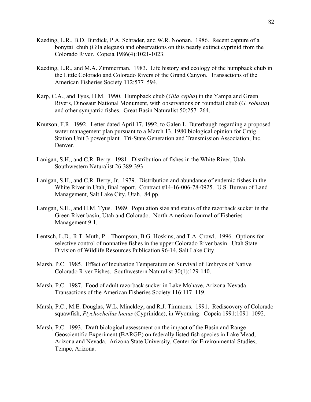- Kaeding, L.R., B.D. Burdick, P.A. Schrader, and W.R. Noonan. 1986. Recent capture of a bonytail chub (Gila elegans) and observations on this nearly extinct cyprinid from the Colorado River. Copeia 1986(4):1021-1023.
- Kaeding, L.R., and M.A. Zimmerman. 1983. Life history and ecology of the humpback chub in the Little Colorado and Colorado Rivers of the Grand Canyon. Transactions of the American Fisheries Society 112:577 594.
- Karp, C.A., and Tyus, H.M. 1990. Humpback chub (*Gila cypha*) in the Yampa and Green Rivers, Dinosaur National Monument, with observations on roundtail chub (*G. robusta*) and other sympatric fishes. Great Basin Naturalist 50:257 264.
- Knutson, F.R. 1992. Letter dated April 17, 1992, to Galen L. Buterbaugh regarding a proposed water management plan pursuant to a March 13, 1980 biological opinion for Craig Station Unit 3 power plant. Tri-State Generation and Transmission Association, Inc. Denver.
- Lanigan, S.H., and C.R. Berry. 1981. Distribution of fishes in the White River, Utah. Southwestern Naturalist 26:389-393.
- Lanigan, S.H., and C.R. Berry, Jr. 1979. Distribution and abundance of endemic fishes in the White River in Utah, final report. Contract #14-16-006-78-0925. U.S. Bureau of Land Management, Salt Lake City, Utah. 84 pp.
- Lanigan, S.H., and H.M. Tyus. 1989. Population size and status of the razorback sucker in the Green River basin, Utah and Colorado. North American Journal of Fisheries Management 9:1.
- Lentsch, L.D., R.T. Muth, P. . Thompson, B.G. Hoskins, and T.A. Crowl. 1996. Options for selective control of nonnative fishes in the upper Colorado River basin. Utah State Division of Wildlife Resources Publication 96-14, Salt Lake City.
- Marsh, P.C. 1985. Effect of Incubation Temperature on Survival of Embryos of Native Colorado River Fishes. Southwestern Naturalist 30(1):129-140.
- Marsh, P.C. 1987. Food of adult razorback sucker in Lake Mohave, Arizona-Nevada. Transactions of the American Fisheries Society 116:117 119.
- Marsh, P.C., M.E. Douglas, W.L. Minckley, and R.J. Timmons. 1991. Rediscovery of Colorado squawfish, *Ptychocheilus lucius* (Cyprinidae), in Wyoming. Copeia 1991:1091 1092.
- Marsh, P.C. 1993. Draft biological assessment on the impact of the Basin and Range Geoscientific Experiment (BARGE) on federally listed fish species in Lake Mead, Arizona and Nevada. Arizona State University, Center for Environmental Studies, Tempe, Arizona.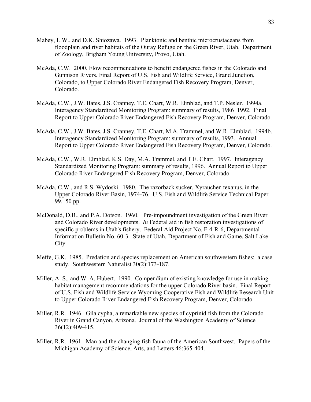- Mabey, L.W., and D.K. Shiozawa. 1993. Planktonic and benthic microcrustaceans from floodplain and river habitats of the Ouray Refuge on the Green River, Utah. Department of Zoology, Brigham Young University, Provo, Utah.
- McAda, C.W. 2000. Flow recommendations to benefit endangered fishes in the Colorado and Gunnison Rivers. Final Report of U.S. Fish and Wildlife Service, Grand Junction, Colorado, to Upper Colorado River Endangered Fish Recovery Program, Denver, Colorado.
- McAda, C.W., J.W. Bates, J.S. Cranney, T.E. Chart, W.R. Elmblad, and T.P. Nesler. 1994a. Interagency Standardized Monitoring Program: summary of results, 19861992. Final Report to Upper Colorado River Endangered Fish Recovery Program, Denver, Colorado.
- McAda, C.W., J.W. Bates, J.S. Cranney, T.E. Chart, M.A. Trammel, and W.R. Elmblad. 1994b. Interagency Standardized Monitoring Program: summary of results, 1993. Annual Report to Upper Colorado River Endangered Fish Recovery Program, Denver, Colorado.
- McAda, C.W., W.R. Elmblad, K.S. Day, M.A. Trammel, and T.E. Chart. 1997. Interagency Standardized Monitoring Program: summary of results, 1996. Annual Report to Upper Colorado River Endangered Fish Recovery Program, Denver, Colorado.
- McAda, C.W., and R.S. Wydoski. 1980. The razorback sucker, Xyrauchen texanus, in the Upper Colorado River Basin, 1974-76. U.S. Fish and Wildlife Service Technical Paper 99. 50 pp.
- McDonald, D.B., and P.A. Dotson. 1960. Pre-impoundment investigation of the Green River and Colorado River developments. *In* Federal aid in fish restoration investigations of specific problems in Utah's fishery. Federal Aid Project No. F-4-R-6, Departmental Information Bulletin No. 60-3. State of Utah, Department of Fish and Game, Salt Lake City.
- Meffe, G.K. 1985. Predation and species replacement on American southwestern fishes: a case study. Southwestern Naturalist 30(2):173-187.
- Miller, A. S., and W. A. Hubert. 1990. Compendium of existing knowledge for use in making habitat management recommendations for the upper Colorado River basin. Final Report of U.S. Fish and Wildlife Service Wyoming Cooperative Fish and Wildlife Research Unit to Upper Colorado River Endangered Fish Recovery Program, Denver, Colorado.
- Miller, R.R. 1946. Gila cypha, a remarkable new species of cyprinid fish from the Colorado River in Grand Canyon, Arizona. Journal of the Washington Academy of Science 36(12):409-415.
- Miller, R.R. 1961. Man and the changing fish fauna of the American Southwest. Papers of the Michigan Academy of Science, Arts, and Letters 46:365-404.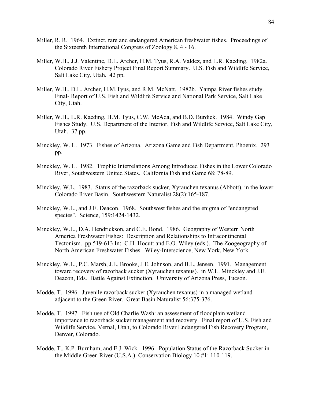- Miller, R. R. 1964. Extinct, rare and endangered American freshwater fishes. Proceedings of the Sixteenth International Congress of Zoology 8, 4 - 16.
- Miller, W.H., J.J. Valentine, D.L. Archer, H.M. Tyus, R.A. Valdez, and L.R. Kaeding. 1982a. Colorado River Fishery Project Final Report Summary. U.S. Fish and Wildlife Service, Salt Lake City, Utah. 42 pp.
- Miller, W.H., D.L. Archer, H.M.Tyus, and R.M. McNatt. 1982b. Yampa River fishes study. Final- Report of U.S. Fish and Wildlife Service and National Park Service, Salt Lake City, Utah.
- Miller, W.H., L.R. Kaeding, H.M. Tyus, C.W. McAda, and B.D. Burdick. 1984. Windy Gap Fishes Study. U.S. Department of the Interior, Fish and Wildlife Service, Salt Lake City, Utah. 37 pp.
- Minckley, W. L. 1973. Fishes of Arizona. Arizona Game and Fish Department, Phoenix. 293 pp.
- Minckley, W. L. 1982. Trophic Interrelations Among Introduced Fishes in the Lower Colorado River, Southwestern United States. California Fish and Game 68: 78-89.
- Minckley, W.L. 1983. Status of the razorback sucker, Xyrauchen texanus (Abbott), in the lower Colorado River Basin. Southwestern Naturalist 28(2):165-187.
- Minckley, W.L., and J.E. Deacon. 1968. Southwest fishes and the enigma of "endangered species". Science, 159:1424-1432.
- Minckley, W.L., D.A. Hendrickson, and C.E. Bond. 1986. Geography of Western North America Freshwater Fishes: Description and Relationships to Intracontinental Tectonism. pp 519-613 In: C.H. Hocutt and E.O. Wiley (eds.). The Zoogeography of North American Freshwater Fishes. Wiley-Interscience, New York, New York.
- Minckley, W.L., P.C. Marsh, J.E. Brooks, J E. Johnson, and B.L. Jensen. 1991. Management toward recovery of razorback sucker (Xyrauchen texanus). in W.L. Minckley and J.E. Deacon, Eds. Battle Against Extinction. University of Arizona Press, Tucson.
- Modde, T. 1996. Juvenile razorback sucker (Xyrauchen texanus) in a managed wetland adjacent to the Green River. Great Basin Naturalist 56:375-376.
- Modde, T. 1997. Fish use of Old Charlie Wash: an assessment of floodplain wetland importance to razorback sucker management and recovery. Final report of U.S. Fish and Wildlife Service, Vernal, Utah, to Colorado River Endangered Fish Recovery Program, Denver, Colorado.
- Modde, T., K.P. Burnham, and E.J. Wick. 1996. Population Status of the Razorback Sucker in the Middle Green River (U.S.A.). Conservation Biology 10 #1: 110-119.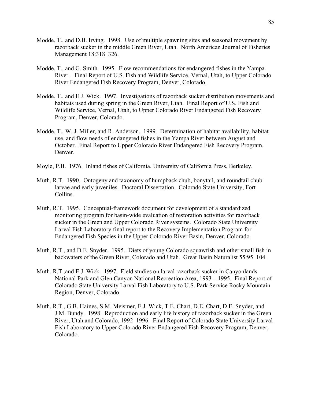- Modde, T., and D.B. Irving. 1998. Use of multiple spawning sites and seasonal movement by razorback sucker in the middle Green River, Utah. North American Journal of Fisheries Management 18:318 326.
- Modde, T., and G. Smith. 1995. Flow recommendations for endangered fishes in the Yampa River. Final Report of U.S. Fish and Wildlife Service, Vernal, Utah, to Upper Colorado River Endangered Fish Recovery Program, Denver, Colorado.
- Modde, T., and E.J. Wick. 1997. Investigations of razorback sucker distribution movements and habitats used during spring in the Green River, Utah. Final Report of U.S. Fish and Wildlife Service, Vernal, Utah, to Upper Colorado River Endangered Fish Recovery Program, Denver, Colorado.
- Modde, T., W. J. Miller, and R. Anderson. 1999. Determination of habitat availability, habitat use, and flow needs of endangered fishes in the Yampa River between August and October. Final Report to Upper Colorado River Endangered Fish Recovery Program. Denver.
- Moyle, P.B. 1976. Inland fishes of California. University of California Press, Berkeley.
- Muth, R.T. 1990. Ontogeny and taxonomy of humpback chub, bonytail, and roundtail chub larvae and early juveniles. Doctoral Dissertation. Colorado State University, Fort Collins.
- Muth, R.T. 1995. Conceptual-framework document for development of a standardized monitoring program for basin-wide evaluation of restoration activities for razorback sucker in the Green and Upper Colorado River systems. Colorado State University Larval Fish Laboratory final report to the Recovery Implementation Program for Endangered Fish Species in the Upper Colorado River Basin, Denver, Colorado.
- Muth, R.T., and D.E. Snyder. 1995. Diets of young Colorado squawfish and other small fish in backwaters of the Green River, Colorado and Utah. Great Basin Naturalist 55:95104.
- Muth, R.T.,and E.J. Wick. 1997. Field studies on larval razorback sucker in Canyonlands National Park and Glen Canyon National Recreation Area, 1993 – 1995. Final Report of Colorado State University Larval Fish Laboratory to U.S. Park Service Rocky Mountain Region, Denver, Colorado.
- Muth, R.T., G.B. Haines, S.M. Meismer, E.J. Wick, T.E. Chart, D.E. Chart, D.E. Snyder, and J.M. Bundy. 1998. Reproduction and early life history of razorback sucker in the Green River, Utah and Colorado, 1992 1996. Final Report of Colorado State University Larval Fish Laboratory to Upper Colorado River Endangered Fish Recovery Program, Denver, Colorado.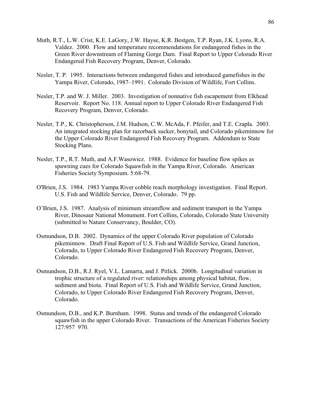- Muth, R.T., L.W. Crist, K.E. LaGory, J.W. Hayse, K.R. Bestgen, T.P. Ryan, J.K. Lyons, R.A. Valdez. 2000. Flow and temperature recommendations for endangered fishes in the Green River downstream of Flaming Gorge Dam. Final Report to Upper Colorado River Endangered Fish Recovery Program, Denver, Colorado.
- Nesler, T. P. 1995. Interactions between endangered fishes and introduced gamefishes in the Yampa River, Colorado, 1987–1991. Colorado Division of Wildlife, Fort Collins.
- Nesler, T.P. and W. J. Miller. 2003. Investigation of nonnative fish escapement from Elkhead Reservoir. Report No. 118. Annual report to Upper Colorado River Endangered Fish Recovery Program, Denver, Colorado.
- Nesler, T.P., K. Christopherson, J.M. Hudson, C.W. McAda, F. Pfeifer, and T.E. Czapla. 2003. An integrated stocking plan for razorback sucker, bonytail, and Colorado pikeminnow for the Upper Colorado River Endangered Fish Recovery Program. Addendum to State Stocking Plans.
- Nesler, T.P., R.T. Muth, and A.F.Wasowicz. 1988. Evidence for baseline flow spikes as spawning cues for Colorado Squawfish in the Yampa River, Colorado. American Fisheries Society Symposium. 5:68-79.
- O'Brien, J.S. 1984. 1983 Yampa River cobble reach morphology investigation. Final Report. U.S. Fish and Wildlife Service, Denver, Colorado. 79 pp.
- O'Brien, J.S. 1987. Analysis of minimum streamflow and sediment transport in the Yampa River, Dinosaur National Monument. Fort Collins, Colorado, Colorado State University (submitted to Nature Conservancy, Boulder, CO).
- Osmundson, D.B. 2002. Dynamics of the upper Colorado River population of Colorado pikeminnow. Draft Final Report of U.S. Fish and Wildlife Service, Grand Junction, Colorado, to Upper Colorado River Endangered Fish Recovery Program, Denver, Colorado.
- Osmundson, D.B., R.J. Ryel, V.L. Lamarra, and J. Pitlick. 2000b. Longitudinal variation in trophic structure of a regulated river: relationships among physical habitat, flow, sediment and biota. Final Report of U.S. Fish and Wildlife Service, Grand Junction, Colorado, to Upper Colorado River Endangered Fish Recovery Program, Denver, Colorado.
- Osmundson, D.B., and K.P. Burnham. 1998. Status and trends of the endangered Colorado squawfish in the upper Colorado River. Transactions of the American Fisheries Society 127:957 970.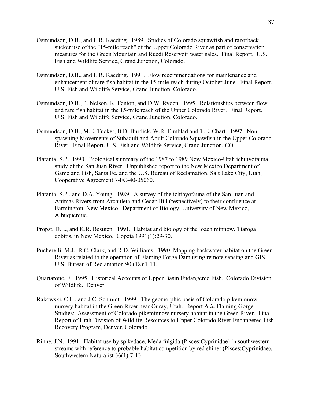- Osmundson, D.B., and L.R. Kaeding. 1989. Studies of Colorado squawfish and razorback sucker use of the "15-mile reach" of the Upper Colorado River as part of conservation measures for the Green Mountain and Ruedi Reservoir water sales. Final Report. U.S. Fish and Wildlife Service, Grand Junction, Colorado.
- Osmundson, D.B., and L.R. Kaeding. 1991. Flow recommendations for maintenance and enhancement of rare fish habitat in the 15-mile reach during October-June. Final Report. U.S. Fish and Wildlife Service, Grand Junction, Colorado.
- Osmundson, D.B., P. Nelson, K. Fenton, and D.W. Ryden. 1995. Relationships between flow and rare fish habitat in the 15-mile reach of the Upper Colorado River. Final Report. U.S. Fish and Wildlife Service, Grand Junction, Colorado.
- Osmundson, D.B., M.E. Tucker, B.D. Burdick, W.R. Elmblad and T.E. Chart. 1997. Nonspawning Movements of Subadult and Adult Colorado Squawfish in the Upper Colorado River. Final Report. U.S. Fish and Wildlife Service, Grand Junction, CO.
- Platania, S.P. 1990. Biological summary of the 1987 to 1989 New Mexico-Utah ichthyofaunal study of the San Juan River. Unpublished report to the New Mexico Department of Game and Fish, Santa Fe, and the U.S. Bureau of Reclamation, Salt Lake City, Utah, Cooperative Agreement 7-FC-40-05060.
- Platania, S.P., and D.A. Young. 1989. A survey of the ichthyofauna of the San Juan and Animas Rivers from Archuleta and Cedar Hill (respectively) to their confluence at Farmington, New Mexico. Department of Biology, University of New Mexico, Albuquerque.
- Propst, D.L., and K.R. Bestgen. 1991. Habitat and biology of the loach minnow, Tiaroga cobitis, in New Mexico. Copeia 1991(1):29-30.
- Pucherelli, M.J., R.C. Clark, and R.D. Williams. 1990. Mapping backwater habitat on the Green River as related to the operation of Flaming Forge Dam using remote sensing and GIS. U.S. Bureau of Reclamation 90 (18):1-11.
- Quartarone, F. 1995. Historical Accounts of Upper Basin Endangered Fish. Colorado Division of Wildlife. Denver.
- Rakowski, C.L., and J.C. Schmidt. 1999. The geomorphic basis of Colorado pikeminnow nursery habitat in the Green River near Ouray, Utah. Report A *in* Flaming Gorge Studies: Assessment of Colorado pikeminnow nursery habitat in the Green River. Final Report of Utah Division of Wildlife Resources to Upper Colorado River Endangered Fish Recovery Program, Denver, Colorado.
- Rinne, J.N. 1991. Habitat use by spikedace, Meda fulgida (Pisces:Cyprinidae) in southwestern streams with reference to probable habitat competition by red shiner (Pisces:Cyprinidae). Southwestern Naturalist 36(1):7-13.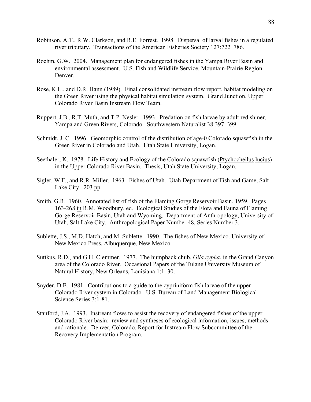- Robinson, A.T., R.W. Clarkson, and R.E. Forrest. 1998. Dispersal of larval fishes in a regulated river tributary. Transactions of the American Fisheries Society 127:722 786.
- Roehm, G.W. 2004. Management plan for endangered fishes in the Yampa River Basin and environmental assessment. U.S. Fish and Wildlife Service, Mountain-Prairie Region. Denver.
- Rose, K L., and D.R. Hann (1989). Final consolidated instream flow report, habitat modeling on the Green River using the physical habitat simulation system. Grand Junction, Upper Colorado River Basin Instream Flow Team.
- Ruppert, J.B., R.T. Muth, and T.P. Nesler. 1993. Predation on fish larvae by adult red shiner, Yampa and Green Rivers, Colorado. Southwestern Naturalist 38:397399.
- Schmidt, J. C. 1996. Geomorphic control of the distribution of age-0 Colorado squawfish in the Green River in Colorado and Utah. Utah State University, Logan.
- Seethaler, K. 1978. Life History and Ecology of the Colorado squawfish (Ptychocheilus lucius) in the Upper Colorado River Basin. Thesis, Utah State University, Logan.
- Sigler, W.F., and R.R. Miller. 1963. Fishes of Utah. Utah Department of Fish and Game, Salt Lake City. 203 pp.
- Smith, G.R. 1960. Annotated list of fish of the Flaming Gorge Reservoir Basin, 1959. Pages 163-268 in R.M. Woodbury, ed. Ecological Studies of the Flora and Fauna of Flaming Gorge Reservoir Basin, Utah and Wyoming. Department of Anthropology, University of Utah, Salt Lake City. Anthropological Paper Number 48, Series Number 3.
- Sublette, J.S., M.D. Hatch, and M. Sublette. 1990. The fishes of New Mexico. University of New Mexico Press, Albuquerque, New Mexico.
- Suttkus, R.D., and G.H. Clemmer. 1977. The humpback chub, *Gila cypha*, in the Grand Canyon area of the Colorado River. Occasional Papers of the Tulane University Museum of Natural History, New Orleans, Louisiana 1:1–30.
- Snyder, D.E. 1981. Contributions to a guide to the cypriniform fish larvae of the upper Colorado River system in Colorado. U.S. Bureau of Land Management Biological Science Series 3:1-81.
- Stanford, J.A. 1993. Instream flows to assist the recovery of endangered fishes of the upper Colorado River basin: review and syntheses of ecological information, issues, methods and rationale. Denver, Colorado, Report for Instream Flow Subcommittee of the Recovery Implementation Program.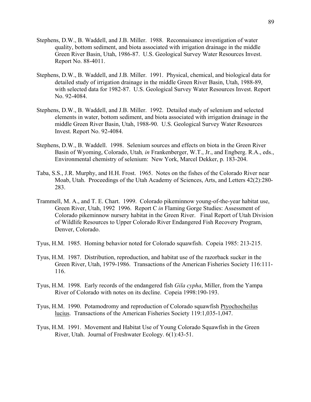- Stephens, D.W., B. Waddell, and J.B. Miller. 1988. Reconnaisance investigation of water quality, bottom sediment, and biota associated with irrigation drainage in the middle Green River Basin, Utah, 1986-87. U.S. Geological Survey Water Resources Invest. Report No. 88-4011.
- Stephens, D.W., B. Waddell, and J.B. Miller. 1991. Physical, chemical, and biological data for detailed study of irrigation drainage in the middle Green River Basin, Utah, 1988-89, with selected data for 1982-87. U.S. Geological Survey Water Resources Invest. Report No. 92-4084.
- Stephens, D.W., B. Waddell, and J.B. Miller. 1992. Detailed study of selenium and selected elements in water, bottom sediment, and biota associated with irrigation drainage in the middle Green River Basin, Utah, 1988-90. U.S. Geological Survey Water Resources Invest. Report No. 92-4084.
- Stephens, D.W., B. Waddell. 1998. Selenium sources and effects on biota in the Green River Basin of Wyoming, Colorado, Utah*, in* Frankenberger, W.T., Jr., and Engberg. R.A., eds., Environmental chemistry of selenium: New York, Marcel Dekker, p. 183-204.
- Taba, S.S., J.R. Murphy, and H.H. Frost. 1965. Notes on the fishes of the Colorado River near Moab, Utah. Proceedings of the Utah Academy of Sciences, Arts, and Letters 42(2):280- 283.
- Trammell, M. A., and T. E. Chart. 1999. Colorado pikeminnow young-of-the-year habitat use, Green River, Utah, 1992 1996. Report C *in* Flaming Gorge Studies: Assessment of Colorado pikeminnow nursery habitat in the Green River. Final Report of Utah Division of Wildlife Resources to Upper Colorado River Endangered Fish Recovery Program, Denver, Colorado.
- Tyus, H.M. 1985. Homing behavior noted for Colorado squawfish. Copeia 1985: 213-215.
- Tyus, H.M. 1987. Distribution, reproduction, and habitat use of the razorback sucker in the Green River, Utah, 1979-1986. Transactions of the American Fisheries Society 116:111- 116.
- Tyus, H.M. 1998. Early records of the endangered fish *Gila cypha*, Miller, from the Yampa River of Colorado with notes on its decline. Copeia 1998:190-193.
- Tyus, H.M. 1990. Potamodromy and reproduction of Colorado squawfish Ptyochocheilus lucius. Transactions of the American Fisheries Society 119:1,035-1,047.
- Tyus, H.M. 1991. Movement and Habitat Use of Young Colorado Squawfish in the Green River, Utah. Journal of Freshwater Ecology. 6(1):43-51.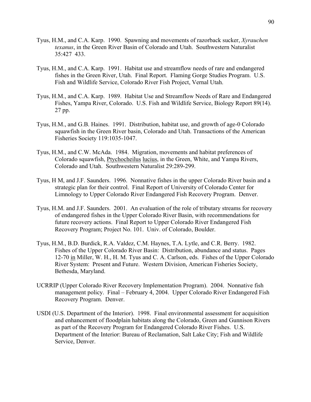- Tyus, H.M., and C.A. Karp. 1990. Spawning and movements of razorback sucker, *Xyrauchen texanus*, in the Green River Basin of Colorado and Utah. Southwestern Naturalist 35:427433.
- Tyus, H.M., and C.A. Karp. 1991. Habitat use and streamflow needs of rare and endangered fishes in the Green River, Utah. Final Report. Flaming Gorge Studies Program. U.S. Fish and Wildlife Service, Colorado River Fish Project, Vernal Utah.
- Tyus, H.M., and C.A. Karp. 1989. Habitat Use and Streamflow Needs of Rare and Endangered Fishes, Yampa River, Colorado. U.S. Fish and Wildlife Service, Biology Report 89(14). 27 pp.
- Tyus, H.M., and G.B. Haines. 1991. Distribution, habitat use, and growth of age-0 Colorado squawfish in the Green River basin, Colorado and Utah. Transactions of the American Fisheries Society 119:1035-1047.
- Tyus, H.M., and C.W. McAda. 1984. Migration, movements and habitat preferences of Colorado squawfish, Ptychocheilus lucius, in the Green, White, and Yampa Rivers, Colorado and Utah. Southwestern Naturalist 29:289-299.
- Tyus, H M, and J.F. Saunders. 1996. Nonnative fishes in the upper Colorado River basin and a strategic plan for their control. Final Report of University of Colorado Center for Limnology to Upper Colorado River Endangered Fish Recovery Program. Denver.
- Tyus, H.M. and J.F. Saunders. 2001. An evaluation of the role of tributary streams for recovery of endangered fishes in the Upper Colorado River Basin, with recommendations for future recovery actions. Final Report to Upper Colorado River Endangered Fish Recovery Program; Project No. 101. Univ. of Colorado, Boulder.
- Tyus, H.M., B.D. Burdick, R.A. Valdez, C.M. Haynes, T.A. Lytle, and C.R. Berry. 1982. Fishes of the Upper Colorado River Basin: Distribution, abundance and status. Pages 12-70 in Miller, W. H., H. M. Tyus and C. A. Carlson, eds. Fishes of the Upper Colorado River System: Present and Future. Western Division, American Fisheries Society, Bethesda, Maryland.
- UCRRIP (Upper Colorado River Recovery Implementation Program). 2004. Nonnative fish management policy. Final – February 4, 2004. Upper Colorado River Endangered Fish Recovery Program. Denver.
- USDI (U.S. Department of the Interior). 1998. Final environmental assessment for acquisition and enhancement of floodplain habitats along the Colorado, Green and Gunnison Rivers as part of the Recovery Program for Endangered Colorado River Fishes. U.S. Department of the Interior: Bureau of Reclamation, Salt Lake City; Fish and Wildlife Service, Denver.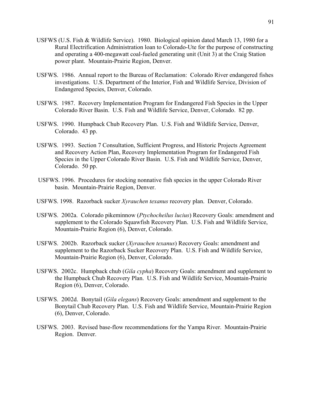- USFWS (U.S. Fish & Wildlife Service). 1980. Biological opinion dated March 13, 1980 for a Rural Electrification Administration loan to Colorado-Ute for the purpose of constructing and operating a 400-megawatt coal-fueled generating unit (Unit 3) at the Craig Station power plant. Mountain-Prairie Region, Denver.
- USFWS. 1986. Annual report to the Bureau of Reclamation: Colorado River endangered fishes investigations. U.S. Department of the Interior, Fish and Wildlife Service, Division of Endangered Species, Denver, Colorado.
- USFWS. 1987. Recovery Implementation Program for Endangered Fish Species in the Upper Colorado River Basin. U.S. Fish and Wildlife Service, Denver, Colorado. 82 pp.
- USFWS. 1990. Humpback Chub Recovery Plan. U.S. Fish and Wildlife Service, Denver, Colorado. 43 pp.
- USFWS. 1993. Section 7 Consultation, Sufficient Progress, and Historic Projects Agreement and Recovery Action Plan, Recovery Implementation Program for Endangered Fish Species in the Upper Colorado River Basin. U.S. Fish and Wildlife Service, Denver, Colorado. 50 pp.
- USFWS. 1996. Procedures for stocking nonnative fish species in the upper Colorado River basin. Mountain-Prairie Region, Denver.
- USFWS. 1998. Razorback sucker *Xyrauchen texanus* recovery plan. Denver, Colorado.
- USFWS. 2002a. Colorado pikeminnow (*Ptychocheilus lucius*) Recovery Goals: amendment and supplement to the Colorado Squawfish Recovery Plan. U.S. Fish and Wildlife Service, Mountain-Prairie Region (6), Denver, Colorado.
- USFWS. 2002b. Razorback sucker (*Xyrauchen texanus*) Recovery Goals: amendment and supplement to the Razorback Sucker Recovery Plan. U.S. Fish and Wildlife Service, Mountain-Prairie Region (6), Denver, Colorado.
- USFWS. 2002c. Humpback chub (*Gila cypha*) Recovery Goals: amendment and supplement to the Humpback Chub Recovery Plan. U.S. Fish and Wildlife Service, Mountain-Prairie Region (6), Denver, Colorado.
- USFWS. 2002d. Bonytail (*Gila elegans*) Recovery Goals: amendment and supplement to the Bonytail Chub Recovery Plan. U.S. Fish and Wildlife Service, Mountain-Prairie Region (6), Denver, Colorado.
- USFWS. 2003. Revised base-flow recommendations for the Yampa River. Mountain-Prairie Region. Denver.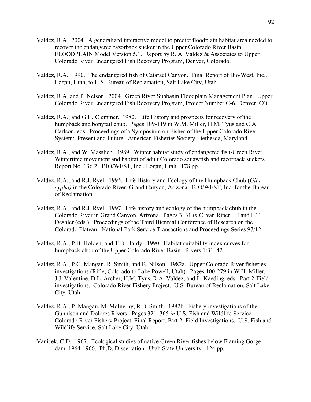- Valdez, R.A. 2004. A generalized interactive model to predict floodplain habitat area needed to recover the endangered razorback sucker in the Upper Colorado River Basin, FLOODPLAIN Model Version 5.1. Report by R. A. Valdez & Associates to Upper Colorado River Endangered Fish Recovery Program, Denver, Colorado.
- Valdez, R.A. 1990. The endangered fish of Cataract Canyon. Final Report of Bio/West, Inc., Logan, Utah, to U.S. Bureau of Reclamation, Salt Lake City, Utah.
- Valdez, R.A. and P. Nelson. 2004. Green River Subbasin Floodplain Management Plan. Upper Colorado River Endangered Fish Recovery Program, Project Number C-6, Denver, CO.
- Valdez, R.A., and G.H. Clemmer. 1982. Life History and prospects for recovery of the humpback and bonytail chub. Pages 109-119 in W.M. Miller, H.M. Tyus and C.A. Carlson, eds. Proceedings of a Symposium on Fishes of the Upper Colorado River System: Present and Future. American Fisheries Society, Bethesda, Maryland.
- Valdez, R.A., and W. Masslich. 1989. Winter habitat study of endangered fish-Green River. Wintertime movement and habitat of adult Colorado squawfish and razorback suckers. Report No. 136.2. BIO/WEST, Inc., Logan, Utah. 178 pp.
- Valdez, R.A., and R.J. Ryel. 1995. Life History and Ecology of the Humpback Chub (*Gila cypha)* in the Colorado River, Grand Canyon, Arizona. BIO/WEST, Inc. for the Bureau of Reclamation.
- Valdez, R.A., and R.J. Ryel. 1997. Life history and ecology of the humpback chub in the Colorado River in Grand Canyon, Arizona. Pages 331 *in* C. van Riper, III and E.T. Deshler (eds.). Proceedings of the Third Biennial Conference of Research on the Colorado Plateau. National Park Service Transactions and Proceedings Series 97/12.
- Valdez, R.A., P.B. Holden, and T.B. Hardy. 1990. Habitat suitability index curves for humpback chub of the Upper Colorado River Basin. Rivers 1:31 42.
- Valdez, R.A., P.G. Mangan, R. Smith, and B. Nilson. 1982a. Upper Colorado River fisheries investigations (Rifle, Colorado to Lake Powell, Utah). Pages 100-279 in W.H. Miller, J.J. Valentine, D.L. Archer, H.M. Tyus, R.A. Valdez, and L. Kaeding, eds. Part 2-Field investigations. Colorado River Fishery Project. U.S. Bureau of Reclamation, Salt Lake City, Utah.
- Valdez, R.A., P. Mangan, M. McInerny, R.B. Smith. 1982b. Fishery investigations of the Gunnison and Dolores Rivers. Pages 321365 *in* U.S. Fish and Wildlife Service. Colorado River Fishery Project, Final Report, Part 2: Field Investigations. U.S. Fish and Wildlife Service, Salt Lake City, Utah.
- Vanicek, C.D. 1967. Ecological studies of native Green River fishes below Flaming Gorge dam, 1964-1966. Ph.D. Dissertation. Utah State University. 124 pp.